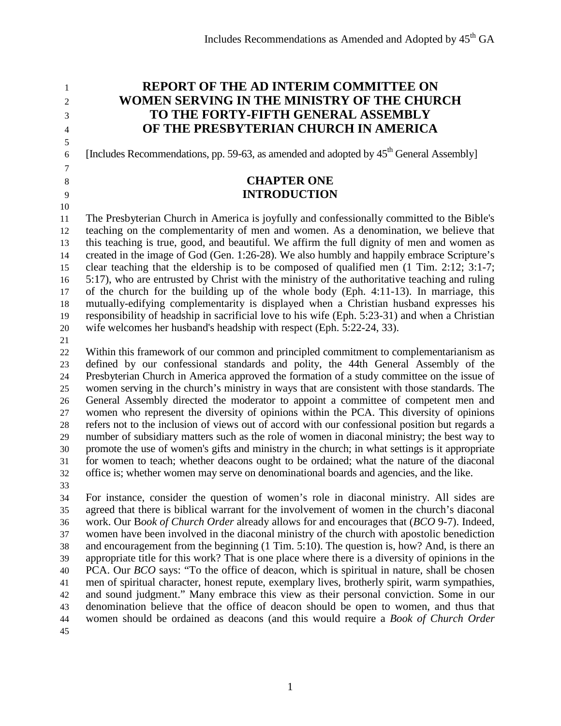**REPORT OF THE AD INTERIM COMMITTEE ON WOMEN SERVING IN THE MINISTRY OF THE CHURCH TO THE FORTY-FIFTH GENERAL ASSEMBLY OF THE PRESBYTERIAN CHURCH IN AMERICA**

6 [Includes Recommendations, pp. 59-63, as amended and adopted by  $45<sup>th</sup>$  General Assembly]

# **CHAPTER ONE INTRODUCTION**

 The Presbyterian Church in America is joyfully and confessionally committed to the Bible's teaching on the complementarity of men and women. As a denomination, we believe that this teaching is true, good, and beautiful. We affirm the full dignity of men and women as created in the image of God (Gen. 1:26-28). We also humbly and happily embrace Scripture's clear teaching that the eldership is to be composed of qualified men (1 Tim. 2:12; 3:1-7; 5:17), who are entrusted by Christ with the ministry of the authoritative teaching and ruling of the church for the building up of the whole body (Eph. 4:11-13). In marriage, this mutually-edifying complementarity is displayed when a Christian husband expresses his responsibility of headship in sacrificial love to his wife (Eph. 5:23-31) and when a Christian wife welcomes her husband's headship with respect (Eph. 5:22-24, 33).

 Within this framework of our common and principled commitment to complementarianism as defined by our confessional standards and polity, the 44th General Assembly of the Presbyterian Church in America approved the formation of a study committee on the issue of women serving in the church's ministry in ways that are consistent with those standards. The General Assembly directed the moderator to appoint a committee of competent men and women who represent the diversity of opinions within the PCA. This diversity of opinions refers not to the inclusion of views out of accord with our confessional position but regards a number of subsidiary matters such as the role of women in diaconal ministry; the best way to promote the use of women's gifts and ministry in the church; in what settings is it appropriate for women to teach; whether deacons ought to be ordained; what the nature of the diaconal office is; whether women may serve on denominational boards and agencies, and the like.

 For instance, consider the question of women's role in diaconal ministry. All sides are agreed that there is biblical warrant for the involvement of women in the church's diaconal work. Our B*ook of Church Order* already allows for and encourages that (*BCO* 9-7). Indeed, women have been involved in the diaconal ministry of the church with apostolic benediction and encouragement from the beginning (1 Tim. 5:10). The question is, how? And, is there an appropriate title for this work? That is one place where there is a diversity of opinions in the PCA. Our *BCO* says: "To the office of deacon, which is spiritual in nature, shall be chosen men of spiritual character, honest repute, exemplary lives, brotherly spirit, warm sympathies, and sound judgment." Many embrace this view as their personal conviction. Some in our denomination believe that the office of deacon should be open to women, and thus that women should be ordained as deacons (and this would require a *Book of Church Order*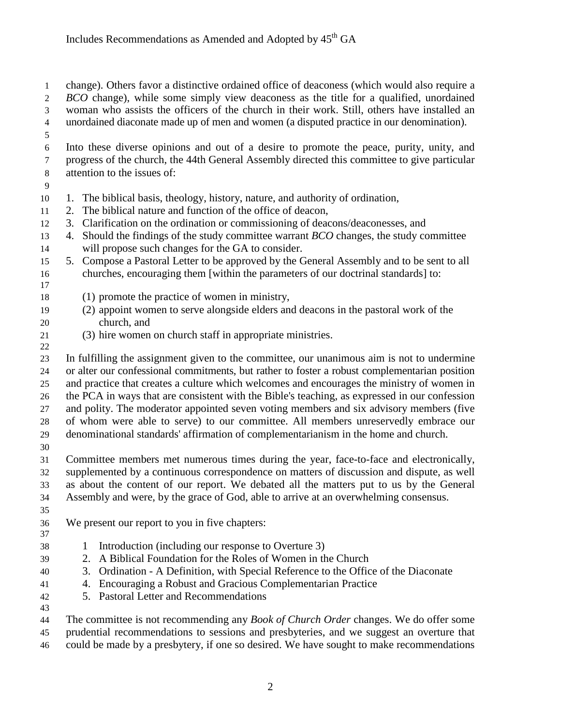change). Others favor a distinctive ordained office of deaconess (which would also require a *BCO* change), while some simply view deaconess as the title for a qualified, unordained woman who assists the officers of the church in their work. Still, others have installed an unordained diaconate made up of men and women (a disputed practice in our denomination).

 Into these diverse opinions and out of a desire to promote the peace, purity, unity, and progress of the church, the 44th General Assembly directed this committee to give particular attention to the issues of:

- 
- 1. The biblical basis, theology, history, nature, and authority of ordination,
- 2. The biblical nature and function of the office of deacon,
- 3. Clarification on the ordination or commissioning of deacons/deaconesses, and
- 4. Should the findings of the study committee warrant *BCO* changes, the study committee
- will propose such changes for the GA to consider.
- 5. Compose a Pastoral Letter to be approved by the General Assembly and to be sent to all churches, encouraging them [within the parameters of our doctrinal standards] to:
- (1) promote the practice of women in ministry,
- (2) appoint women to serve alongside elders and deacons in the pastoral work of the church, and
- (3) hire women on church staff in appropriate ministries.

 In fulfilling the assignment given to the committee, our unanimous aim is not to undermine or alter our confessional commitments, but rather to foster a robust complementarian position and practice that creates a culture which welcomes and encourages the ministry of women in the PCA in ways that are consistent with the Bible's teaching, as expressed in our confession and polity. The moderator appointed seven voting members and six advisory members (five of whom were able to serve) to our committee. All members unreservedly embrace our denominational standards' affirmation of complementarianism in the home and church.

 Committee members met numerous times during the year, face-to-face and electronically, supplemented by a continuous correspondence on matters of discussion and dispute, as well as about the content of our report. We debated all the matters put to us by the General Assembly and were, by the grace of God, able to arrive at an overwhelming consensus.

We present our report to you in five chapters:

- 
- 1 Introduction (including our response to Overture 3)
- 2. A Biblical Foundation for the Roles of Women in the Church
- 3. Ordination A Definition, with Special Reference to the Office of the Diaconate
- 4. Encouraging a Robust and Gracious Complementarian Practice
- 5. Pastoral Letter and Recommendations
- 

 The committee is not recommending any *Book of Church Order* changes. We do offer some prudential recommendations to sessions and presbyteries, and we suggest an overture that

could be made by a presbytery, if one so desired. We have sought to make recommendations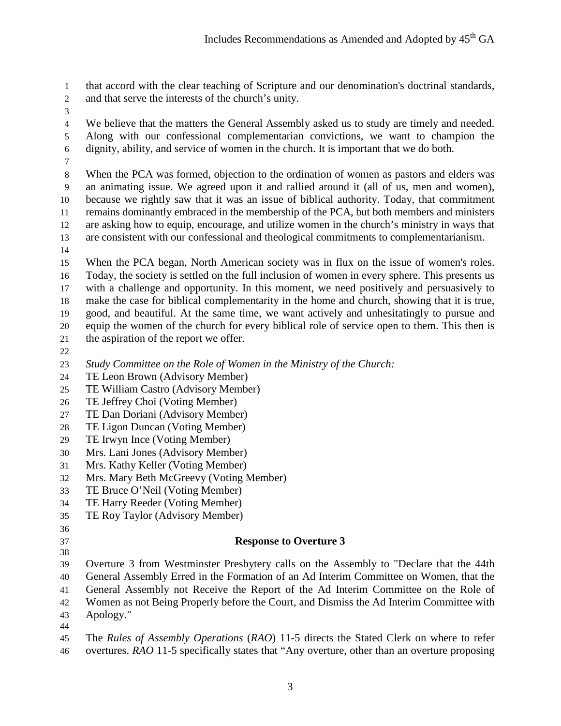that accord with the clear teaching of Scripture and our denomination's doctrinal standards,

- and that serve the interests of the church's unity.
- 

 We believe that the matters the General Assembly asked us to study are timely and needed. Along with our confessional complementarian convictions, we want to champion the dignity, ability, and service of women in the church. It is important that we do both.

 When the PCA was formed, objection to the ordination of women as pastors and elders was an animating issue. We agreed upon it and rallied around it (all of us, men and women), because we rightly saw that it was an issue of biblical authority. Today, that commitment remains dominantly embraced in the membership of the PCA, but both members and ministers are asking how to equip, encourage, and utilize women in the church's ministry in ways that are consistent with our confessional and theological commitments to complementarianism.

 When the PCA began, North American society was in flux on the issue of women's roles. Today, the society is settled on the full inclusion of women in every sphere. This presents us with a challenge and opportunity. In this moment, we need positively and persuasively to make the case for biblical complementarity in the home and church, showing that it is true, good, and beautiful. At the same time, we want actively and unhesitatingly to pursue and equip the women of the church for every biblical role of service open to them. This then is the aspiration of the report we offer.

*Study Committee on the Role of Women in the Ministry of the Church:*

- TE Leon Brown (Advisory Member)
- TE William Castro (Advisory Member)
- TE Jeffrey Choi (Voting Member)
- TE Dan Doriani (Advisory Member)
- TE Ligon Duncan (Voting Member)
- TE Irwyn Ince (Voting Member)
- Mrs. Lani Jones (Advisory Member)
- Mrs. Kathy Keller (Voting Member)
- Mrs. Mary Beth McGreevy (Voting Member)
- TE Bruce O'Neil (Voting Member)
- TE Harry Reeder (Voting Member)
- TE Roy Taylor (Advisory Member)

# 

#### 

#### **Response to Overture 3**

 Overture 3 from Westminster Presbytery calls on the Assembly to "Declare that the 44th General Assembly Erred in the Formation of an Ad Interim Committee on Women, that the General Assembly not Receive the Report of the Ad Interim Committee on the Role of Women as not Being Properly before the Court, and Dismiss the Ad Interim Committee with Apology."

- 
- The *Rules of Assembly Operations* (*RAO*) 11-5 directs the Stated Clerk on where to refer overtures. *RAO* 11-5 specifically states that "Any overture, other than an overture proposing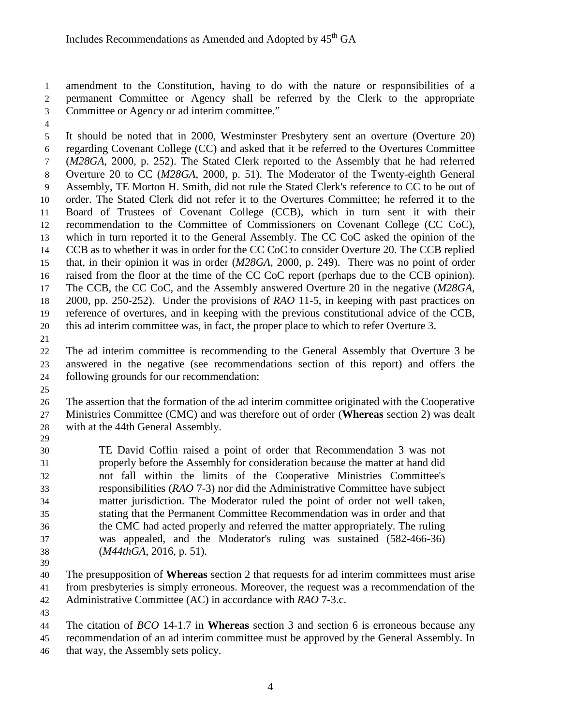amendment to the Constitution, having to do with the nature or responsibilities of a permanent Committee or Agency shall be referred by the Clerk to the appropriate Committee or Agency or ad interim committee."

 It should be noted that in 2000, Westminster Presbytery sent an overture (Overture 20) regarding Covenant College (CC) and asked that it be referred to the Overtures Committee (*M28GA*, 2000, p. 252). The Stated Clerk reported to the Assembly that he had referred Overture 20 to CC (*M28GA*, 2000, p. 51). The Moderator of the Twenty-eighth General Assembly, TE Morton H. Smith, did not rule the Stated Clerk's reference to CC to be out of order. The Stated Clerk did not refer it to the Overtures Committee; he referred it to the Board of Trustees of Covenant College (CCB), which in turn sent it with their recommendation to the Committee of Commissioners on Covenant College (CC CoC), which in turn reported it to the General Assembly. The CC CoC asked the opinion of the CCB as to whether it was in order for the CC CoC to consider Overture 20. The CCB replied that, in their opinion it was in order (*M28GA*, 2000, p. 249). There was no point of order raised from the floor at the time of the CC CoC report (perhaps due to the CCB opinion). The CCB, the CC CoC, and the Assembly answered Overture 20 in the negative (*M28GA*, 2000, pp. 250-252). Under the provisions of *RAO* 11-5, in keeping with past practices on reference of overtures, and in keeping with the previous constitutional advice of the CCB, this ad interim committee was, in fact, the proper place to which to refer Overture 3.

 The ad interim committee is recommending to the General Assembly that Overture 3 be answered in the negative (see recommendations section of this report) and offers the following grounds for our recommendation:

 The assertion that the formation of the ad interim committee originated with the Cooperative Ministries Committee (CMC) and was therefore out of order (**Whereas** section 2) was dealt with at the 44th General Assembly. 

 TE David Coffin raised a point of order that Recommendation 3 was not properly before the Assembly for consideration because the matter at hand did not fall within the limits of the Cooperative Ministries Committee's responsibilities (*RAO* 7-3) nor did the Administrative Committee have subject matter jurisdiction. The Moderator ruled the point of order not well taken, stating that the Permanent Committee Recommendation was in order and that the CMC had acted properly and referred the matter appropriately. The ruling was appealed, and the Moderator's ruling was sustained (582-466-36) (*M44thGA*, 2016, p. 51).

 The presupposition of **Whereas** section 2 that requests for ad interim committees must arise from presbyteries is simply erroneous. Moreover, the request was a recommendation of the Administrative Committee (AC) in accordance with *RAO* 7-3.c.

 The citation of *BCO* 14-1.7 in **Whereas** section 3 and section 6 is erroneous because any recommendation of an ad interim committee must be approved by the General Assembly. In that way, the Assembly sets policy.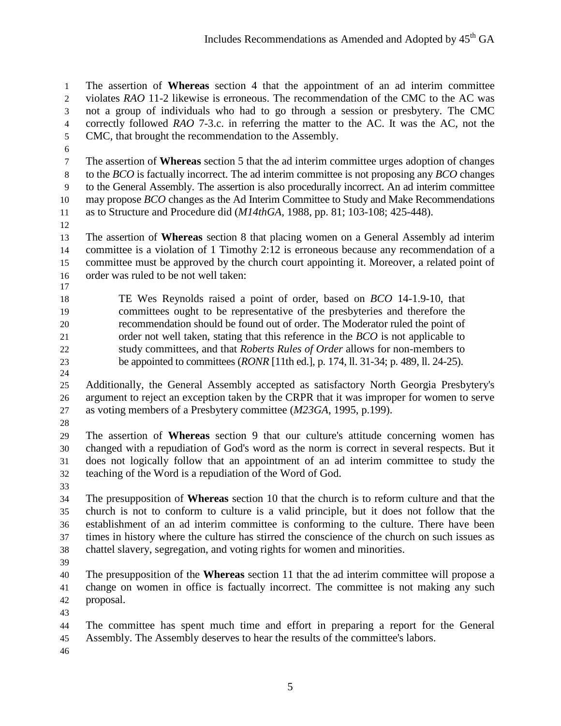The assertion of **Whereas** section 4 that the appointment of an ad interim committee violates *RAO* 11-2 likewise is erroneous. The recommendation of the CMC to the AC was not a group of individuals who had to go through a session or presbytery. The CMC correctly followed *RAO* 7-3.c. in referring the matter to the AC. It was the AC, not the CMC, that brought the recommendation to the Assembly.

 The assertion of **Whereas** section 5 that the ad interim committee urges adoption of changes to the *BCO* is factually incorrect. The ad interim committee is not proposing any *BCO* changes to the General Assembly. The assertion is also procedurally incorrect. An ad interim committee may propose *BCO* changes as the Ad Interim Committee to Study and Make Recommendations as to Structure and Procedure did (*M14thGA*, 1988, pp. 81; 103-108; 425-448).

 The assertion of **Whereas** section 8 that placing women on a General Assembly ad interim committee is a violation of 1 Timothy 2:12 is erroneous because any recommendation of a committee must be approved by the church court appointing it. Moreover, a related point of order was ruled to be not well taken:

 TE Wes Reynolds raised a point of order, based on *BCO* 14-1.9-10, that committees ought to be representative of the presbyteries and therefore the recommendation should be found out of order. The Moderator ruled the point of order not well taken, stating that this reference in the *BCO* is not applicable to study committees, and that *Roberts Rules of Order* allows for non-members to be appointed to committees (*RONR* [11th ed.], p. 174, ll. 31-34; p. 489, ll. 24-25).

 Additionally, the General Assembly accepted as satisfactory North Georgia Presbytery's argument to reject an exception taken by the CRPR that it was improper for women to serve as voting members of a Presbytery committee (*M23GA*, 1995, p.199).

 The assertion of **Whereas** section 9 that our culture's attitude concerning women has changed with a repudiation of God's word as the norm is correct in several respects. But it does not logically follow that an appointment of an ad interim committee to study the teaching of the Word is a repudiation of the Word of God.

 The presupposition of **Whereas** section 10 that the church is to reform culture and that the church is not to conform to culture is a valid principle, but it does not follow that the establishment of an ad interim committee is conforming to the culture. There have been times in history where the culture has stirred the conscience of the church on such issues as chattel slavery, segregation, and voting rights for women and minorities.

 The presupposition of the **Whereas** section 11 that the ad interim committee will propose a change on women in office is factually incorrect. The committee is not making any such proposal.

 The committee has spent much time and effort in preparing a report for the General Assembly. The Assembly deserves to hear the results of the committee's labors.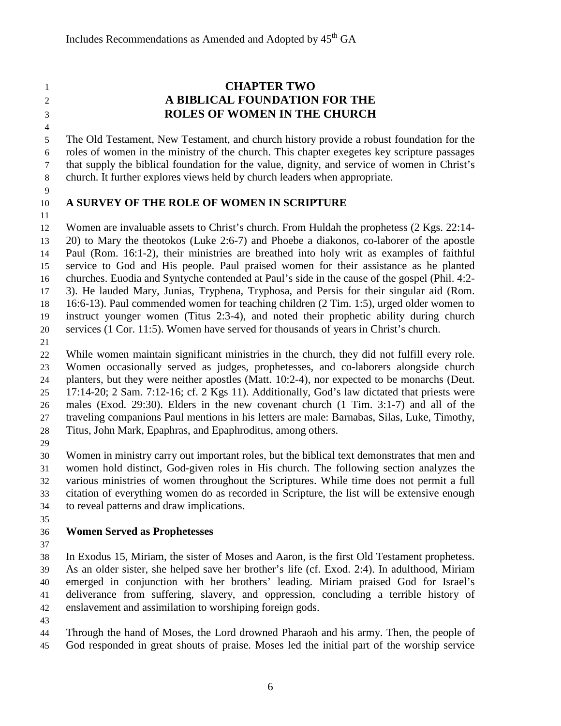# **CHAPTER TWO A BIBLICAL FOUNDATION FOR THE ROLES OF WOMEN IN THE CHURCH**

 The Old Testament, New Testament, and church history provide a robust foundation for the roles of women in the ministry of the church. This chapter exegetes key scripture passages that supply the biblical foundation for the value, dignity, and service of women in Christ's church. It further explores views held by church leaders when appropriate.

# **A SURVEY OF THE ROLE OF WOMEN IN SCRIPTURE**

 Women are invaluable assets to Christ's church. From Huldah the prophetess (2 Kgs. 22:14- 20) to Mary the theotokos (Luke 2:6-7) and Phoebe a diakonos, co-laborer of the apostle Paul (Rom. 16:1-2), their ministries are breathed into holy writ as examples of faithful service to God and His people. Paul praised women for their assistance as he planted churches. Euodia and Syntyche contended at Paul's side in the cause of the gospel (Phil. 4:2- 3). He lauded Mary, Junias, Tryphena, Tryphosa, and Persis for their singular aid (Rom. 16:6-13). Paul commended women for teaching children (2 Tim. 1:5), urged older women to instruct younger women (Titus 2:3-4), and noted their prophetic ability during church services (1 Cor. 11:5). Women have served for thousands of years in Christ's church.

 While women maintain significant ministries in the church, they did not fulfill every role. Women occasionally served as judges, prophetesses, and co-laborers alongside church planters, but they were neither apostles (Matt. 10:2-4), nor expected to be monarchs (Deut. 17:14-20; 2 Sam. 7:12-16; cf. 2 Kgs 11). Additionally, God's law dictated that priests were males (Exod. 29:30). Elders in the new covenant church (1 Tim. 3:1-7) and all of the traveling companions Paul mentions in his letters are male: Barnabas, Silas, Luke, Timothy, Titus, John Mark, Epaphras, and Epaphroditus, among others.

 Women in ministry carry out important roles, but the biblical text demonstrates that men and women hold distinct, God-given roles in His church. The following section analyzes the various ministries of women throughout the Scriptures. While time does not permit a full citation of everything women do as recorded in Scripture, the list will be extensive enough to reveal patterns and draw implications.

# **Women Served as Prophetesses**

 In Exodus 15, Miriam, the sister of Moses and Aaron, is the first Old Testament prophetess. As an older sister, she helped save her brother's life (cf. Exod. 2:4). In adulthood, Miriam emerged in conjunction with her brothers' leading. Miriam praised God for Israel's deliverance from suffering, slavery, and oppression, concluding a terrible history of enslavement and assimilation to worshiping foreign gods.

 Through the hand of Moses, the Lord drowned Pharaoh and his army. Then, the people of God responded in great shouts of praise. Moses led the initial part of the worship service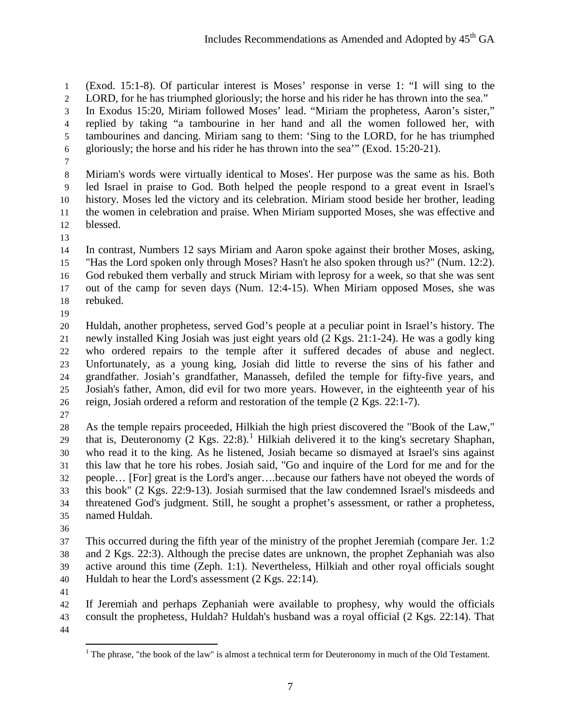(Exod. 15:1-8). Of particular interest is Moses' response in verse 1: "I will sing to the LORD, for he has triumphed gloriously; the horse and his rider he has thrown into the sea."

 In Exodus 15:20, Miriam followed Moses' lead. "Miriam the prophetess, Aaron's sister," replied by taking "a tambourine in her hand and all the women followed her, with tambourines and dancing. Miriam sang to them: 'Sing to the LORD, for he has triumphed gloriously; the horse and his rider he has thrown into the sea'" (Exod. 15:20-21).

 Miriam's words were virtually identical to Moses'. Her purpose was the same as his. Both led Israel in praise to God. Both helped the people respond to a great event in Israel's history. Moses led the victory and its celebration. Miriam stood beside her brother, leading the women in celebration and praise. When Miriam supported Moses, she was effective and blessed.

 In contrast, Numbers 12 says Miriam and Aaron spoke against their brother Moses, asking, "Has the Lord spoken only through Moses? Hasn't he also spoken through us?" (Num. 12:2). God rebuked them verbally and struck Miriam with leprosy for a week, so that she was sent out of the camp for seven days (Num. 12:4-15). When Miriam opposed Moses, she was rebuked.

 Huldah, another prophetess, served God's people at a peculiar point in Israel's history. The newly installed King Josiah was just eight years old (2 Kgs. 21:1-24). He was a godly king who ordered repairs to the temple after it suffered decades of abuse and neglect. Unfortunately, as a young king, Josiah did little to reverse the sins of his father and grandfather. Josiah's grandfather, Manasseh, defiled the temple for fifty-five years, and Josiah's father, Amon, did evil for two more years. However, in the eighteenth year of his reign, Josiah ordered a reform and restoration of the temple (2 Kgs. 22:1-7).

 As the temple repairs proceeded, Hilkiah the high priest discovered the "Book of the Law," that is, Deuteronomy  $(2$  Kgs. 22:8).<sup>[1](#page-6-0)</sup> Hilkiah delivered it to the king's secretary Shaphan, who read it to the king. As he listened, Josiah became so dismayed at Israel's sins against this law that he tore his robes. Josiah said, "Go and inquire of the Lord for me and for the people… [For] great is the Lord's anger….because our fathers have not obeyed the words of this book" (2 Kgs. 22:9-13). Josiah surmised that the law condemned Israel's misdeeds and threatened God's judgment. Still, he sought a prophet's assessment, or rather a prophetess, named Huldah.

 This occurred during the fifth year of the ministry of the prophet Jeremiah (compare Jer. 1:2 and 2 Kgs. 22:3). Although the precise dates are unknown, the prophet Zephaniah was also active around this time (Zeph. 1:1). Nevertheless, Hilkiah and other royal officials sought Huldah to hear the Lord's assessment (2 Kgs. 22:14).

<span id="page-6-0"></span> If Jeremiah and perhaps Zephaniah were available to prophesy, why would the officials consult the prophetess, Huldah? Huldah's husband was a royal official (2 Kgs. 22:14). That 

 $<sup>1</sup>$  The phrase, "the book of the law" is almost a technical term for Deuteronomy in much of the Old Testament.</sup>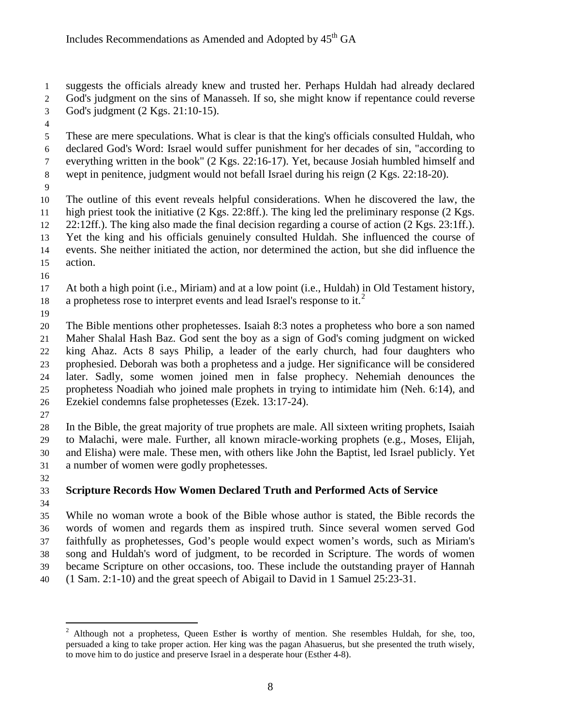suggests the officials already knew and trusted her. Perhaps Huldah had already declared

God's judgment on the sins of Manasseh. If so, she might know if repentance could reverse

- God's judgment (2 Kgs. 21:10-15).
- 

 These are mere speculations. What is clear is that the king's officials consulted Huldah, who declared God's Word: Israel would suffer punishment for her decades of sin, "according to everything written in the book" (2 Kgs. 22:16-17). Yet, because Josiah humbled himself and wept in penitence, judgment would not befall Israel during his reign (2 Kgs. 22:18-20).

 The outline of this event reveals helpful considerations. When he discovered the law, the high priest took the initiative (2 Kgs. 22:8ff.). The king led the preliminary response (2 Kgs. 22:12ff.). The king also made the final decision regarding a course of action (2 Kgs. 23:1ff.). Yet the king and his officials genuinely consulted Huldah. She influenced the course of events. She neither initiated the action, nor determined the action, but she did influence the action.

 At both a high point (i.e., Miriam) and at a low point (i.e., Huldah) in Old Testament history, 18 a prophetess rose to interpret events and lead Israel's response to it.<sup>[2](#page-7-0)</sup>

 The Bible mentions other prophetesses. Isaiah 8:3 notes a prophetess who bore a son named Maher Shalal Hash Baz. God sent the boy as a sign of God's coming judgment on wicked king Ahaz. Acts 8 says Philip, a leader of the early church, had four daughters who prophesied. Deborah was both a prophetess and a judge. Her significance will be considered later. Sadly, some women joined men in false prophecy. Nehemiah denounces the prophetess Noadiah who joined male prophets in trying to intimidate him (Neh. 6:14), and Ezekiel condemns false prophetesses (Ezek. 13:17-24).

 In the Bible, the great majority of true prophets are male. All sixteen writing prophets, Isaiah to Malachi, were male. Further, all known miracle-working prophets (e.g., Moses, Elijah, and Elisha) were male. These men, with others like John the Baptist, led Israel publicly. Yet a number of women were godly prophetesses.

#### **Scripture Records How Women Declared Truth and Performed Acts of Service**

 While no woman wrote a book of the Bible whose author is stated, the Bible records the words of women and regards them as inspired truth. Since several women served God faithfully as prophetesses, God's people would expect women's words, such as Miriam's song and Huldah's word of judgment, to be recorded in Scripture. The words of women became Scripture on other occasions, too. These include the outstanding prayer of Hannah

(1 Sam. 2:1-10) and the great speech of Abigail to David in 1 Samuel 25:23-31.

<span id="page-7-0"></span><sup>2</sup> Although not a prophetess, Queen Esther **<sup>i</sup>**s worthy of mention. She resembles Huldah, for she, too, persuaded a king to take proper action. Her king was the pagan Ahasuerus, but she presented the truth wisely, to move him to do justice and preserve Israel in a desperate hour (Esther 4-8).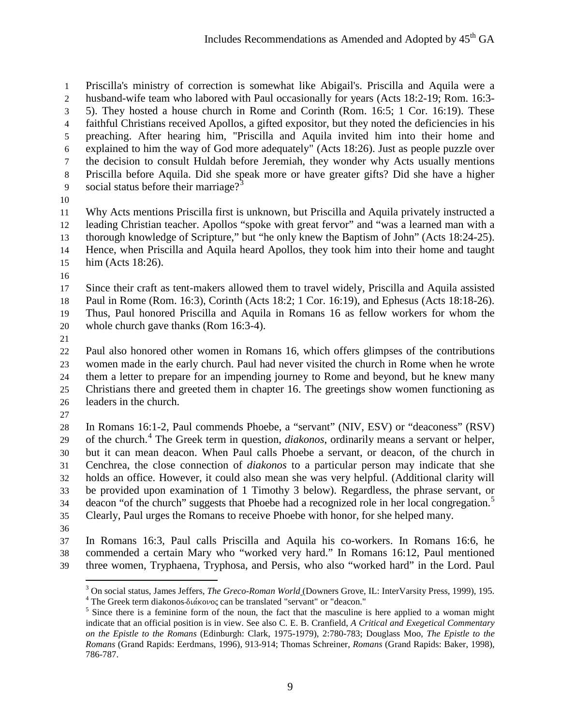Priscilla's ministry of correction is somewhat like Abigail's. Priscilla and Aquila were a husband-wife team who labored with Paul occasionally for years (Acts 18:2-19; Rom. 16:3- 5). They hosted a house church in Rome and Corinth (Rom. 16:5; 1 Cor. 16:19). These faithful Christians received Apollos, a gifted expositor, but they noted the deficiencies in his preaching. After hearing him, "Priscilla and Aquila invited him into their home and explained to him the way of God more adequately" (Acts 18:26). Just as people puzzle over the decision to consult Huldah before Jeremiah, they wonder why Acts usually mentions Priscilla before Aquila. Did she speak more or have greater gifts? Did she have a higher 9 social status before their marriage?<sup>[3](#page-8-0)</sup>

 Why Acts mentions Priscilla first is unknown, but Priscilla and Aquila privately instructed a leading Christian teacher. Apollos "spoke with great fervor" and "was a learned man with a thorough knowledge of Scripture," but "he only knew the Baptism of John" (Acts 18:24-25). Hence, when Priscilla and Aquila heard Apollos, they took him into their home and taught him (Acts 18:26).

 Since their craft as tent-makers allowed them to travel widely, Priscilla and Aquila assisted Paul in Rome (Rom. 16:3), Corinth (Acts 18:2; 1 Cor. 16:19), and Ephesus (Acts 18:18-26). Thus, Paul honored Priscilla and Aquila in Romans 16 as fellow workers for whom the whole church gave thanks (Rom 16:3-4).

 Paul also honored other women in Romans 16, which offers glimpses of the contributions women made in the early church. Paul had never visited the church in Rome when he wrote them a letter to prepare for an impending journey to Rome and beyond, but he knew many Christians there and greeted them in chapter 16. The greetings show women functioning as leaders in the church.

 In Romans 16:1-2, Paul commends Phoebe, a "servant" (NIV, ESV) or "deaconess" (RSV) 29 of the church.<sup>[4](#page-8-1)</sup> The Greek term in question, *diakonos*, ordinarily means a servant or helper, but it can mean deacon. When Paul calls Phoebe a servant, or deacon, of the church in Cenchrea, the close connection of *diakonos* to a particular person may indicate that she holds an office. However, it could also mean she was very helpful. (Additional clarity will be provided upon examination of 1 Timothy 3 below). Regardless, the phrase servant, or 34 deacon "of the church" suggests that Phoebe had a recognized role in her local congregation.<sup>[5](#page-8-2)</sup> Clearly, Paul urges the Romans to receive Phoebe with honor, for she helped many.

<span id="page-8-1"></span><span id="page-8-0"></span> In Romans 16:3, Paul calls Priscilla and Aquila his co-workers. In Romans 16:6, he commended a certain Mary who "worked very hard." In Romans 16:12, Paul mentioned three women, Tryphaena, Tryphosa, and Persis, who also "worked hard" in the Lord. Paul

<sup>&</sup>lt;sup>3</sup> On social status, James Jeffers, *The Greco-Roman World* (Downers Grove, IL: InterVarsity Press, 1999), 195.<br><sup>4</sup> The Greek term diakonos-διάκονος can be translated "servant" or "deacon."<br><sup>5</sup> Since there is a feminine

<span id="page-8-2"></span>indicate that an official position is in view. See also C. E. B. Cranfield, *A Critical and Exegetical Commentary on the Epistle to the Romans* (Edinburgh: Clark, 1975-1979), 2:780-783; Douglass Moo, *The Epistle to the Romans* (Grand Rapids: Eerdmans, 1996), 913-914; Thomas Schreiner, *Romans* (Grand Rapids: Baker, 1998), 786-787.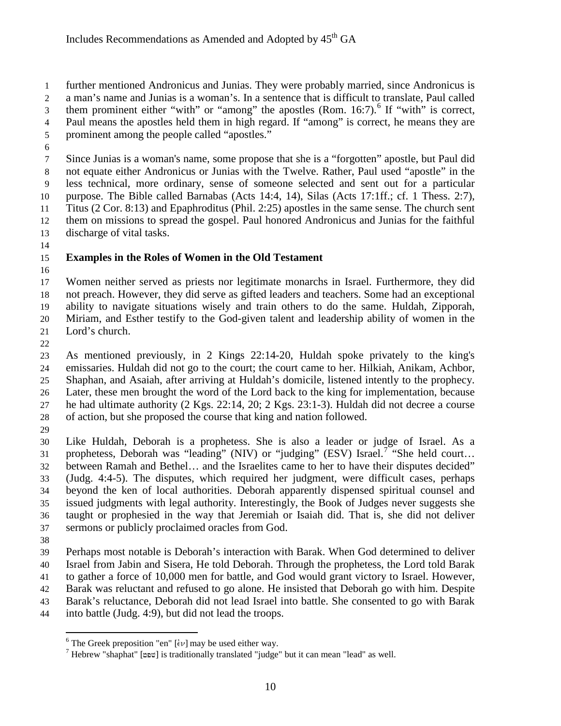further mentioned Andronicus and Junias. They were probably married, since Andronicus is a man's name and Junias is a woman's. In a sentence that is difficult to translate, Paul called them prominent either "with" or "among" the apostles  $(Rom. 16:7)$  $(Rom. 16:7)$  $(Rom. 16:7)$ .<sup>6</sup> If "with" is correct, Paul means the apostles held them in high regard. If "among" is correct, he means they are prominent among the people called "apostles."

 Since Junias is a woman's name, some propose that she is a "forgotten" apostle, but Paul did not equate either Andronicus or Junias with the Twelve. Rather, Paul used "apostle" in the less technical, more ordinary, sense of someone selected and sent out for a particular purpose. The Bible called Barnabas (Acts 14:4, 14), Silas (Acts 17:1ff.; cf. 1 Thess. 2:7), Titus (2 Cor. 8:13) and Epaphroditus (Phil. 2:25) apostles in the same sense. The church sent them on missions to spread the gospel. Paul honored Andronicus and Junias for the faithful discharge of vital tasks.

# **Examples in the Roles of Women in the Old Testament**

 Women neither served as priests nor legitimate monarchs in Israel. Furthermore, they did not preach. However, they did serve as gifted leaders and teachers. Some had an exceptional ability to navigate situations wisely and train others to do the same. Huldah, Zipporah, Miriam, and Esther testify to the God-given talent and leadership ability of women in the Lord's church.

 As mentioned previously, in 2 Kings 22:14-20, Huldah spoke privately to the king's emissaries. Huldah did not go to the court; the court came to her. Hilkiah, Anikam, Achbor, Shaphan, and Asaiah, after arriving at Huldah's domicile, listened intently to the prophecy. Later, these men brought the word of the Lord back to the king for implementation, because he had ultimate authority (2 Kgs. 22:14, 20; 2 Kgs. 23:1-3). Huldah did not decree a course of action, but she proposed the course that king and nation followed.

 Like Huldah, Deborah is a prophetess. She is also a leader or judge of Israel. As a 31 prophetess, Deborah was "leading" (NIV) or "judging" (ESV) Israel.<sup>[7](#page-9-1)</sup> "She held court... between Ramah and Bethel… and the Israelites came to her to have their disputes decided" (Judg. 4:4-5). The disputes, which required her judgment, were difficult cases, perhaps beyond the ken of local authorities. Deborah apparently dispensed spiritual counsel and issued judgments with legal authority. Interestingly, the Book of Judges never suggests she taught or prophesied in the way that Jeremiah or Isaiah did. That is, she did not deliver sermons or publicly proclaimed oracles from God.

 $\overline{a}$ 

 Perhaps most notable is Deborah's interaction with Barak. When God determined to deliver Israel from Jabin and Sisera, He told Deborah. Through the prophetess, the Lord told Barak to gather a force of 10,000 men for battle, and God would grant victory to Israel. However, Barak was reluctant and refused to go alone. He insisted that Deborah go with him. Despite Barak's reluctance, Deborah did not lead Israel into battle. She consented to go with Barak into battle (Judg. 4:9), but did not lead the troops.

<span id="page-9-0"></span><sup>&</sup>lt;sup>6</sup> The Greek preposition "en" [ $\epsilon$ v] may be used either way.

<span id="page-9-1"></span> $<sup>7</sup>$  Hebrew "shaphat" [ $p$ שפט] is traditionally translated "judge" but it can mean "lead" as well.</sup>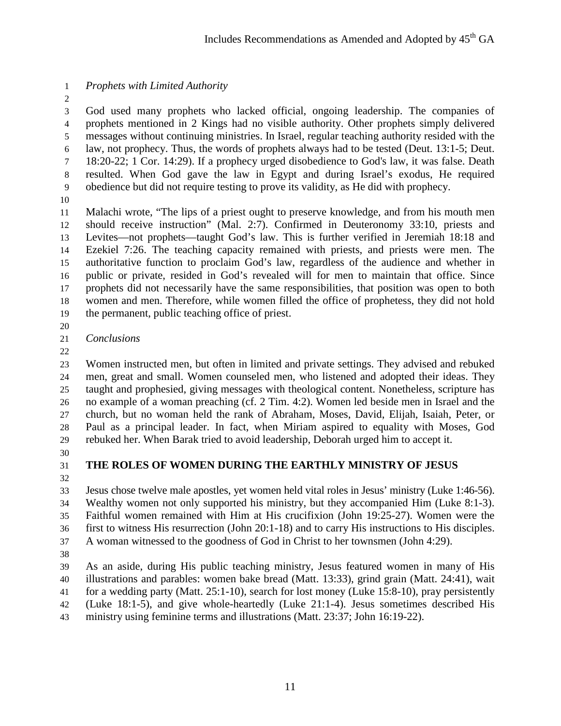# *Prophets with Limited Authority*

 God used many prophets who lacked official, ongoing leadership. The companies of prophets mentioned in 2 Kings had no visible authority. Other prophets simply delivered messages without continuing ministries. In Israel, regular teaching authority resided with the law, not prophecy. Thus, the words of prophets always had to be tested (Deut. 13:1-5; Deut. 18:20-22; 1 Cor. 14:29). If a prophecy urged disobedience to God's law, it was false. Death

 obedience but did not require testing to prove its validity, as He did with prophecy. 

 Malachi wrote, "The lips of a priest ought to preserve knowledge, and from his mouth men should receive instruction" (Mal. 2:7). Confirmed in Deuteronomy 33:10, priests and Levites—not prophets—taught God's law. This is further verified in Jeremiah 18:18 and Ezekiel 7:26. The teaching capacity remained with priests, and priests were men. The authoritative function to proclaim God's law, regardless of the audience and whether in public or private, resided in God's revealed will for men to maintain that office. Since prophets did not necessarily have the same responsibilities, that position was open to both women and men. Therefore, while women filled the office of prophetess, they did not hold the permanent, public teaching office of priest.

resulted. When God gave the law in Egypt and during Israel's exodus, He required

# *Conclusions*

 Women instructed men, but often in limited and private settings. They advised and rebuked men, great and small. Women counseled men, who listened and adopted their ideas. They taught and prophesied, giving messages with theological content. Nonetheless, scripture has no example of a woman preaching (cf. 2 Tim. 4:2). Women led beside men in Israel and the church, but no woman held the rank of Abraham, Moses, David, Elijah, Isaiah, Peter, or Paul as a principal leader. In fact, when Miriam aspired to equality with Moses, God rebuked her. When Barak tried to avoid leadership, Deborah urged him to accept it.

# **THE ROLES OF WOMEN DURING THE EARTHLY MINISTRY OF JESUS**

 Jesus chose twelve male apostles, yet women held vital roles in Jesus' ministry (Luke 1:46-56). Wealthy women not only supported his ministry, but they accompanied Him (Luke 8:1-3). Faithful women remained with Him at His crucifixion (John 19:25-27). Women were the first to witness His resurrection (John 20:1-18) and to carry His instructions to His disciples. A woman witnessed to the goodness of God in Christ to her townsmen (John 4:29).

 As an aside, during His public teaching ministry, Jesus featured women in many of His illustrations and parables: women bake bread (Matt. 13:33), grind grain (Matt. 24:41), wait for a wedding party (Matt. 25:1-10), search for lost money (Luke 15:8-10), pray persistently (Luke 18:1-5), and give whole-heartedly (Luke 21:1-4). Jesus sometimes described His ministry using feminine terms and illustrations (Matt. 23:37; John 16:19-22).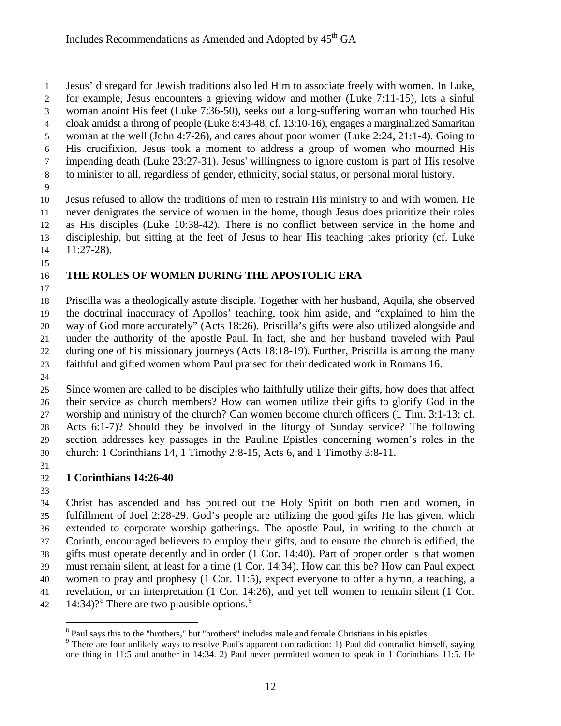Jesus' disregard for Jewish traditions also led Him to associate freely with women. In Luke,

- for example, Jesus encounters a grieving widow and mother (Luke 7:11-15), lets a sinful
- woman anoint His feet (Luke 7:36-50), seeks out a long-suffering woman who touched His
- cloak amidst a throng of people (Luke 8:43-48, cf. 13:10-16), engages a marginalized Samaritan
- woman at the well (John 4:7-26), and cares about poor women (Luke 2:24, 21:1-4). Going to His crucifixion, Jesus took a moment to address a group of women who mourned His
- impending death (Luke 23:27-31). Jesus' willingness to ignore custom is part of His resolve
- to minister to all, regardless of gender, ethnicity, social status, or personal moral history.
- 

 Jesus refused to allow the traditions of men to restrain His ministry to and with women. He never denigrates the service of women in the home, though Jesus does prioritize their roles as His disciples (Luke 10:38-42). There is no conflict between service in the home and discipleship, but sitting at the feet of Jesus to hear His teaching takes priority (cf. Luke 11:27-28).

# **THE ROLES OF WOMEN DURING THE APOSTOLIC ERA**

 Priscilla was a theologically astute disciple. Together with her husband, Aquila, she observed the doctrinal inaccuracy of Apollos' teaching, took him aside, and "explained to him the way of God more accurately" (Acts 18:26). Priscilla's gifts were also utilized alongside and under the authority of the apostle Paul. In fact, she and her husband traveled with Paul during one of his missionary journeys (Acts 18:18-19). Further, Priscilla is among the many faithful and gifted women whom Paul praised for their dedicated work in Romans 16.

 Since women are called to be disciples who faithfully utilize their gifts, how does that affect their service as church members? How can women utilize their gifts to glorify God in the worship and ministry of the church? Can women become church officers (1 Tim. 3:1-13; cf. Acts 6:1-7)? Should they be involved in the liturgy of Sunday service? The following section addresses key passages in the Pauline Epistles concerning women's roles in the church: 1 Corinthians 14, 1 Timothy 2:8-15, Acts 6, and 1 Timothy 3:8-11.

# **1 Corinthians 14:26-40**

 Christ has ascended and has poured out the Holy Spirit on both men and women, in fulfillment of Joel 2:28-29. God's people are utilizing the good gifts He has given, which extended to corporate worship gatherings. The apostle Paul, in writing to the church at Corinth, encouraged believers to employ their gifts, and to ensure the church is edified, the gifts must operate decently and in order (1 Cor. 14:40). Part of proper order is that women must remain silent, at least for a time (1 Cor. 14:34). How can this be? How can Paul expect women to pray and prophesy (1 Cor. 11:5), expect everyone to offer a hymn, a teaching, a revelation, or an interpretation (1 Cor. 14:26), and yet tell women to remain silent (1 Cor.  $14:34$ ?<sup>[8](#page-11-0)</sup> There are two plausible options.<sup>[9](#page-11-1)</sup>

<span id="page-11-0"></span><sup>&</sup>lt;sup>8</sup> Paul says this to the "brothers," but "brothers" includes male and female Christians in his epistles.

<span id="page-11-1"></span><sup>&</sup>lt;sup>9</sup> There are four unlikely ways to resolve Paul's apparent contradiction: 1) Paul did contradict himself, saying one thing in 11:5 and another in 14:34. 2) Paul never permitted women to speak in 1 Corinthians 11:5. He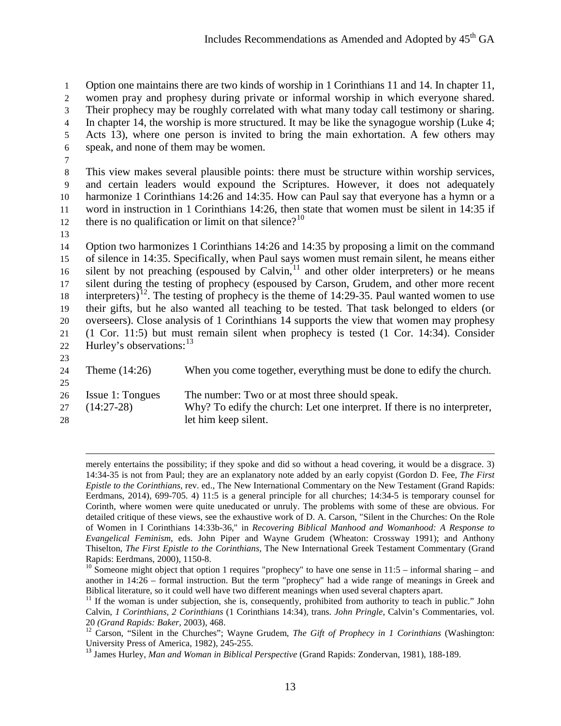Option one maintains there are two kinds of worship in 1 Corinthians 11 and 14. In chapter 11, women pray and prophesy during private or informal worship in which everyone shared. Their prophecy may be roughly correlated with what many today call testimony or sharing. In chapter 14, the worship is more structured. It may be like the synagogue worship (Luke 4; Acts 13), where one person is invited to bring the main exhortation. A few others may speak, and none of them may be women.

7

 This view makes several plausible points: there must be structure within worship services, and certain leaders would expound the Scriptures. However, it does not adequately harmonize 1 Corinthians 14:26 and 14:35. How can Paul say that everyone has a hymn or a word in instruction in 1 Corinthians 14:26, then state that women must be silent in 14:35 if there is no qualification or limit on that silence?<sup>[10](#page-12-0)</sup>

13

 $\overline{a}$ 

 Option two harmonizes 1 Corinthians 14:26 and 14:35 by proposing a limit on the command of silence in 14:35. Specifically, when Paul says women must remain silent, he means either 16 silent by not preaching (espoused by Calvin, $11$  and other older interpreters) or he means silent during the testing of prophecy (espoused by Carson, Grudem, and other more recent 18 interpreters)<sup>[12](#page-12-2)</sup>. The testing of prophecy is the theme of 14:29-35. Paul wanted women to use their gifts, but he also wanted all teaching to be tested. That task belonged to elders (or overseers). Close analysis of 1 Corinthians 14 supports the view that women may prophesy (1 Cor. 11:5) but must remain silent when prophecy is tested (1 Cor. 14:34). Consider 22 Hurley's observations:<sup>[13](#page-12-3)</sup>

| 23<br>24<br>25 | Theme $(14:26)$                  | When you come together, everything must be done to edify the church.                                                                               |
|----------------|----------------------------------|----------------------------------------------------------------------------------------------------------------------------------------------------|
| 26<br>27<br>28 | Issue 1: Tongues<br>$(14:27-28)$ | The number: Two or at most three should speak.<br>Why? To edify the church: Let one interpret. If there is no interpreter,<br>let him keep silent. |

merely entertains the possibility; if they spoke and did so without a head covering, it would be a disgrace. 3) 14:34-35 is not from Paul; they are an explanatory note added by an early copyist (Gordon D. Fee, *The First Epistle to the Corinthians,* rev. ed., The New International Commentary on the New Testament (Grand Rapids: Eerdmans, 2014), 699-705. 4) 11:5 is a general principle for all churches; 14:34-5 is temporary counsel for Corinth, where women were quite uneducated or unruly. The problems with some of these are obvious. For detailed critique of these views, see the exhaustive work of D. A. Carson, "Silent in the Churches: On the Role of Women in I Corinthians 14:33b-36," in *Recovering Biblical Manhood and Womanhood: A Response to Evangelical Feminism*, eds. John Piper and Wayne Grudem (Wheaton: Crossway 1991); and Anthony Thiselton, *The First Epistle to the Corinthians,* The New International Greek Testament Commentary (Grand

<span id="page-12-0"></span>Rapids: Eerdmans, 2000), 1150-8.<br><sup>10</sup> Someone might object that option 1 requires "prophecy" to have one sense in 11:5 – informal sharing – and another in 14:26 – formal instruction. But the term "prophecy" had a wide range of meanings in Greek and Biblical literature, so it could well have two different meanings when used several chapters apart.<br><sup>11</sup> If the woman is under subjection, she is, consequently, prohibited from authority to teach in public." John

<span id="page-12-1"></span>Calvin, *1 Corinthians, 2 Corinthians* (1 Corinthians 14:34)*,* trans. *John Pringle,* Calvin's Commentaries, vol.

<span id="page-12-2"></span><sup>20</sup> *(Grand Rapids: Baker, 2003), 468.*<br><sup>12</sup> Carson, "Silent in the Churches"; Wayne Grudem, *The Gift of Prophecy in 1 Corinthians* (Washington: University Press of America, 1982), 245-255.

<span id="page-12-3"></span><sup>&</sup>lt;sup>13</sup> James Hurley, *Man and Woman in Biblical Perspective* (Grand Rapids: Zondervan, 1981), 188-189.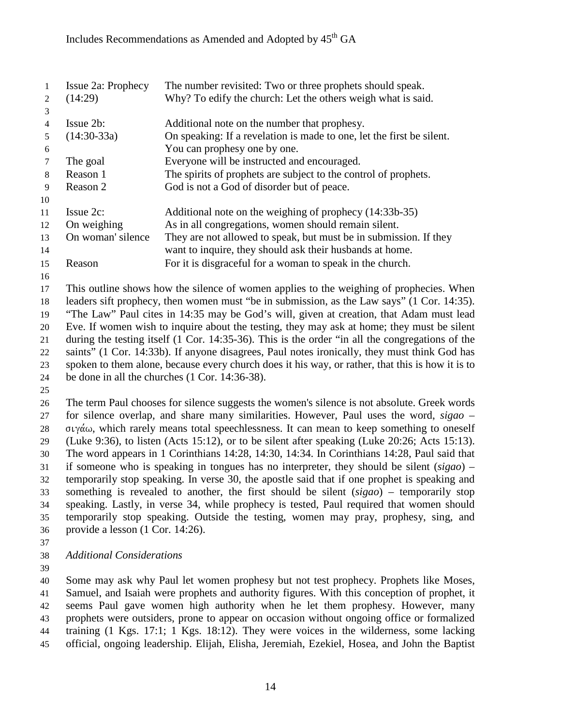|    | Issue 2a: Prophecy | The number revisited: Two or three prophets should speak.             |
|----|--------------------|-----------------------------------------------------------------------|
| 2  | (14:29)            | Why? To edify the church: Let the others weigh what is said.          |
| 3  |                    |                                                                       |
| 4  | Issue 2b:          | Additional note on the number that prophesy.                          |
| 5  | $(14:30-33a)$      | On speaking: If a revelation is made to one, let the first be silent. |
| 6  |                    | You can prophesy one by one.                                          |
|    | The goal           | Everyone will be instructed and encouraged.                           |
| 8  | Reason 1           | The spirits of prophets are subject to the control of prophets.       |
| 9  | Reason 2           | God is not a God of disorder but of peace.                            |
| 10 |                    |                                                                       |
| 11 | $I$ ssue $2c$ :    | Additional note on the weighing of prophecy (14:33b-35)               |
| 12 | On weighing        | As in all congregations, women should remain silent.                  |
| 13 | On woman' silence  | They are not allowed to speak, but must be in submission. If they     |
| 14 |                    | want to inquire, they should ask their husbands at home.              |
| 15 | Reason             | For it is disgraceful for a woman to speak in the church.             |
| 16 |                    |                                                                       |

 This outline shows how the silence of women applies to the weighing of prophecies. When leaders sift prophecy, then women must "be in submission, as the Law says" (1 Cor. 14:35). "The Law" Paul cites in 14:35 may be God's will, given at creation, that Adam must lead Eve. If women wish to inquire about the testing, they may ask at home; they must be silent during the testing itself (1 Cor. 14:35-36). This is the order "in all the congregations of the saints" (1 Cor. 14:33b). If anyone disagrees, Paul notes ironically, they must think God has spoken to them alone, because every church does it his way, or rather, that this is how it is to be done in all the churches (1 Cor. 14:36-38).

 The term Paul chooses for silence suggests the women's silence is not absolute. Greek words for silence overlap, and share many similarities. However, Paul uses the word, *sigao* –  $\sigma$   $\upsilon$   $\gamma$   $\alpha$   $\omega$ , which rarely means total speechlessness. It can mean to keep something to oneself (Luke 9:36), to listen (Acts 15:12), or to be silent after speaking (Luke 20:26; Acts 15:13). The word appears in 1 Corinthians 14:28, 14:30, 14:34. In Corinthians 14:28, Paul said that if someone who is speaking in tongues has no interpreter, they should be silent (*sigao*) – temporarily stop speaking. In verse 30, the apostle said that if one prophet is speaking and something is revealed to another, the first should be silent (*sigao*) – temporarily stop speaking. Lastly, in verse 34, while prophecy is tested, Paul required that women should temporarily stop speaking. Outside the testing, women may pray, prophesy, sing, and provide a lesson (1 Cor. 14:26).

*Additional Considerations*

 Some may ask why Paul let women prophesy but not test prophecy. Prophets like Moses, Samuel, and Isaiah were prophets and authority figures. With this conception of prophet, it seems Paul gave women high authority when he let them prophesy. However, many prophets were outsiders, prone to appear on occasion without ongoing office or formalized training (1 Kgs. 17:1; 1 Kgs. 18:12). They were voices in the wilderness, some lacking official, ongoing leadership. Elijah, Elisha, Jeremiah, Ezekiel, Hosea, and John the Baptist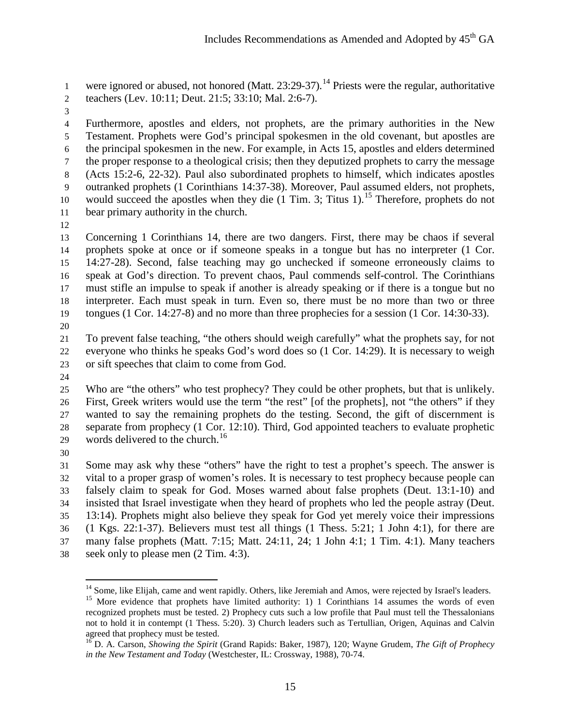were ignored or abused, not honored (Matt.  $23:29-37$ ).<sup>[14](#page-14-0)</sup> Priests were the regular, authoritative teachers (Lev. 10:11; Deut. 21:5; 33:10; Mal. 2:6-7).

 Furthermore, apostles and elders, not prophets, are the primary authorities in the New Testament. Prophets were God's principal spokesmen in the old covenant, but apostles are the principal spokesmen in the new. For example, in Acts 15, apostles and elders determined the proper response to a theological crisis; then they deputized prophets to carry the message (Acts 15:2-6, 22-32). Paul also subordinated prophets to himself, which indicates apostles outranked prophets (1 Corinthians 14:37-38). Moreover, Paul assumed elders, not prophets, 10 would succeed the apostles when they die  $(1 \text{ Tim. 3}; \text{Titus } 1)$ .<sup>[15](#page-14-1)</sup> Therefore, prophets do not bear primary authority in the church.

 Concerning 1 Corinthians 14, there are two dangers. First, there may be chaos if several prophets spoke at once or if someone speaks in a tongue but has no interpreter (1 Cor. 14:27-28). Second, false teaching may go unchecked if someone erroneously claims to speak at God's direction. To prevent chaos, Paul commends self-control. The Corinthians must stifle an impulse to speak if another is already speaking or if there is a tongue but no interpreter. Each must speak in turn. Even so, there must be no more than two or three tongues (1 Cor. 14:27-8) and no more than three prophecies for a session (1 Cor. 14:30-33).

 To prevent false teaching, "the others should weigh carefully" what the prophets say, for not everyone who thinks he speaks God's word does so (1 Cor. 14:29). It is necessary to weigh or sift speeches that claim to come from God.

 Who are "the others" who test prophecy? They could be other prophets, but that is unlikely. First, Greek writers would use the term "the rest" [of the prophets], not "the others" if they wanted to say the remaining prophets do the testing. Second, the gift of discernment is separate from prophecy (1 Cor. 12:10). Third, God appointed teachers to evaluate prophetic 29 words delivered to the church.<sup>[16](#page-14-2)</sup>

 Some may ask why these "others" have the right to test a prophet's speech. The answer is vital to a proper grasp of women's roles. It is necessary to test prophecy because people can falsely claim to speak for God. Moses warned about false prophets (Deut. 13:1-10) and insisted that Israel investigate when they heard of prophets who led the people astray (Deut. 13:14). Prophets might also believe they speak for God yet merely voice their impressions (1 Kgs. 22:1-37). Believers must test all things (1 Thess. 5:21; 1 John 4:1), for there are many false prophets (Matt. 7:15; Matt. 24:11, 24; 1 John 4:1; 1 Tim. 4:1). Many teachers seek only to please men (2 Tim. 4:3).

<sup>&</sup>lt;sup>14</sup> Some, like Elijah, came and went rapidly. Others, like Jeremiah and Amos, were rejected by Israel's leaders.

<span id="page-14-1"></span><span id="page-14-0"></span><sup>&</sup>lt;sup>15</sup> More evidence that prophets have limited authority: 1) 1 Corinthians 14 assumes the words of even recognized prophets must be tested. 2) Prophecy cuts such a low profile that Paul must tell the Thessalonians not to hold it in contempt (1 Thess. 5:20). 3) Church leaders such as Tertullian, Origen, Aquinas and Calvin

<span id="page-14-2"></span><sup>&</sup>lt;sup>16</sup> D. A. Carson, *Showing the Spirit* (Grand Rapids: Baker, 1987), 120; Wayne Grudem, *The Gift of Prophecy in the New Testament and Today* (Westchester, IL: Crossway, 1988), 70-74.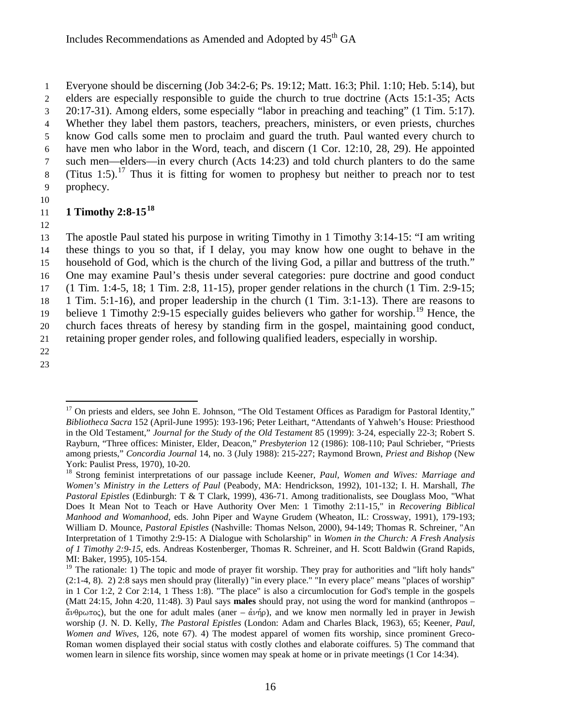Everyone should be discerning (Job 34:2-6; Ps. 19:12; Matt. 16:3; Phil. 1:10; Heb. 5:14), but elders are especially responsible to guide the church to true doctrine (Acts 15:1-35; Acts 20:17-31). Among elders, some especially "labor in preaching and teaching" (1 Tim. 5:17). Whether they label them pastors, teachers, preachers, ministers, or even priests, churches know God calls some men to proclaim and guard the truth. Paul wanted every church to have men who labor in the Word, teach, and discern (1 Cor. 12:10, 28, 29). He appointed such men—elders—in every church (Acts 14:23) and told church planters to do the same 8 (Titus 1:5).<sup>[17](#page-15-0)</sup> Thus it is fitting for women to prophesy but neither to preach nor to test prophecy.

10

#### **11** 1 Timothy 2:8-15<sup>[18](#page-15-1)</sup>

12

 The apostle Paul stated his purpose in writing Timothy in 1 Timothy 3:14-15: "I am writing these things to you so that, if I delay, you may know how one ought to behave in the household of God, which is the church of the living God, a pillar and buttress of the truth." One may examine Paul's thesis under several categories: pure doctrine and good conduct (1 Tim. 1:4-5, 18; 1 Tim. 2:8, 11-15), proper gender relations in the church (1 Tim. 2:9-15; 1 Tim. 5:1-16), and proper leadership in the church (1 Tim. 3:1-13). There are reasons to believe 1 Timothy 2:9-15 especially guides believers who gather for worship.<sup>[19](#page-15-2)</sup> Hence, the church faces threats of heresy by standing firm in the gospel, maintaining good conduct, retaining proper gender roles, and following qualified leaders, especially in worship. 22

<span id="page-15-0"></span>23

<sup>&</sup>lt;sup>17</sup> On priests and elders, see John E. Johnson, "The Old Testament Offices as Paradigm for Pastoral Identity," *Bibliotheca Sacra* 152 (April-June 1995): 193-196; Peter Leithart, "Attendants of Yahweh's House: Priesthood in the Old Testament," *Journal for the Study of the Old Testament* 85 (1999): 3-24, especially 22-3; Robert S. Rayburn, "Three offices: Minister, Elder, Deacon," *Presbyterion* 12 (1986): 108-110; Paul Schrieber, "Priests among priests," *Concordia Journal* 14, no. 3 (July 1988): 215-227; Raymond Brown, *Priest and Bishop* (New

<span id="page-15-1"></span>York: Paulist Press, 1970), 10-20.<br><sup>18</sup> Strong feminist interpretations of our passage include Keener, *Paul, Women and Wives: Marriage and Women's Ministry in the Letters of Paul* (Peabody, MA: Hendrickson, 1992), 101-132; I. H. Marshall, *The Pastoral Epistles* (Edinburgh: T & T Clark, 1999), 436-71. Among traditionalists, see Douglass Moo, "What Does It Mean Not to Teach or Have Authority Over Men: 1 Timothy 2:11-15," in *Recovering Biblical Manhood and Womanhood*, eds. John Piper and Wayne Grudem (Wheaton, IL: Crossway, 1991), 179-193; William D. Mounce, *Pastoral Epistles* (Nashville: Thomas Nelson, 2000), 94-149; Thomas R. Schreiner, "An Interpretation of 1 Timothy 2:9-15: A Dialogue with Scholarship" in *Women in the Church: A Fresh Analysis of 1 Timothy 2:9-15*, eds. Andreas Kostenberger, Thomas R. Schreiner, and H. Scott Baldwin (Grand Rapids, MI: Baker, 1995), 105-154.

<span id="page-15-2"></span><sup>&</sup>lt;sup>19</sup> The rationale: 1) The topic and mode of prayer fit worship. They pray for authorities and "lift holy hands" (2:1-4, 8). 2) 2:8 says men should pray (literally) "in every place." "In every place" means "places of worship" in 1 Cor 1:2, 2 Cor 2:14, 1 Thess 1:8). "The place" is also a circumlocution for God's temple in the gospels (Matt 24:15, John 4:20, 11:48). 3) Paul says **males** should pray, not using the word for mankind (anthropos –  $\alpha\theta$  $\alpha\pi$ o $\zeta$ ), but the one for adult males (aner –  $\alpha\nu\eta\rho$ ), and we know men normally led in prayer in Jewish worship (J. N. D. Kelly, *The Pastoral Epistles* (London: Adam and Charles Black, 1963), 65; Keener, *Paul, Women and Wives*, 126, note 67). 4) The modest apparel of women fits worship, since prominent Greco-Roman women displayed their social status with costly clothes and elaborate coiffures. 5) The command that women learn in silence fits worship, since women may speak at home or in private meetings (1 Cor 14:34).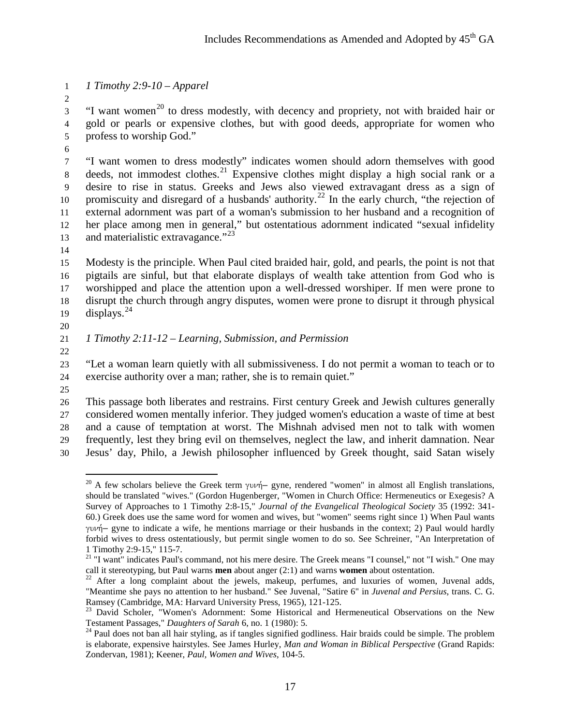*1 Timothy 2:9-10 – Apparel*

 $\frac{3}{10}$  "I want women<sup>[20](#page-16-0)</sup> to dress modestly, with decency and propriety, not with braided hair or gold or pearls or expensive clothes, but with good deeds, appropriate for women who profess to worship God."

 "I want women to dress modestly" indicates women should adorn themselves with good  $\delta$  deeds, not immodest clothes.<sup>[21](#page-16-1)</sup> Expensive clothes might display a high social rank or a desire to rise in status. Greeks and Jews also viewed extravagant dress as a sign of 10 promiscuity and disregard of a husbands' authority.<sup>[22](#page-16-2)</sup> In the early church, "the rejection of external adornment was part of a woman's submission to her husband and a recognition of her place among men in general," but ostentatious adornment indicated "sexual infidelity 13 and materialistic extravagance."

 Modesty is the principle. When Paul cited braided hair, gold, and pearls, the point is not that pigtails are sinful, but that elaborate displays of wealth take attention from God who is worshipped and place the attention upon a well-dressed worshiper. If men were prone to disrupt the church through angry disputes, women were prone to disrupt it through physical 19 displays.

# 

# *1 Timothy 2:11-12 – Learning, Submission, and Permission*

 "Let a woman learn quietly with all submissiveness. I do not permit a woman to teach or to exercise authority over a man; rather, she is to remain quiet."

 This passage both liberates and restrains. First century Greek and Jewish cultures generally considered women mentally inferior. They judged women's education a waste of time at best and a cause of temptation at worst. The Mishnah advised men not to talk with women frequently, lest they bring evil on themselves, neglect the law, and inherit damnation. Near

<span id="page-16-0"></span>Jesus' day, Philo, a Jewish philosopher influenced by Greek thought, said Satan wisely

 $\overline{a}$ <sup>20</sup> A few scholars believe the Greek term  $\gamma \nu \nu \nightharpoonup$ – gyne, rendered "women" in almost all English translations, should be translated "wives." (Gordon Hugenberger, "Women in Church Office: Hermeneutics or Exegesis? A Survey of Approaches to 1 Timothy 2:8-15," *Journal of the Evangelical Theological Society* 35 (1992: 341- 60.) Greek does use the same word for women and wives, but "women" seems right since 1) When Paul wants gunh,– gyne to indicate a wife, he mentions marriage or their husbands in the context; 2) Paul would hardly forbid wives to dress ostentatiously, but permit single women to do so. See Schreiner, "An Interpretation of 1 Timothy 2:9-15," 115-7.

<span id="page-16-1"></span><sup>&</sup>lt;sup>21</sup> "I want" indicates Paul's command, not his mere desire. The Greek means "I counsel," not "I wish." One may call it stereotyping, but Paul warns **men** about anger  $(2:1)$  and warns **women** about ostentation.

<span id="page-16-2"></span><sup>&</sup>lt;sup>22</sup> After a long complaint about the jewels, makeup, perfumes, and luxuries of women, Juvenal adds, "Meantime she pays no attention to her husband." See Juvenal, "Satire 6" in *Juvenal and Persius*, trans. C. G.

<span id="page-16-3"></span>Ramsey (Cambridge, MA: Harvard University Press, 1965), 121-125.<br><sup>23</sup> David Scholer, "Women's Adornment: Some Historical and Hermeneutical Observations on the New<br>Testament Passages," *Daughters of Sarah* 6, no. 1 (1980):

<span id="page-16-4"></span><sup>&</sup>lt;sup>24</sup> Paul does not ban all hair styling, as if tangles signified godliness. Hair braids could be simple. The problem is elaborate, expensive hairstyles. See James Hurley, *Man and Woman in Biblical Perspective* (Grand Rapids: Zondervan, 1981); Keener, *Paul, Women and Wives*, 104-5.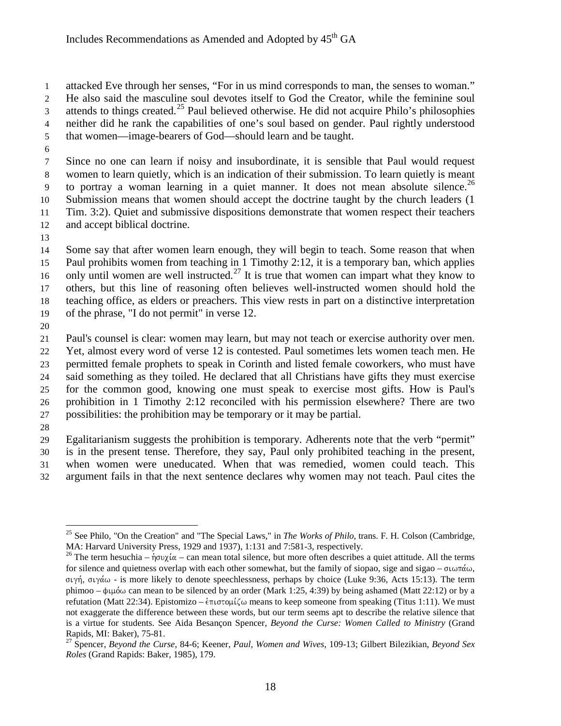attacked Eve through her senses, "For in us mind corresponds to man, the senses to woman."

He also said the masculine soul devotes itself to God the Creator, while the feminine soul

- 3 attends to things created.<sup>[25](#page-17-0)</sup> Paul believed otherwise. He did not acquire Philo's philosophies
- neither did he rank the capabilities of one's soul based on gender. Paul rightly understood
- that women—image-bearers of God—should learn and be taught.
- 

 Since no one can learn if noisy and insubordinate, it is sensible that Paul would request women to learn quietly, which is an indication of their submission. To learn quietly is meant to portray a woman learning in a quiet manner. It does not mean absolute silence.<sup>[26](#page-17-1)</sup> Submission means that women should accept the doctrine taught by the church leaders (1 Tim. 3:2). Quiet and submissive dispositions demonstrate that women respect their teachers and accept biblical doctrine.

 Some say that after women learn enough, they will begin to teach. Some reason that when Paul prohibits women from teaching in 1 Timothy 2:12, it is a temporary ban, which applies 16 only until women are well instructed.<sup>[27](#page-17-2)</sup> It is true that women can impart what they know to others, but this line of reasoning often believes well-instructed women should hold the teaching office, as elders or preachers. This view rests in part on a distinctive interpretation of the phrase, "I do not permit" in verse 12.

 Paul's counsel is clear: women may learn, but may not teach or exercise authority over men. Yet, almost every word of verse 12 is contested. Paul sometimes lets women teach men. He permitted female prophets to speak in Corinth and listed female coworkers, who must have said something as they toiled. He declared that all Christians have gifts they must exercise for the common good, knowing one must speak to exercise most gifts. How is Paul's prohibition in 1 Timothy 2:12 reconciled with his permission elsewhere? There are two possibilities: the prohibition may be temporary or it may be partial.

 Egalitarianism suggests the prohibition is temporary. Adherents note that the verb "permit" is in the present tense. Therefore, they say, Paul only prohibited teaching in the present, when women were uneducated. When that was remedied, women could teach. This argument fails in that the next sentence declares why women may not teach. Paul cites the

<span id="page-17-0"></span><sup>&</sup>lt;sup>25</sup> See Philo, "On the Creation" and "The Special Laws," in *The Works of Philo*, trans. F. H. Colson (Cambridge, MA: Harvard University Press, 1929 and 1937), 1:131 and 7:581-3, respectively.

<span id="page-17-1"></span><sup>&</sup>lt;sup>26</sup> The term hesuchia –  $n \partial v \chi \alpha$  – can mean total silence, but more often describes a quiet attitude. All the terms for silence and quietness overlap with each other somewhat, but the family of siopao, sige and sigao –  $\sigma\omega$ σιγή, σιγάω - is more likely to denote speechlessness, perhaps by choice (Luke 9:36, Acts 15:13). The term phimoo –  $\phi\psi\omega$  can mean to be silenced by an order (Mark 1:25, 4:39) by being ashamed (Matt 22:12) or by a refutation (Matt 22:34). Epistomizo –  $\epsilon \pi \iota \sigma \tau \iota \iota$  means to keep someone from speaking (Titus 1:11). We must not exaggerate the difference between these words, but our term seems apt to describe the relative silence that is a virtue for students. See Aida Besançon Spencer, *Beyond the Curse: Women Called to Ministry* (Grand Rapids, MI: Baker), 75-81.<br><sup>27</sup> Spencer, *Bevond the Curse*, 84-6; Keener, *Paul, Women and Wives*, 109-13; Gilbert Bilezikian, *Beyond Sex* 

<span id="page-17-2"></span>*Roles* (Grand Rapids: Baker, 1985), 179.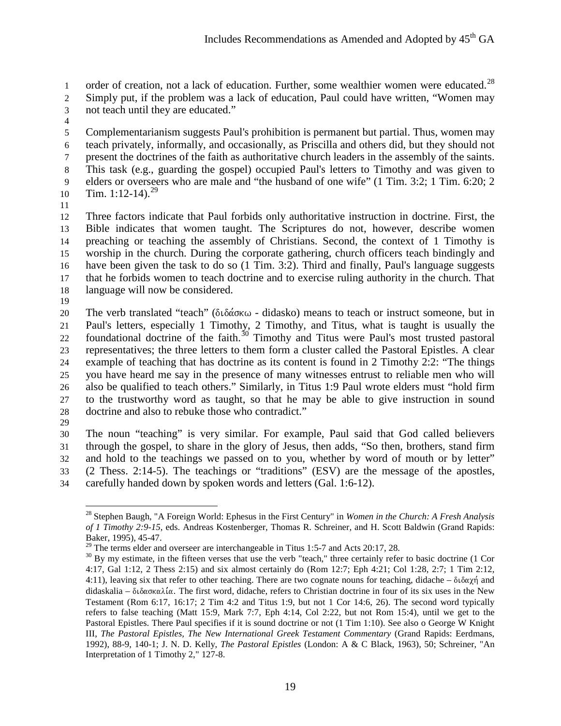1 order of creation, not a lack of education. Further, some wealthier women were educated.<sup>[28](#page-18-0)</sup> Simply put, if the problem was a lack of education, Paul could have written, "Women may not teach until they are educated."

 Complementarianism suggests Paul's prohibition is permanent but partial. Thus, women may teach privately, informally, and occasionally, as Priscilla and others did, but they should not present the doctrines of the faith as authoritative church leaders in the assembly of the saints. This task (e.g., guarding the gospel) occupied Paul's letters to Timothy and was given to elders or overseers who are male and "the husband of one wife" (1 Tim. 3:2; 1 Tim. 6:20; 2 10 Tim. 1:12-14).<sup>[29](#page-18-1)</sup>

 Three factors indicate that Paul forbids only authoritative instruction in doctrine. First, the Bible indicates that women taught. The Scriptures do not, however, describe women preaching or teaching the assembly of Christians. Second, the context of 1 Timothy is worship in the church. During the corporate gathering, church officers teach bindingly and have been given the task to do so (1 Tim. 3:2). Third and finally, Paul's language suggests that he forbids women to teach doctrine and to exercise ruling authority in the church. That language will now be considered.

20 The verb translated "teach" ( $\delta \iota \delta \alpha \kappa \omega$  - didasko) means to teach or instruct someone, but in Paul's letters, especially 1 Timothy, 2 Timothy, and Titus, what is taught is usually the 22 foundational doctrine of the faith.<sup>[30](#page-18-2)</sup> Timothy and Titus were Paul's most trusted pastoral representatives; the three letters to them form a cluster called the Pastoral Epistles. A clear example of teaching that has doctrine as its content is found in 2 Timothy 2:2: "The things you have heard me say in the presence of many witnesses entrust to reliable men who will also be qualified to teach others." Similarly, in Titus 1:9 Paul wrote elders must "hold firm to the trustworthy word as taught, so that he may be able to give instruction in sound doctrine and also to rebuke those who contradict."

 The noun "teaching" is very similar. For example, Paul said that God called believers through the gospel, to share in the glory of Jesus, then adds, "So then, brothers, stand firm and hold to the teachings we passed on to you, whether by word of mouth or by letter" (2 Thess. 2:14-5). The teachings or "traditions" (ESV) are the message of the apostles, carefully handed down by spoken words and letters (Gal. 1:6-12).

<span id="page-18-0"></span><sup>28</sup> Stephen Baugh, "A Foreign World: Ephesus in the First Century" in *Women in the Church: A Fresh Analysis of 1 Timothy 2:9-15*, eds. Andreas Kostenberger, Thomas R. Schreiner, and H. Scott Baldwin (Grand Rapids: Baker, 1995), 45-47.<br><sup>29</sup> The terms elder and overseer are interchangeable in Titus 1:5-7 and Acts 20:17, 28.

<span id="page-18-2"></span><span id="page-18-1"></span> By my estimate, in the fifteen verses that use the verb "teach," three certainly refer to basic doctrine (1 Cor 4:17, Gal 1:12, 2 Thess 2:15) and six almost certainly do (Rom 12:7; Eph 4:21; Col 1:28, 2:7; 1 Tim 2:12, 4:11), leaving six that refer to other teaching. There are two cognate nouns for teaching, didache –  $\delta \iota \delta \alpha \chi \eta$  and didaskalia –  $\delta\iota\delta\alpha\sigma\kappa\alpha\lambda\iota\alpha$ . The first word, didache, refers to Christian doctrine in four of its six uses in the New Testament (Rom 6:17, 16:17; 2 Tim 4:2 and Titus 1:9, but not 1 Cor 14:6, 26). The second word typically refers to false teaching (Matt 15:9, Mark 7:7, Eph 4:14, Col 2:22, but not Rom 15:4), until we get to the Pastoral Epistles. There Paul specifies if it is sound doctrine or not (1 Tim 1:10). See also o George W Knight III, *The Pastoral Epistles, The New International Greek Testament Commentary* (Grand Rapids: Eerdmans, 1992), 88-9, 140-1; J. N. D. Kelly, *The Pastoral Epistles* (London: A & C Black, 1963), 50; Schreiner, "An Interpretation of 1 Timothy 2," 127-8.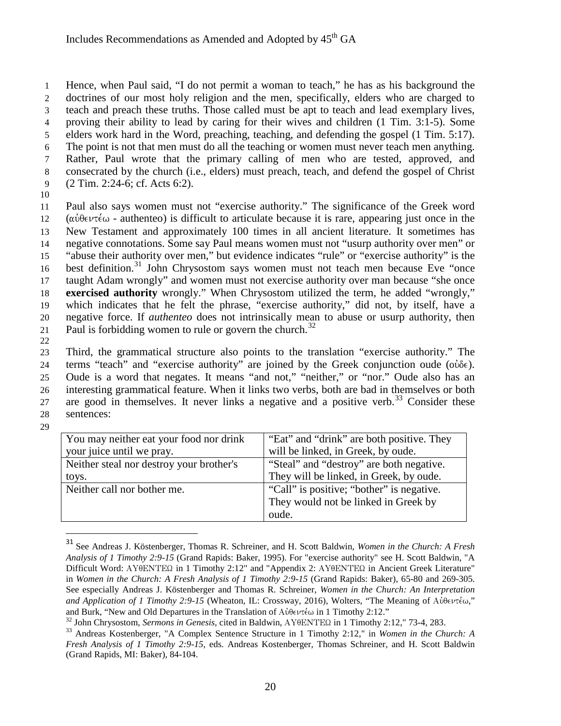Hence, when Paul said, "I do not permit a woman to teach," he has as his background the doctrines of our most holy religion and the men, specifically, elders who are charged to teach and preach these truths. Those called must be apt to teach and lead exemplary lives, proving their ability to lead by caring for their wives and children (1 Tim. 3:1-5). Some elders work hard in the Word, preaching, teaching, and defending the gospel (1 Tim. 5:17). The point is not that men must do all the teaching or women must never teach men anything. Rather, Paul wrote that the primary calling of men who are tested, approved, and consecrated by the church (i.e., elders) must preach, teach, and defend the gospel of Christ (2 Tim. 2:24-6; cf. Acts 6:2).

10

 Paul also says women must not "exercise authority." The significance of the Greek word 12 ( $\alpha \dot{\theta} \in \mathcal{V}(\alpha)$  - authenteo) is difficult to articulate because it is rare, appearing just once in the New Testament and approximately 100 times in all ancient literature. It sometimes has negative connotations. Some say Paul means women must not "usurp authority over men" or "abuse their authority over men," but evidence indicates "rule" or "exercise authority" is the 16 best definition.<sup>[31](#page-19-0)</sup> John Chrysostom says women must not teach men because Eve "once taught Adam wrongly" and women must not exercise authority over man because "she once **exercised authority** wrongly." When Chrysostom utilized the term, he added "wrongly," which indicates that he felt the phrase, "exercise authority," did not, by itself, have a negative force. If *authenteo* does not intrinsically mean to abuse or usurp authority, then 21 Paul is forbidding women to rule or govern the church.<sup>[32](#page-19-1)</sup>

22

 Third, the grammatical structure also points to the translation "exercise authority." The 24 terms "teach" and "exercise authority" are joined by the Greek conjunction oude ( $o\dot{\theta}e$ ). Oude is a word that negates. It means "and not," "neither," or "nor." Oude also has an interesting grammatical feature. When it links two verbs, both are bad in themselves or both 27 are good in themselves. It never links a negative and a positive verb.<sup>[33](#page-19-2)</sup> Consider these sentences:

29

| You may neither eat your food nor drink  | "Eat" and "drink" are both positive. They |
|------------------------------------------|-------------------------------------------|
| your juice until we pray.                | will be linked, in Greek, by oude.        |
| Neither steal nor destroy your brother's | "Steal" and "destroy" are both negative.  |
| toys.                                    | They will be linked, in Greek, by oude.   |
| Neither call nor bother me.              | "Call" is positive; "bother" is negative. |
|                                          | They would not be linked in Greek by      |
|                                          | oude.                                     |

<span id="page-19-0"></span> <sup>31</sup> See Andreas J. Köstenberger, Thomas R. Schreiner, and H. Scott Baldwin, *Women in the Church: A Fresh Analysis of 1 Timothy 2:9-15* (Grand Rapids: Baker, 1995). For "exercise authority" see H. Scott Baldwin, "A Difficult Word: AY $\theta$ ENTE $\Omega$  in 1 Timothy 2:12" and "Appendix 2: AY $\theta$ ENTE $\Omega$  in Ancient Greek Literature" in *Women in the Church: A Fresh Analysis of 1 Timothy 2:9-15* (Grand Rapids: Baker), 65-80 and 269-305. See especially Andreas J. Köstenberger and Thomas R. Schreiner, *Women in the Church: An Interpretation and Application of 1 Timothy 2:9-15* (Wheaton, IL: Crossway, 2016), Wolters, "The Meaning of Αὐθεντέω," and Burk, "New and Old Departures in the Translation of Αὐθεντέω in 1 Timothy 2:12."

<span id="page-19-2"></span><span id="page-19-1"></span><sup>&</sup>lt;sup>32</sup> John Chrysostom, *Sermons in Genesis*, cited in Baldwin, AY $\theta$ ENTE $\Omega$  in 1 Timothy 2:12," 73-4, 283.<br><sup>33</sup> Andreas Kostenberger, "A Complex Sentence Structure in 1 Timothy 2:12," in *Women in the Church: A Fresh Analysis of 1 Timothy 2:9-15*, eds. Andreas Kostenberger, Thomas Schreiner, and H. Scott Baldwin (Grand Rapids, MI: Baker), 84-104.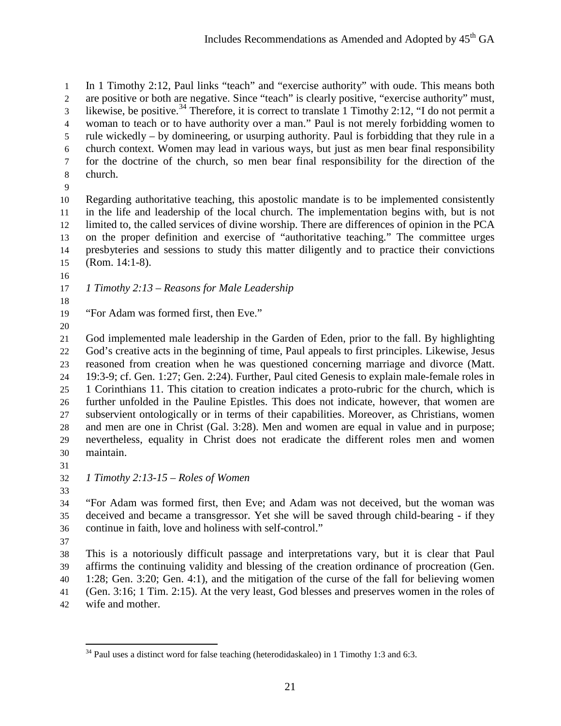In 1 Timothy 2:12, Paul links "teach" and "exercise authority" with oude. This means both are positive or both are negative. Since "teach" is clearly positive, "exercise authority" must, 3 likewise, be positive.<sup>[34](#page-20-0)</sup> Therefore, it is correct to translate 1 Timothy 2:12, "I do not permit a woman to teach or to have authority over a man." Paul is not merely forbidding women to rule wickedly – by domineering, or usurping authority. Paul is forbidding that they rule in a church context. Women may lead in various ways, but just as men bear final responsibility for the doctrine of the church, so men bear final responsibility for the direction of the church.

 Regarding authoritative teaching, this apostolic mandate is to be implemented consistently in the life and leadership of the local church. The implementation begins with, but is not limited to, the called services of divine worship. There are differences of opinion in the PCA on the proper definition and exercise of "authoritative teaching." The committee urges presbyteries and sessions to study this matter diligently and to practice their convictions (Rom. 14:1-8).

- 
- 

*1 Timothy 2:13 – Reasons for Male Leadership* 

"For Adam was formed first, then Eve."

 God implemented male leadership in the Garden of Eden, prior to the fall. By highlighting God's creative acts in the beginning of time, Paul appeals to first principles. Likewise, Jesus reasoned from creation when he was questioned concerning marriage and divorce (Matt. 19:3-9; cf. Gen. 1:27; Gen. 2:24). Further, Paul cited Genesis to explain male-female roles in 1 Corinthians 11. This citation to creation indicates a proto-rubric for the church, which is further unfolded in the Pauline Epistles. This does not indicate, however, that women are subservient ontologically or in terms of their capabilities. Moreover, as Christians, women and men are one in Christ (Gal. 3:28). Men and women are equal in value and in purpose; nevertheless, equality in Christ does not eradicate the different roles men and women maintain.

 *1 Timothy 2:13-15 – Roles of Women*  

 "For Adam was formed first, then Eve; and Adam was not deceived, but the woman was deceived and became a transgressor. Yet she will be saved through child-bearing - if they continue in faith, love and holiness with self-control."

 This is a notoriously difficult passage and interpretations vary, but it is clear that Paul affirms the continuing validity and blessing of the creation ordinance of procreation (Gen. 1:28; Gen. 3:20; Gen. 4:1), and the mitigation of the curse of the fall for believing women (Gen. 3:16; 1 Tim. 2:15). At the very least, God blesses and preserves women in the roles of wife and mother.

<span id="page-20-0"></span>Paul uses a distinct word for false teaching (heterodidaskaleo) in 1 Timothy 1:3 and 6:3.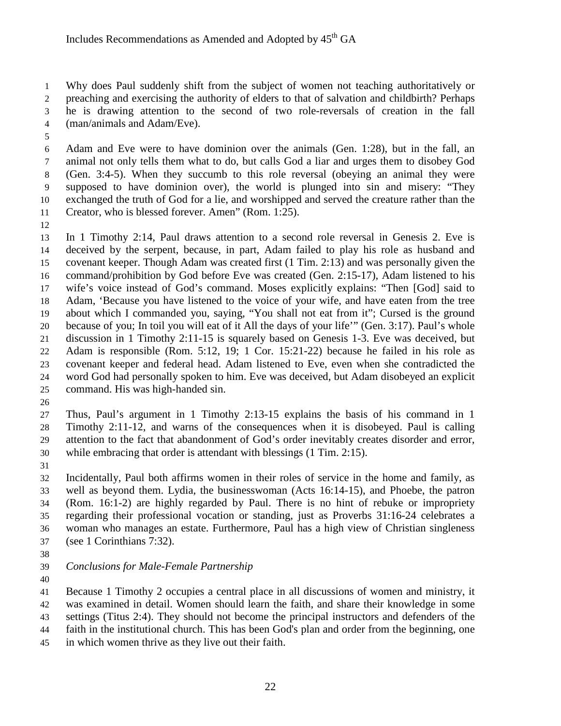Why does Paul suddenly shift from the subject of women not teaching authoritatively or preaching and exercising the authority of elders to that of salvation and childbirth? Perhaps he is drawing attention to the second of two role-reversals of creation in the fall (man/animals and Adam/Eve).

 Adam and Eve were to have dominion over the animals (Gen. 1:28), but in the fall, an animal not only tells them what to do, but calls God a liar and urges them to disobey God (Gen. 3:4-5). When they succumb to this role reversal (obeying an animal they were supposed to have dominion over), the world is plunged into sin and misery: "They exchanged the truth of God for a lie, and worshipped and served the creature rather than the Creator, who is blessed forever. Amen" (Rom. 1:25).

 In 1 Timothy 2:14, Paul draws attention to a second role reversal in Genesis 2. Eve is deceived by the serpent, because, in part, Adam failed to play his role as husband and covenant keeper. Though Adam was created first (1 Tim. 2:13) and was personally given the command/prohibition by God before Eve was created (Gen. 2:15-17), Adam listened to his wife's voice instead of God's command. Moses explicitly explains: "Then [God] said to Adam, 'Because you have listened to the voice of your wife, and have eaten from the tree about which I commanded you, saying, "You shall not eat from it"; Cursed is the ground because of you; In toil you will eat of it All the days of your life'" (Gen. 3:17). Paul's whole discussion in 1 Timothy 2:11-15 is squarely based on Genesis 1-3. Eve was deceived, but Adam is responsible (Rom. 5:12, 19; 1 Cor. 15:21-22) because he failed in his role as covenant keeper and federal head. Adam listened to Eve, even when she contradicted the word God had personally spoken to him. Eve was deceived, but Adam disobeyed an explicit command. His was high-handed sin.

 Thus, Paul's argument in 1 Timothy 2:13-15 explains the basis of his command in 1 Timothy 2:11-12, and warns of the consequences when it is disobeyed. Paul is calling attention to the fact that abandonment of God's order inevitably creates disorder and error, while embracing that order is attendant with blessings (1 Tim. 2:15).

 Incidentally, Paul both affirms women in their roles of service in the home and family, as well as beyond them. Lydia, the businesswoman (Acts 16:14-15), and Phoebe, the patron (Rom. 16:1-2) are highly regarded by Paul. There is no hint of rebuke or impropriety regarding their professional vocation or standing, just as Proverbs 31:16-24 celebrates a woman who manages an estate. Furthermore, Paul has a high view of Christian singleness (see 1 Corinthians 7:32).

- 
- *Conclusions for Male-Female Partnership*
- 

 Because 1 Timothy 2 occupies a central place in all discussions of women and ministry, it was examined in detail. Women should learn the faith, and share their knowledge in some settings (Titus 2:4). They should not become the principal instructors and defenders of the faith in the institutional church. This has been God's plan and order from the beginning, one in which women thrive as they live out their faith.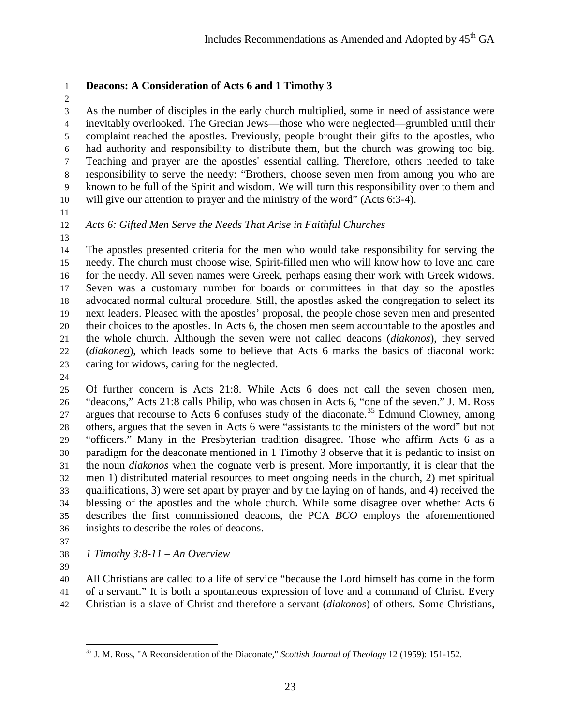# **Deacons: A Consideration of Acts 6 and 1 Timothy 3**

 As the number of disciples in the early church multiplied, some in need of assistance were inevitably overlooked. The Grecian Jews—those who were neglected—grumbled until their complaint reached the apostles. Previously, people brought their gifts to the apostles, who had authority and responsibility to distribute them, but the church was growing too big. Teaching and prayer are the apostles' essential calling. Therefore, others needed to take responsibility to serve the needy: "Brothers, choose seven men from among you who are known to be full of the Spirit and wisdom. We will turn this responsibility over to them and will give our attention to prayer and the ministry of the word" (Acts 6:3-4).

- 
- 

# *Acts 6: Gifted Men Serve the Needs That Arise in Faithful Churches*

 The apostles presented criteria for the men who would take responsibility for serving the needy. The church must choose wise, Spirit-filled men who will know how to love and care for the needy. All seven names were Greek, perhaps easing their work with Greek widows. Seven was a customary number for boards or committees in that day so the apostles advocated normal cultural procedure. Still, the apostles asked the congregation to select its next leaders. Pleased with the apostles' proposal, the people chose seven men and presented their choices to the apostles. In Acts 6, the chosen men seem accountable to the apostles and the whole church. Although the seven were not called deacons (*diakonos*), they served (*diakoneo*), which leads some to believe that Acts 6 marks the basics of diaconal work: caring for widows, caring for the neglected.

 Of further concern is Acts 21:8. While Acts 6 does not call the seven chosen men, "deacons," Acts 21:8 calls Philip, who was chosen in Acts 6, "one of the seven." J. M. Ross 27 argues that recourse to Acts 6 confuses study of the diaconate.<sup>[35](#page-22-0)</sup> Edmund Clowney, among others, argues that the seven in Acts 6 were "assistants to the ministers of the word" but not "officers." Many in the Presbyterian tradition disagree. Those who affirm Acts 6 as a paradigm for the deaconate mentioned in 1 Timothy 3 observe that it is pedantic to insist on the noun *diakonos* when the cognate verb is present. More importantly, it is clear that the men 1) distributed material resources to meet ongoing needs in the church, 2) met spiritual qualifications, 3) were set apart by prayer and by the laying on of hands, and 4) received the blessing of the apostles and the whole church. While some disagree over whether Acts 6 describes the first commissioned deacons, the PCA *BCO* employs the aforementioned insights to describe the roles of deacons.

- 
- *1 Timothy 3:8-11 – An Overview*
- 

 All Christians are called to a life of service "because the Lord himself has come in the form of a servant." It is both a spontaneous expression of love and a command of Christ. Every Christian is a slave of Christ and therefore a servant (*diakonos*) of others. Some Christians,

<span id="page-22-0"></span><sup>35</sup> J. M. Ross, "A Reconsideration of the Diaconate," *Scottish Journal of Theology* 12 (1959): 151-152.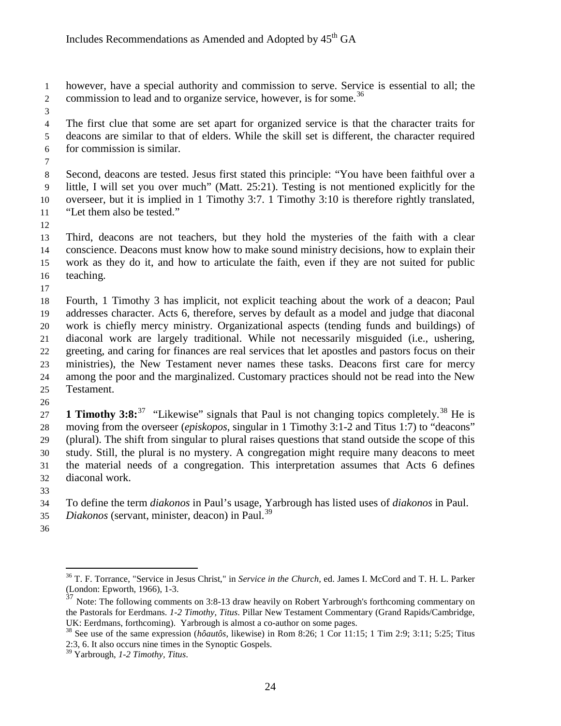however, have a special authority and commission to serve. Service is essential to all; the 2 commission to lead and to organize service, however, is for some.<sup>[36](#page-23-0)</sup>

 The first clue that some are set apart for organized service is that the character traits for deacons are similar to that of elders. While the skill set is different, the character required for commission is similar.

 Second, deacons are tested. Jesus first stated this principle: "You have been faithful over a little, I will set you over much" (Matt. 25:21). Testing is not mentioned explicitly for the overseer, but it is implied in 1 Timothy 3:7. 1 Timothy 3:10 is therefore rightly translated, "Let them also be tested."

 Third, deacons are not teachers, but they hold the mysteries of the faith with a clear conscience. Deacons must know how to make sound ministry decisions, how to explain their work as they do it, and how to articulate the faith, even if they are not suited for public teaching.

 Fourth, 1 Timothy 3 has implicit, not explicit teaching about the work of a deacon; Paul addresses character. Acts 6, therefore, serves by default as a model and judge that diaconal work is chiefly mercy ministry. Organizational aspects (tending funds and buildings) of diaconal work are largely traditional. While not necessarily misguided (i.e., ushering, greeting, and caring for finances are real services that let apostles and pastors focus on their ministries), the New Testament never names these tasks. Deacons first care for mercy among the poor and the marginalized. Customary practices should not be read into the New Testament.

**1 Timothy 3:8:**<sup>[37](#page-23-1)</sup> "Likewise" signals that Paul is not changing topics completely.<sup>[38](#page-23-2)</sup> He is moving from the overseer (*episkopos,* singular in 1 Timothy 3:1-2 and Titus 1:7) to "deacons" (plural). The shift from singular to plural raises questions that stand outside the scope of this study. Still, the plural is no mystery. A congregation might require many deacons to meet the material needs of a congregation. This interpretation assumes that Acts 6 defines diaconal work.

To define the term *diakonos* in Paul's usage, Yarbrough has listed uses of *diakonos* in Paul.

- 35 *Diakonos* (servant, minister, deacon) in Paul.<sup>[39](#page-23-3)</sup>
- <span id="page-23-0"></span>

<sup>36</sup> T. F. Torrance, "Service in Jesus Christ," in *Service in the Church,* ed. James I. McCord and T. H. L. Parker (London: Epworth, 1966), 1-3.

<span id="page-23-1"></span> $\frac{37}{37}$  Note: The following comments on 3:8-13 draw heavily on Robert Yarbrough's forthcoming commentary on the Pastorals for Eerdmans. *1-2 Timothy, Titus*. Pillar New Testament Commentary (Grand Rapids/Cambridge, UK: Eerdmans, forthcoming). Yarbrough is almost a co-author on some pages.<br><sup>38</sup> See use of the same expression (*hôautôs*, likewise) in Rom 8:26; 1 Cor 11:15; 1 Tim 2:9; 3:11; 5:25; Titus

<span id="page-23-2"></span><sup>2:3, 6.</sup> It also occurs nine times in the Synoptic Gospels.

<span id="page-23-3"></span>Yarbrough, *1-2 Timothy, Titus*.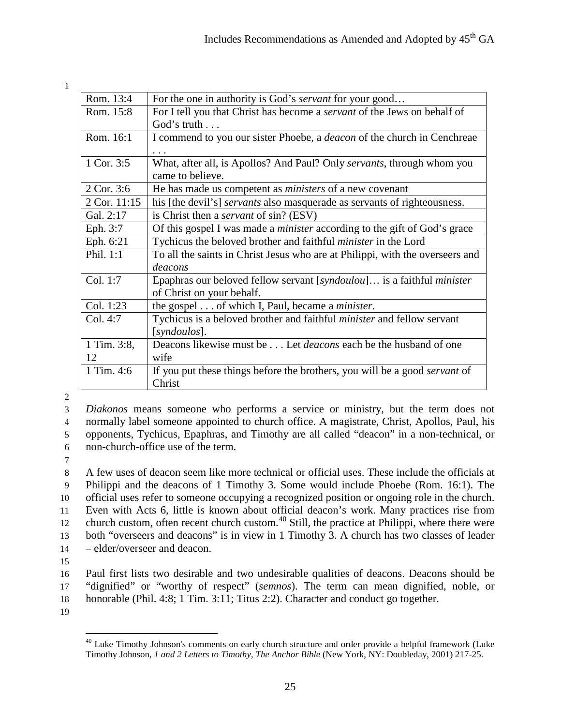1

| Rom. 13:4    | For the one in authority is God's <i>servant</i> for your good                    |
|--------------|-----------------------------------------------------------------------------------|
| Rom. 15:8    | For I tell you that Christ has become a <i>servant</i> of the Jews on behalf of   |
|              | God's truth                                                                       |
| Rom. 16:1    | I commend to you our sister Phoebe, a <i>deacon</i> of the church in Cenchreae    |
|              |                                                                                   |
| 1 Cor. 3:5   | What, after all, is Apollos? And Paul? Only servants, through whom you            |
|              | came to believe.                                                                  |
| 2 Cor. 3:6   | He has made us competent as <i>ministers</i> of a new covenant                    |
| 2 Cor. 11:15 | his [the devil's] <i>servants</i> also masquerade as servants of righteousness.   |
| Gal. 2:17    | is Christ then a <i>servant</i> of sin? (ESV)                                     |
| Eph. 3:7     | Of this gospel I was made a <i>minister</i> according to the gift of God's grace  |
| Eph. 6:21    | Tychicus the beloved brother and faithful minister in the Lord                    |
| Phil. 1:1    | To all the saints in Christ Jesus who are at Philippi, with the overseers and     |
|              | deacons                                                                           |
| Col. 1:7     | Epaphras our beloved fellow servant [syndoulou] is a faithful <i>minister</i>     |
|              | of Christ on your behalf.                                                         |
| Col. 1:23    | the gospel of which I, Paul, became a <i>minister</i> .                           |
| Col. 4:7     | Tychicus is a beloved brother and faithful <i>minister</i> and fellow servant     |
|              | [syndoulos].                                                                      |
| 1 Tim. 3:8,  | Deacons likewise must be Let <i>deacons</i> each be the husband of one            |
| 12           | wife                                                                              |
| 1 Tim. 4:6   | If you put these things before the brothers, you will be a good <i>servant</i> of |
|              | Christ                                                                            |

2

 *Diakonos* means someone who performs a service or ministry, but the term does not normally label someone appointed to church office. A magistrate, Christ, Apollos, Paul, his opponents, Tychicus, Epaphras, and Timothy are all called "deacon" in a non-technical, or non-church-office use of the term.

7

 A few uses of deacon seem like more technical or official uses. These include the officials at Philippi and the deacons of 1 Timothy 3. Some would include Phoebe (Rom. 16:1). The official uses refer to someone occupying a recognized position or ongoing role in the church. Even with Acts 6, little is known about official deacon's work. Many practices rise from 12 church custom, often recent church custom.<sup>[40](#page-24-0)</sup> Still, the practice at Philippi, where there were both "overseers and deacons" is in view in 1 Timothy 3. A church has two classes of leader – elder/overseer and deacon.

15

16 Paul first lists two desirable and two undesirable qualities of deacons. Deacons should be 17 "dignified" or "worthy of respect" (*semnos*). The term can mean dignified, noble, or 18 honorable (Phil. 4:8; 1 Tim. 3:11; Titus 2:2). Character and conduct go together.

<span id="page-24-0"></span>19

 $40$  Luke Timothy Johnson's comments on early church structure and order provide a helpful framework (Luke Timothy Johnson, *1 and 2 Letters to Timothy, The Anchor Bible* (New York, NY: Doubleday, 2001) 217-25.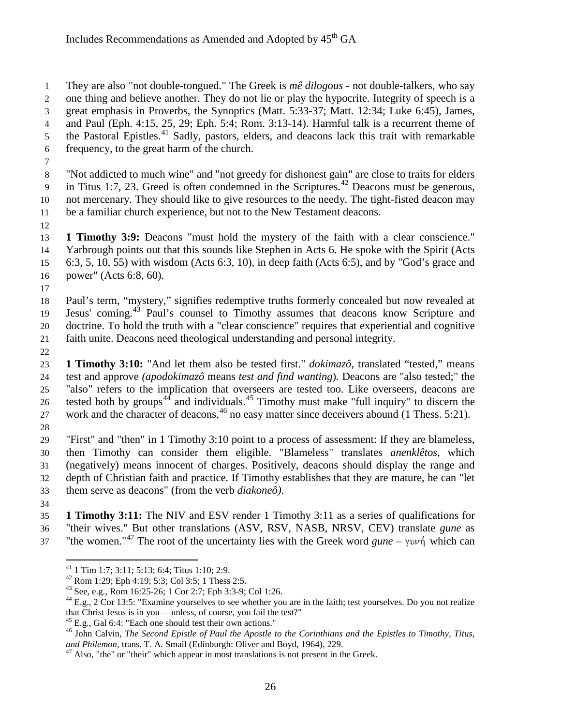They are also "not double-tongued." The Greek is *mê dilogous* - not double-talkers, who say one thing and believe another. They do not lie or play the hypocrite. Integrity of speech is a great emphasis in Proverbs, the Synoptics (Matt. 5:33-37; Matt. 12:34; Luke 6:45), James, and Paul (Eph. 4:15, 25, 29; Eph. 5:4; Rom. 3:13-14). Harmful talk is a recurrent theme of 5 the Pastoral Epistles.<sup>[41](#page-25-0)</sup> Sadly, pastors, elders, and deacons lack this trait with remarkable frequency, to the great harm of the church.

 "Not addicted to much wine" and "not greedy for dishonest gain" are close to traits for elders 9 in Titus 1:7, 23. Greed is often condemned in the Scriptures.<sup>[42](#page-25-1)</sup> Deacons must be generous, not mercenary. They should like to give resources to the needy. The tight-fisted deacon may be a familiar church experience, but not to the New Testament deacons.

 **1 Timothy 3:9:** Deacons "must hold the mystery of the faith with a clear conscience." Yarbrough points out that this sounds like Stephen in Acts 6. He spoke with the Spirit (Acts 6:3, 5, 10, 55) with wisdom (Acts 6:3, 10), in deep faith (Acts 6:5), and by "God's grace and power" (Acts 6:8, 60).

 Paul's term, "mystery," signifies redemptive truths formerly concealed but now revealed at 19 Jesus' coming.<sup>[43](#page-25-2)</sup> Paul's counsel to Timothy assumes that deacons know Scripture and doctrine. To hold the truth with a "clear conscience" requires that experiential and cognitive faith unite. Deacons need theological understanding and personal integrity.

 **1 Timothy 3:10:** "And let them also be tested first." *dokimazô*, translated "tested," means test and approve *(apodokimazô* means *test and find wanting*). Deacons are "also tested;" the "also" refers to the implication that overseers are tested too. Like overseers, deacons are tested both by groups<sup>[44](#page-25-3)</sup> and individuals.<sup>[45](#page-25-4)</sup> Timothy must make "full inquiry" to discern the 27 work and the character of deacons, no easy matter since deceivers abound (1 Thess. 5:21). 

 "First" and "then" in 1 Timothy 3:10 point to a process of assessment: If they are blameless, then Timothy can consider them eligible. "Blameless" translates *anenklêtos*, which (negatively) means innocent of charges. Positively, deacons should display the range and depth of Christian faith and practice. If Timothy establishes that they are mature, he can "let them serve as deacons" (from the verb *diakoneô)*.

 **1 Timothy 3:11:** The NIV and ESV render 1 Timothy 3:11 as a series of qualifications for "their wives." But other translations (ASV, RSV, NASB, NRSV, CEV) translate *gune* as "the women."<sup>[47](#page-25-6)</sup> The root of the uncertainty lies with the Greek word *gune* –  $\gamma \nu \nu \dot{\gamma}$  which can

<span id="page-25-2"></span><span id="page-25-1"></span><span id="page-25-0"></span><sup>&</sup>lt;sup>41</sup> 1 Tim 1:7; 3:11; 5:13; 6:4; Titus 1:10; 2:9.<br><sup>42</sup> Rom 1:29; Eph 4:19; 5:3; Col 3:5; 1 Thess 2:5.<br><sup>43</sup> See, e.g., Rom 16:25-26; 1 Cor 2:7; Eph 3:3-9; Col 1:26.<br><sup>44</sup> E.g., 2 Cor 13:5: "Examine yourselves to see whether

<span id="page-25-5"></span><span id="page-25-4"></span><span id="page-25-3"></span><sup>&</sup>lt;sup>45</sup> E.g., Gal 6:4: "Each one should test their own actions."<br><sup>46</sup> John Calvin, *The Second Epistle of Paul the Apostle to the Corinthians and the Epistles to Timothy, Titus, and Philemon, trans. T. A. Smail (Edinburgh: O* 

<span id="page-25-6"></span><sup>&</sup>lt;sup>47</sup> Also, "the" or "their" which appear in most translations is not present in the Greek.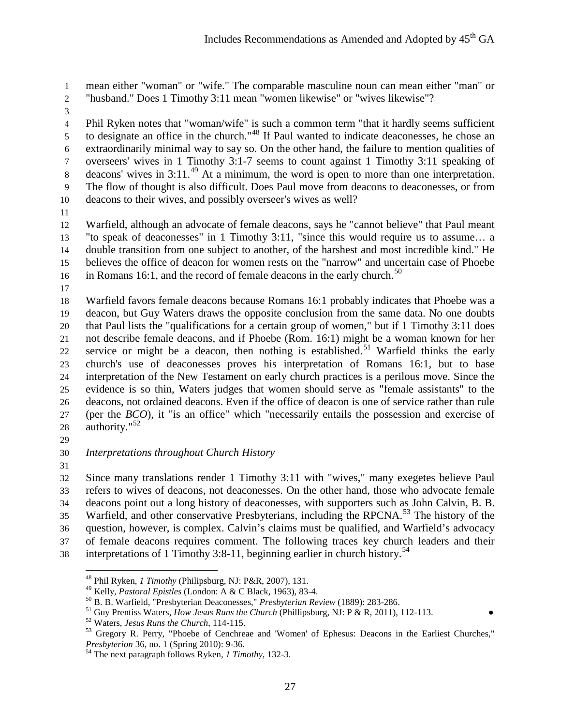mean either "woman" or "wife." The comparable masculine noun can mean either "man" or "husband." Does 1 Timothy 3:11 mean "women likewise" or "wives likewise"?

 Phil Ryken notes that "woman/wife" is such a common term "that it hardly seems sufficient to designate an office in the church."<sup>[48](#page-26-0)</sup> If Paul wanted to indicate deaconesses, he chose an extraordinarily minimal way to say so. On the other hand, the failure to mention qualities of overseers' wives in 1 Timothy 3:1-7 seems to count against 1 Timothy 3:11 speaking of 8 deacons' wives in  $3:11<sup>49</sup>$  $3:11<sup>49</sup>$  $3:11<sup>49</sup>$  At a minimum, the word is open to more than one interpretation. The flow of thought is also difficult. Does Paul move from deacons to deaconesses, or from deacons to their wives, and possibly overseer's wives as well?

 Warfield, although an advocate of female deacons, says he "cannot believe" that Paul meant "to speak of deaconesses" in 1 Timothy 3:11, "since this would require us to assume… a double transition from one subject to another, of the harshest and most incredible kind." He believes the office of deacon for women rests on the "narrow" and uncertain case of Phoebe 16 in Romans 16:1, and the record of female deacons in the early church.<sup>[50](#page-26-2)</sup>

 Warfield favors female deacons because Romans 16:1 probably indicates that Phoebe was a deacon, but Guy Waters draws the opposite conclusion from the same data. No one doubts that Paul lists the "qualifications for a certain group of women," but if 1 Timothy 3:11 does not describe female deacons, and if Phoebe (Rom. 16:1) might be a woman known for her service or might be a deacon, then nothing is established.<sup>[51](#page-26-3)</sup> Warfield thinks the early church's use of deaconesses proves his interpretation of Romans 16:1, but to base interpretation of the New Testament on early church practices is a perilous move. Since the evidence is so thin, Waters judges that women should serve as "female assistants" to the deacons, not ordained deacons. Even if the office of deacon is one of service rather than rule (per the *BCO*), it "is an office" which "necessarily entails the possession and exercise of 28 authority."

*Interpretations throughout Church History*

 Since many translations render 1 Timothy 3:11 with "wives," many exegetes believe Paul refers to wives of deacons, not deaconesses. On the other hand, those who advocate female deacons point out a long history of deaconesses, with supporters such as John Calvin, B. B. 35 Warfield, and other conservative Presbyterians, including the RPCNA.<sup>[53](#page-26-5)</sup> The history of the question, however, is complex. Calvin's claims must be qualified, and Warfield's advocacy of female deacons requires comment. The following traces key church leaders and their

<span id="page-26-3"></span><span id="page-26-2"></span><span id="page-26-1"></span><span id="page-26-0"></span>38 interpretations of 1 Timothy 3:8-11, beginning earlier in church history.<sup>[54](#page-26-6)</sup>

<sup>&</sup>lt;sup>48</sup> Phil Ryken, *1 Timothy* (Philipsburg, NJ: P&R, 2007), 131.<br><sup>49</sup> Kelly, *Pastoral Epistles* (London: A & C Black, 1963), 83-4.

<span id="page-26-5"></span><span id="page-26-4"></span>

<sup>&</sup>lt;sup>50</sup> B. B. Warfield, "Presbyterian Deaconesses," *Presbyterian Review* (1889): 283-286.<br><sup>51</sup> Guy Prentiss Waters, *How Jesus Runs the Church* (Phillipsburg, NJ: P & R, 2011), 112-113.<br><sup>52</sup> Waters, *Jesus Runs the Church*,

<span id="page-26-6"></span><sup>&</sup>lt;sup>54</sup> The next paragraph follows Ryken, *1 Timothy*, 132-3.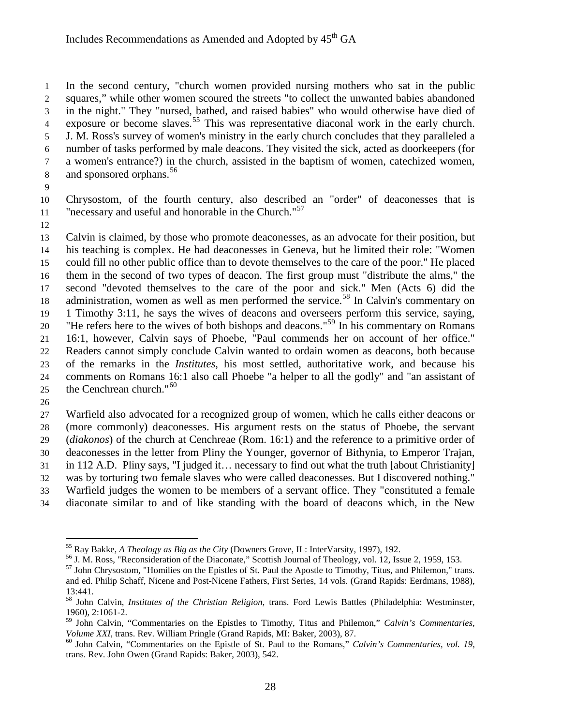In the second century, "church women provided nursing mothers who sat in the public squares," while other women scoured the streets "to collect the unwanted babies abandoned in the night." They "nursed, bathed, and raised babies" who would otherwise have died of 4 exposure or become slaves.<sup>[55](#page-27-0)</sup> This was representative diaconal work in the early church. J. M. Ross's survey of women's ministry in the early church concludes that they paralleled a number of tasks performed by male deacons. They visited the sick, acted as doorkeepers (for a women's entrance?) in the church, assisted in the baptism of women, catechized women, 8 and sponsored orphans.<sup>[56](#page-27-1)</sup>

 Chrysostom, of the fourth century, also described an "order" of deaconesses that is "necessary and useful and honorable in the Church."<sup>[57](#page-27-2)</sup>

 Calvin is claimed, by those who promote deaconesses, as an advocate for their position, but his teaching is complex. He had deaconesses in Geneva, but he limited their role: "Women could fill no other public office than to devote themselves to the care of the poor." He placed them in the second of two types of deacon. The first group must "distribute the alms," the second "devoted themselves to the care of the poor and sick." Men (Acts 6) did the 18 administration, women as well as men performed the service.<sup>[58](#page-27-3)</sup> In Calvin's commentary on 1 Timothy 3:11, he says the wives of deacons and overseers perform this service, saying, <sup>20</sup> "He refers here to the wives of both bishops and deacons."<sup>[59](#page-27-4)</sup> In his commentary on Romans 16:1, however, Calvin says of Phoebe, "Paul commends her on account of her office." Readers cannot simply conclude Calvin wanted to ordain women as deacons, both because of the remarks in the *Institutes*, his most settled, authoritative work, and because his comments on Romans 16:1 also call Phoebe "a helper to all the godly" and "an assistant of 25 the Cenchrean church."

 Warfield also advocated for a recognized group of women, which he calls either deacons or (more commonly) deaconesses. His argument rests on the status of Phoebe, the servant (*diakonos*) of the church at Cenchreae (Rom. 16:1) and the reference to a primitive order of

 deaconesses in the letter from Pliny the Younger, governor of Bithynia, to Emperor Trajan, in 112 A.D. Pliny says, "I judged it… necessary to find out what the truth [about Christianity]

- was by torturing two female slaves who were called deaconesses. But I discovered nothing."
- Warfield judges the women to be members of a servant office. They "constituted a female
- diaconate similar to and of like standing with the board of deacons which, in the New

<span id="page-27-1"></span><span id="page-27-0"></span>

<sup>&</sup>lt;sup>55</sup> Ray Bakke, *A Theology as Big as the City* (Downers Grove, IL: InterVarsity, 1997), 192.<br><sup>56</sup> J. M. Ross, "Reconsideration of the Diaconate," Scottish Journal of Theology, vol. 12, Issue 2, 1959, 153.<br><sup>57</sup> John Chrys

<span id="page-27-2"></span>and ed. Philip Schaff, Nicene and Post-Nicene Fathers, First Series, 14 vols. (Grand Rapids: Eerdmans, 1988), 13:441.

<span id="page-27-3"></span> John Calvin, *Institutes of the Christian Religion,* trans. Ford Lewis Battles (Philadelphia: Westminster, 1960), 2:1061-2.

<span id="page-27-4"></span> John Calvin, "Commentaries on the Epistles to Timothy, Titus and Philemon," *Calvin's Commentaries, Volume XXI*, trans. Rev. William Pringle (Grand Rapids, MI: Baker, 2003), 87. <sup>60</sup> John Calvin, "Commentaries on the Epistle of St. Paul to the Romans," *Calvin's Commentaries, vol. 19,* <sup>60</sup>

<span id="page-27-5"></span>trans. Rev. John Owen (Grand Rapids: Baker, 2003), 542.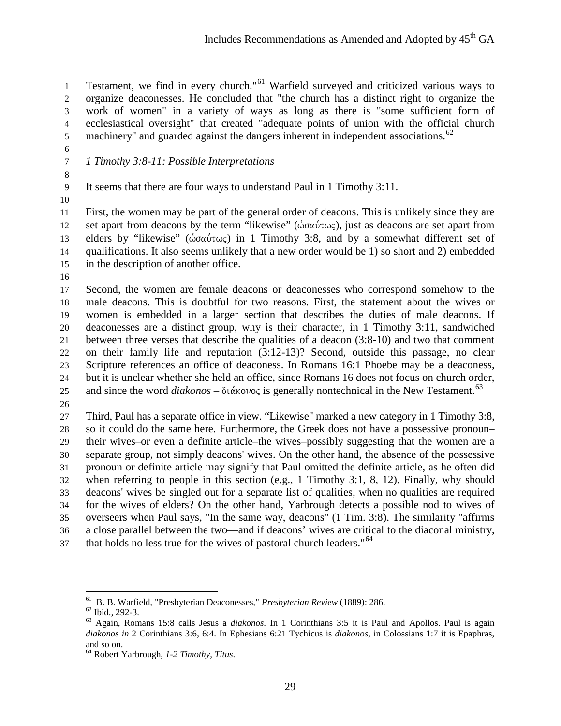1 Testament, we find in every church."<sup>[61](#page-28-0)</sup> Warfield surveyed and criticized various ways to organize deaconesses. He concluded that "the church has a distinct right to organize the work of women" in a variety of ways as long as there is "some sufficient form of ecclesiastical oversight" that created "adequate points of union with the official church 5 machinery" and guarded against the dangers inherent in independent associations.<sup>[62](#page-28-1)</sup>

*1 Timothy 3:8-11: Possible Interpretations*

It seems that there are four ways to understand Paul in 1 Timothy 3:11.

 First, the women may be part of the general order of deacons. This is unlikely since they are 12 set apart from deacons by the term "likewise" ( $\dot{\omega}$ σαύτως), just as deacons are set apart from 13 elders by "likewise" ( $\dot{\omega}$ σαύτως) in 1 Timothy 3:8, and by a somewhat different set of qualifications. It also seems unlikely that a new order would be 1) so short and 2) embedded in the description of another office.

 Second, the women are female deacons or deaconesses who correspond somehow to the male deacons. This is doubtful for two reasons. First, the statement about the wives or women is embedded in a larger section that describes the duties of male deacons. If deaconesses are a distinct group, why is their character, in 1 Timothy 3:11, sandwiched between three verses that describe the qualities of a deacon (3:8-10) and two that comment on their family life and reputation (3:12-13)? Second, outside this passage, no clear Scripture references an office of deaconess. In Romans 16:1 Phoebe may be a deaconess, but it is unclear whether she held an office, since Romans 16 does not focus on church order, 25 and since the word *diakonos* –  $\delta \iota \dot{\alpha}$  kovec is generally nontechnical in the New Testament.<sup>[63](#page-28-2)</sup>

 Third, Paul has a separate office in view. "Likewise" marked a new category in 1 Timothy 3:8, so it could do the same here. Furthermore, the Greek does not have a possessive pronoun– their wives–or even a definite article–the wives–possibly suggesting that the women are a separate group, not simply deacons' wives. On the other hand, the absence of the possessive pronoun or definite article may signify that Paul omitted the definite article, as he often did when referring to people in this section (e.g., 1 Timothy 3:1, 8, 12). Finally, why should deacons' wives be singled out for a separate list of qualities, when no qualities are required for the wives of elders? On the other hand, Yarbrough detects a possible nod to wives of overseers when Paul says, "In the same way, deacons" (1 Tim. 3:8). The similarity "affirms a close parallel between the two—and if deacons' wives are critical to the diaconal ministry, that holds no less true for the wives of pastoral church leaders."<sup>[64](#page-28-3)</sup>

<span id="page-28-2"></span>

<span id="page-28-1"></span><span id="page-28-0"></span><sup>&</sup>lt;sup>61</sup> B. B. Warfield, "Presbyterian Deaconesses," *Presbyterian Review* (1889): 286.<br><sup>62</sup> Ibid., 292-3.<br><sup>63</sup> Again, Romans 15:8 calls Jesus a *diakonos*. In 1 Corinthians 3:5 it is Paul and Apollos. Paul is again *diakonos in* 2 Corinthians 3:6, 6:4. In Ephesians 6:21 Tychicus is *diakonos,* in Colossians 1:7 it is Epaphras, and so on. <sup>64</sup> Robert Yarbrough, *1-2 Timothy, Titus*.

<span id="page-28-3"></span>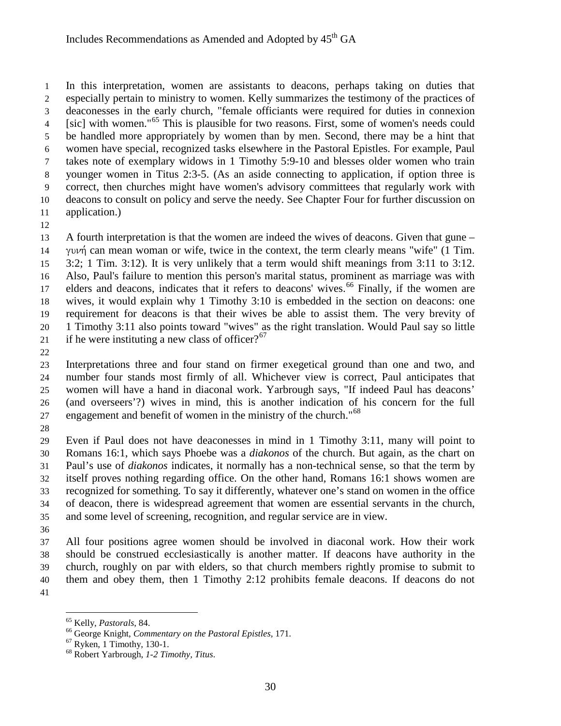In this interpretation, women are assistants to deacons, perhaps taking on duties that especially pertain to ministry to women. Kelly summarizes the testimony of the practices of deaconesses in the early church, "female officiants were required for duties in connexion [sic] with women."[65](#page-29-0) This is plausible for two reasons. First, some of women's needs could be handled more appropriately by women than by men. Second, there may be a hint that women have special, recognized tasks elsewhere in the Pastoral Epistles. For example, Paul takes note of exemplary widows in 1 Timothy 5:9-10 and blesses older women who train younger women in Titus 2:3-5. (As an aside connecting to application, if option three is correct, then churches might have women's advisory committees that regularly work with deacons to consult on policy and serve the needy. See Chapter Four for further discussion on application.)

 A fourth interpretation is that the women are indeed the wives of deacons. Given that gune – 14 yuvn can mean woman or wife, twice in the context, the term clearly means "wife" (1 Tim. 3:2; 1 Tim. 3:12). It is very unlikely that a term would shift meanings from 3:11 to 3:12. Also, Paul's failure to mention this person's marital status, prominent as marriage was with elders and deacons, indicates that it refers to deacons' wives.<sup>[66](#page-29-1)</sup> Finally, if the women are wives, it would explain why 1 Timothy 3:10 is embedded in the section on deacons: one requirement for deacons is that their wives be able to assist them. The very brevity of 1 Timothy 3:11 also points toward "wives" as the right translation. Would Paul say so little 21 if he were instituting a new class of officer?<sup>[67](#page-29-2)</sup>

 Interpretations three and four stand on firmer exegetical ground than one and two, and number four stands most firmly of all. Whichever view is correct, Paul anticipates that women will have a hand in diaconal work. Yarbrough says, "If indeed Paul has deacons' (and overseers'?) wives in mind, this is another indication of his concern for the full engagement and benefit of women in the ministry of the church."

 Even if Paul does not have deaconesses in mind in 1 Timothy 3:11, many will point to Romans 16:1, which says Phoebe was a *diakonos* of the church. But again, as the chart on Paul's use of *diakonos* indicates, it normally has a non-technical sense, so that the term by itself proves nothing regarding office. On the other hand, Romans 16:1 shows women are recognized for something*.* To say it differently, whatever one's stand on women in the office of deacon, there is widespread agreement that women are essential servants in the church, and some level of screening, recognition, and regular service are in view.

 All four positions agree women should be involved in diaconal work. How their work should be construed ecclesiastically is another matter. If deacons have authority in the church, roughly on par with elders, so that church members rightly promise to submit to them and obey them, then 1 Timothy 2:12 prohibits female deacons. If deacons do not 

<span id="page-29-1"></span><span id="page-29-0"></span>

<sup>&</sup>lt;sup>65</sup> Kelly, *Pastorals*, 84.<br><sup>66</sup> George Knight, *Commentary on the Pastoral Epistles*, 171.<br><sup>67</sup> Ryken, 1 Timothy, 130-1.<br><sup>68</sup> Robert Yarbrough, *1-2 Timothy, Titus*.

<span id="page-29-2"></span>

<span id="page-29-3"></span>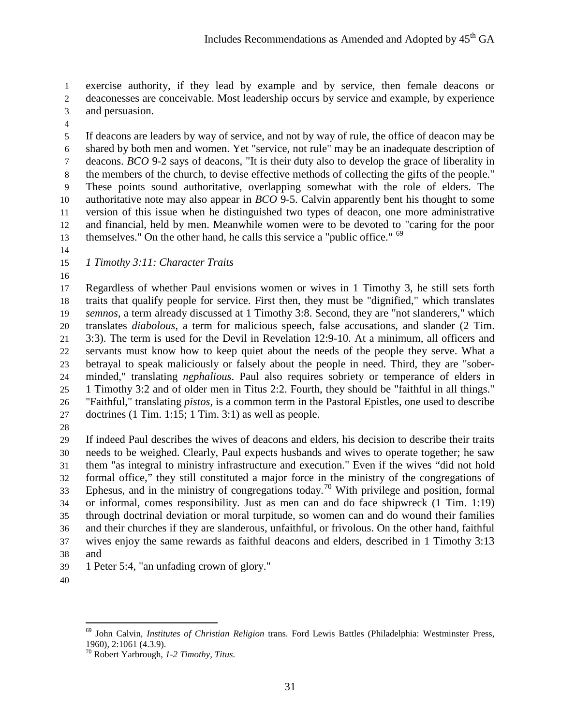exercise authority, if they lead by example and by service, then female deacons or deaconesses are conceivable. Most leadership occurs by service and example, by experience

- and persuasion.
- 

 If deacons are leaders by way of service, and not by way of rule, the office of deacon may be shared by both men and women. Yet "service, not rule" may be an inadequate description of deacons. *BCO* 9-2 says of deacons, "It is their duty also to develop the grace of liberality in the members of the church, to devise effective methods of collecting the gifts of the people." These points sound authoritative, overlapping somewhat with the role of elders. The authoritative note may also appear in *BCO* 9-5. Calvin apparently bent his thought to some version of this issue when he distinguished two types of deacon, one more administrative and financial, held by men. Meanwhile women were to be devoted to "caring for the poor themselves." On the other hand, he calls this service a "public office."

- 
- *1 Timothy 3:11: Character Traits*
- 

 Regardless of whether Paul envisions women or wives in 1 Timothy 3, he still sets forth traits that qualify people for service. First then, they must be "dignified," which translates *semnos,* a term already discussed at 1 Timothy 3:8. Second, they are "not slanderers," which translates *diabolous*, a term for malicious speech, false accusations, and slander (2 Tim. 3:3). The term is used for the Devil in Revelation 12:9-10. At a minimum, all officers and servants must know how to keep quiet about the needs of the people they serve. What a betrayal to speak maliciously or falsely about the people in need. Third, they are "sober- minded," translating *nephalious*. Paul also requires sobriety or temperance of elders in 1 Timothy 3:2 and of older men in Titus 2:2. Fourth, they should be "faithful in all things." "Faithful," translating *pistos,* is a common term in the Pastoral Epistles, one used to describe doctrines (1 Tim. 1:15; 1 Tim. 3:1) as well as people.

 If indeed Paul describes the wives of deacons and elders, his decision to describe their traits needs to be weighed. Clearly, Paul expects husbands and wives to operate together; he saw them "as integral to ministry infrastructure and execution." Even if the wives "did not hold formal office," they still constituted a major force in the ministry of the congregations of Ephesus, and in the ministry of congregations today.<sup>[70](#page-30-1)</sup> With privilege and position, formal or informal, comes responsibility. Just as men can and do face shipwreck (1 Tim. 1:19) through doctrinal deviation or moral turpitude, so women can and do wound their families and their churches if they are slanderous, unfaithful, or frivolous. On the other hand, faithful wives enjoy the same rewards as faithful deacons and elders, described in 1 Timothy 3:13 and

- 1 Peter 5:4, "an unfading crown of glory."
- <span id="page-30-0"></span>

<sup>69</sup> John Calvin, *Institutes of Christian Religion* trans. Ford Lewis Battles (Philadelphia: Westminster Press, 1960), 2:1061 (4.3.9).

<span id="page-30-1"></span>Robert Yarbrough, *1-2 Timothy, Titus*.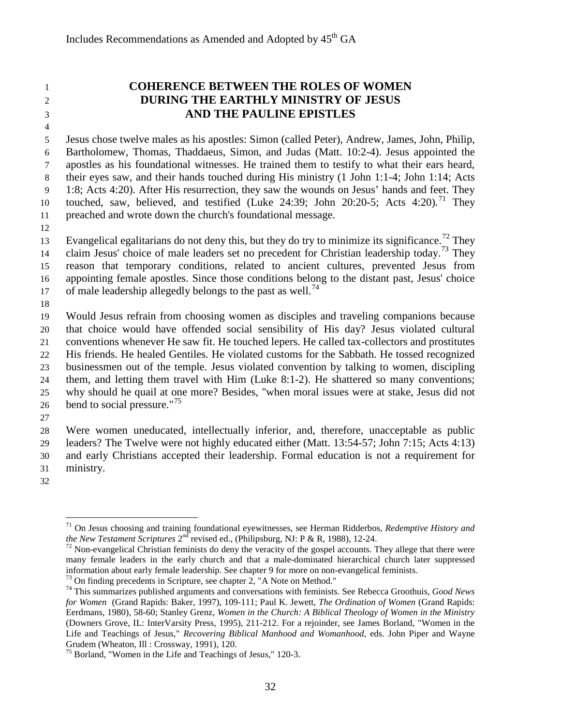# **COHERENCE BETWEEN THE ROLES OF WOMEN DURING THE EARTHLY MINISTRY OF JESUS AND THE PAULINE EPISTLES**

 Jesus chose twelve males as his apostles: Simon (called Peter), Andrew, James, John, Philip, Bartholomew, Thomas, Thaddaeus, Simon, and Judas (Matt. 10:2-4). Jesus appointed the apostles as his foundational witnesses. He trained them to testify to what their ears heard, their eyes saw, and their hands touched during His ministry (1 John 1:1-4; John 1:14; Acts 1:8; Acts 4:20). After His resurrection, they saw the wounds on Jesus' hands and feet. They touched, saw, believed, and testified (Luke 24:39; John 20:20-5; Acts 4:20).<sup>[71](#page-31-0)</sup> They preached and wrote down the church's foundational message.

Evangelical egalitarians do not deny this, but they do try to minimize its significance.<sup>[72](#page-31-1)</sup> They 14 claim Jesus' choice of male leaders set no precedent for Christian leadership today.<sup>[73](#page-31-2)</sup> They reason that temporary conditions, related to ancient cultures, prevented Jesus from appointing female apostles. Since those conditions belong to the distant past, Jesus' choice 17 of male leadership allegedly belongs to the past as well.<sup>[74](#page-31-3)</sup>

 Would Jesus refrain from choosing women as disciples and traveling companions because that choice would have offended social sensibility of His day? Jesus violated cultural conventions whenever He saw fit. He touched lepers. He called tax-collectors and prostitutes His friends. He healed Gentiles. He violated customs for the Sabbath. He tossed recognized businessmen out of the temple. Jesus violated convention by talking to women, discipling them, and letting them travel with Him (Luke 8:1-2). He shattered so many conventions; why should he quail at one more? Besides, "when moral issues were at stake, Jesus did not 26 bend to social pressure."<sup>[75](#page-31-4)</sup>

 Were women uneducated, intellectually inferior, and, therefore, unacceptable as public leaders? The Twelve were not highly educated either (Matt. 13:54-57; John 7:15; Acts 4:13) and early Christians accepted their leadership. Formal education is not a requirement for ministry.

<span id="page-31-0"></span>

<sup>71</sup> On Jesus choosing and training foundational eyewitnesses, see Herman Ridderbos, *Redemptive History and the New Testament Scriptures*  $2^{nd}$  revised ed., (Philipsburg, NJ: P & R, 1988), 12-24.<br><sup>72</sup> Non-evangelical Christian feminists do deny the veracity of the gospel accounts. They allege that there were

<span id="page-31-1"></span>many female leaders in the early church and that a male-dominated hierarchical church later suppressed information about early female leadership. See chapter 9 for more on non-evangelical feminists.

<span id="page-31-3"></span><span id="page-31-2"></span><sup>&</sup>lt;sup>73</sup> On finding precedents in Scripture, see chapter 2, "A Note on Method."<br><sup>74</sup> This summarizes published arguments and conversations with feminists. See Rebecca Groothuis, *Good News for Women* (Grand Rapids: Baker, 1997), 109-111; Paul K. Jewett, *The Ordination of Women* (Grand Rapids: Eerdmans, 1980), 58-60; Stanley Grenz, *Women in the Church: A Biblical Theology of Women in the Ministry* (Downers Grove, IL: InterVarsity Press, 1995), 211-212. For a rejoinder, see James Borland, "Women in the Life and Teachings of Jesus," *Recovering Biblical Manhood and Womanhood*, eds. John Piper and Wayne

<span id="page-31-4"></span> $<sup>75</sup>$  Borland, "Women in the Life and Teachings of Jesus," 120-3.</sup>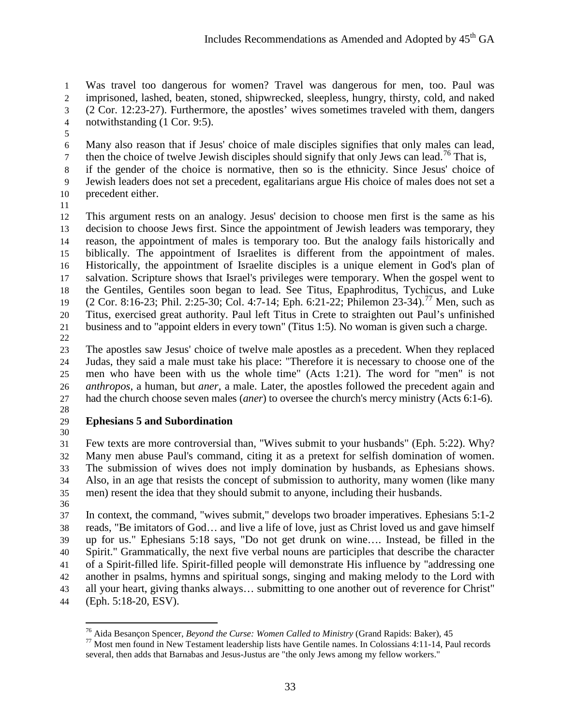Was travel too dangerous for women? Travel was dangerous for men, too. Paul was imprisoned, lashed, beaten, stoned, shipwrecked, sleepless, hungry, thirsty, cold, and naked (2 Cor. 12:23-27). Furthermore, the apostles' wives sometimes traveled with them, dangers notwithstanding (1 Cor. 9:5).

 Many also reason that if Jesus' choice of male disciples signifies that only males can lead, then the choice of twelve Jewish disciples should signify that only Jews can lead.<sup>[76](#page-32-0)</sup> That is,

 if the gender of the choice is normative, then so is the ethnicity. Since Jesus' choice of Jewish leaders does not set a precedent, egalitarians argue His choice of males does not set a precedent either.

 This argument rests on an analogy. Jesus' decision to choose men first is the same as his decision to choose Jews first. Since the appointment of Jewish leaders was temporary, they reason, the appointment of males is temporary too. But the analogy fails historically and biblically. The appointment of Israelites is different from the appointment of males. Historically, the appointment of Israelite disciples is a unique element in God's plan of salvation. Scripture shows that Israel's privileges were temporary. When the gospel went to the Gentiles, Gentiles soon began to lead. See Titus, Epaphroditus, Tychicus, and Luke (2 Cor. 8:16-23; Phil. 2:25-30; Col. 4:7-14; Eph. 6:21-22; Philemon 23-34).<sup>[77](#page-32-1)</sup> Men, such as Titus, exercised great authority. Paul left Titus in Crete to straighten out Paul's unfinished business and to "appoint elders in every town" (Titus 1:5). No woman is given such a charge.

 The apostles saw Jesus' choice of twelve male apostles as a precedent. When they replaced Judas, they said a male must take his place: "Therefore it is necessary to choose one of the men who have been with us the whole time" (Acts 1:21). The word for "men" is not *anthropos*, a human, but *aner,* a male. Later, the apostles followed the precedent again and had the church choose seven males (*aner*) to oversee the church's mercy ministry (Acts 6:1-6).

# **Ephesians 5 and Subordination**

 Few texts are more controversial than, "Wives submit to your husbands" (Eph. 5:22). Why? Many men abuse Paul's command, citing it as a pretext for selfish domination of women. The submission of wives does not imply domination by husbands, as Ephesians shows. Also, in an age that resists the concept of submission to authority, many women (like many men) resent the idea that they should submit to anyone, including their husbands.

 In context, the command, "wives submit," develops two broader imperatives. Ephesians 5:1-2 reads, "Be imitators of God… and live a life of love, just as Christ loved us and gave himself up for us." Ephesians 5:18 says, "Do not get drunk on wine…. Instead, be filled in the Spirit." Grammatically, the next five verbal nouns are participles that describe the character of a Spirit-filled life. Spirit-filled people will demonstrate His influence by "addressing one another in psalms, hymns and spiritual songs, singing and making melody to the Lord with all your heart, giving thanks always… submitting to one another out of reverence for Christ" (Eph. 5:18-20, ESV).

<span id="page-32-1"></span><span id="page-32-0"></span>

<sup>&</sup>lt;sup>76</sup> Aida Besançon Spencer, *Beyond the Curse: Women Called to Ministry* (Grand Rapids: Baker), 45<br><sup>77</sup> Most men found in New Testament leadership lists have Gentile names. In Colossians 4:11-14, Paul records several, then adds that Barnabas and Jesus-Justus are "the only Jews among my fellow workers."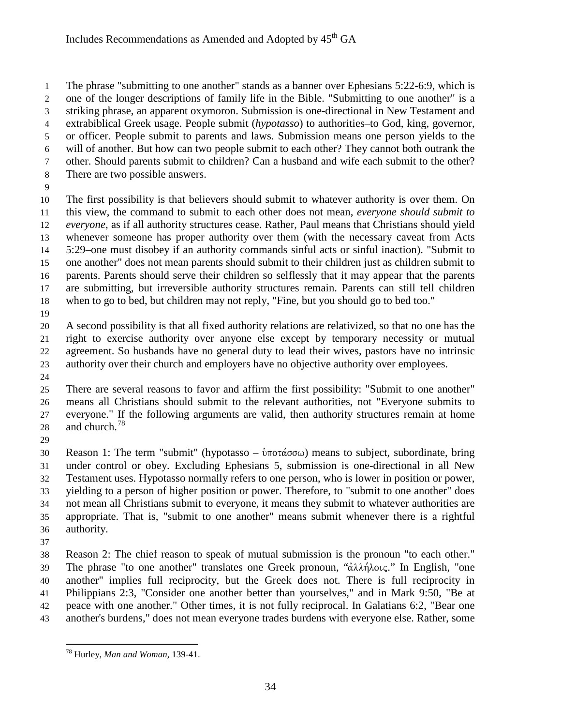The phrase "submitting to one another" stands as a banner over Ephesians 5:22-6:9, which is one of the longer descriptions of family life in the Bible. "Submitting to one another" is a striking phrase, an apparent oxymoron. Submission is one-directional in New Testament and extrabiblical Greek usage. People submit (*hypotasso*) to authorities–to God, king, governor, or officer. People submit to parents and laws. Submission means one person yields to the will of another. But how can two people submit to each other? They cannot both outrank the other. Should parents submit to children? Can a husband and wife each submit to the other? There are two possible answers. The first possibility is that believers should submit to whatever authority is over them. On

 this view, the command to submit to each other does not mean, *everyone should submit to everyone*, as if all authority structures cease. Rather, Paul means that Christians should yield whenever someone has proper authority over them (with the necessary caveat from Acts 5:29–one must disobey if an authority commands sinful acts or sinful inaction). "Submit to one another" does not mean parents should submit to their children just as children submit to parents. Parents should serve their children so selflessly that it may appear that the parents are submitting, but irreversible authority structures remain. Parents can still tell children when to go to bed, but children may not reply, "Fine, but you should go to bed too."

 A second possibility is that all fixed authority relations are relativized, so that no one has the right to exercise authority over anyone else except by temporary necessity or mutual agreement. So husbands have no general duty to lead their wives, pastors have no intrinsic authority over their church and employers have no objective authority over employees.

 There are several reasons to favor and affirm the first possibility: "Submit to one another" means all Christians should submit to the relevant authorities, not "Everyone submits to everyone." If the following arguments are valid, then authority structures remain at home 28 and church. $^{78}$  $^{78}$  $^{78}$ 

30 Reason 1: The term "submit" (hypotasso –  $\hat{v}$ ποτάσσω) means to subject, subordinate, bring under control or obey. Excluding Ephesians 5, submission is one-directional in all New Testament uses. Hypotasso normally refers to one person, who is lower in position or power, yielding to a person of higher position or power. Therefore, to "submit to one another" does not mean all Christians submit to everyone, it means they submit to whatever authorities are appropriate. That is, "submit to one another" means submit whenever there is a rightful authority.

 Reason 2: The chief reason to speak of mutual submission is the pronoun "to each other." 39 The phrase "to one another" translates one Greek pronoun, "αλλήλοις." In English, "one another" implies full reciprocity, but the Greek does not. There is full reciprocity in Philippians 2:3, "Consider one another better than yourselves," and in Mark 9:50, "Be at peace with one another." Other times, it is not fully reciprocal. In Galatians 6:2, "Bear one another's burdens," does not mean everyone trades burdens with everyone else. Rather, some

<span id="page-33-0"></span><sup>78</sup> Hurley, *Man and Woman*, 139-41.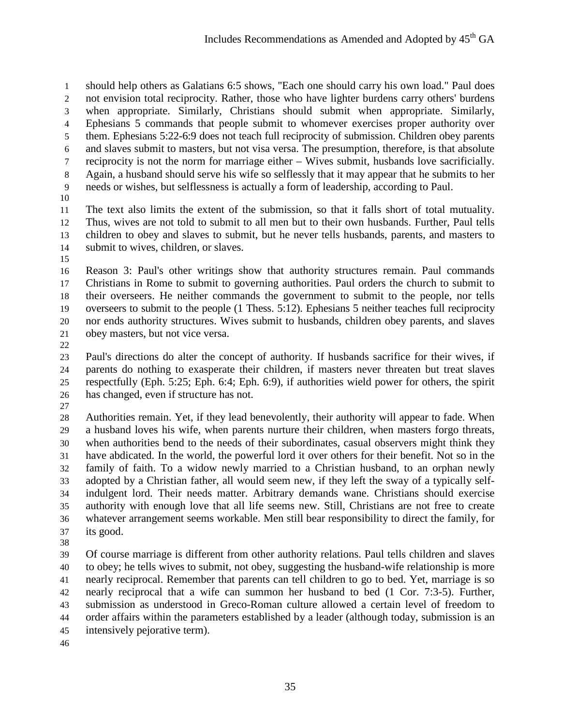should help others as Galatians 6:5 shows, "Each one should carry his own load." Paul does not envision total reciprocity. Rather, those who have lighter burdens carry others' burdens when appropriate. Similarly, Christians should submit when appropriate. Similarly, Ephesians 5 commands that people submit to whomever exercises proper authority over them. Ephesians 5:22-6:9 does not teach full reciprocity of submission. Children obey parents and slaves submit to masters, but not visa versa. The presumption, therefore, is that absolute reciprocity is not the norm for marriage either – Wives submit, husbands love sacrificially. Again, a husband should serve his wife so selflessly that it may appear that he submits to her needs or wishes, but selflessness is actually a form of leadership, according to Paul.

 The text also limits the extent of the submission, so that it falls short of total mutuality. Thus, wives are not told to submit to all men but to their own husbands. Further, Paul tells children to obey and slaves to submit, but he never tells husbands, parents, and masters to submit to wives, children, or slaves.

 Reason 3: Paul's other writings show that authority structures remain. Paul commands Christians in Rome to submit to governing authorities. Paul orders the church to submit to their overseers. He neither commands the government to submit to the people, nor tells overseers to submit to the people (1 Thess. 5:12). Ephesians 5 neither teaches full reciprocity nor ends authority structures. Wives submit to husbands, children obey parents, and slaves obey masters, but not vice versa.

 Paul's directions do alter the concept of authority. If husbands sacrifice for their wives, if parents do nothing to exasperate their children, if masters never threaten but treat slaves respectfully (Eph. 5:25; Eph. 6:4; Eph. 6:9), if authorities wield power for others, the spirit has changed, even if structure has not.

 Authorities remain. Yet, if they lead benevolently, their authority will appear to fade. When a husband loves his wife, when parents nurture their children, when masters forgo threats, when authorities bend to the needs of their subordinates, casual observers might think they have abdicated. In the world, the powerful lord it over others for their benefit. Not so in the family of faith. To a widow newly married to a Christian husband, to an orphan newly adopted by a Christian father, all would seem new, if they left the sway of a typically self- indulgent lord. Their needs matter. Arbitrary demands wane. Christians should exercise authority with enough love that all life seems new. Still, Christians are not free to create whatever arrangement seems workable. Men still bear responsibility to direct the family, for its good.

 Of course marriage is different from other authority relations. Paul tells children and slaves to obey; he tells wives to submit, not obey, suggesting the husband-wife relationship is more nearly reciprocal. Remember that parents can tell children to go to bed. Yet, marriage is so nearly reciprocal that a wife can summon her husband to bed (1 Cor. 7:3-5). Further, submission as understood in Greco-Roman culture allowed a certain level of freedom to order affairs within the parameters established by a leader (although today, submission is an intensively pejorative term).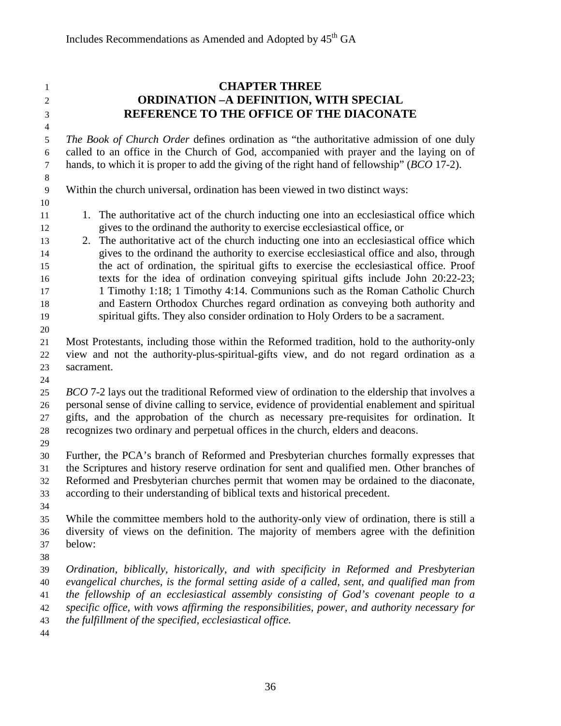# **CHAPTER THREE ORDINATION –A DEFINITION, WITH SPECIAL REFERENCE TO THE OFFICE OF THE DIACONATE**

 *The Book of Church Order* defines ordination as "the authoritative admission of one duly called to an office in the Church of God, accompanied with prayer and the laying on of hands, to which it is proper to add the giving of the right hand of fellowship" (*BCO* 17-2).

- Within the church universal, ordination has been viewed in two distinct ways:
- 11 1. The authoritative act of the church inducting one into an ecclesiastical office which gives to the ordinand the authority to exercise ecclesiastical office, or
- 2. The authoritative act of the church inducting one into an ecclesiastical office which gives to the ordinand the authority to exercise ecclesiastical office and also, through the act of ordination, the spiritual gifts to exercise the ecclesiastical office. Proof texts for the idea of ordination conveying spiritual gifts include John 20:22-23; 17 1 1 Timothy 1:18; 1 Timothy 4:14. Communions such as the Roman Catholic Church and Eastern Orthodox Churches regard ordination as conveying both authority and spiritual gifts. They also consider ordination to Holy Orders to be a sacrament.
- 

 Most Protestants, including those within the Reformed tradition, hold to the authority-only view and not the authority-plus-spiritual-gifts view, and do not regard ordination as a sacrament.

- *BCO* 7-2 lays out the traditional Reformed view of ordination to the eldership that involves a personal sense of divine calling to service, evidence of providential enablement and spiritual gifts, and the approbation of the church as necessary pre-requisites for ordination. It recognizes two ordinary and perpetual offices in the church, elders and deacons.
- 

 Further, the PCA's branch of Reformed and Presbyterian churches formally expresses that the Scriptures and history reserve ordination for sent and qualified men. Other branches of Reformed and Presbyterian churches permit that women may be ordained to the diaconate, according to their understanding of biblical texts and historical precedent.

 While the committee members hold to the authority-only view of ordination, there is still a diversity of views on the definition. The majority of members agree with the definition below:

 *Ordination, biblically, historically, and with specificity in Reformed and Presbyterian evangelical churches, is the formal setting aside of a called, sent, and qualified man from the fellowship of an ecclesiastical assembly consisting of God's covenant people to a specific office, with vows affirming the responsibilities, power, and authority necessary for the fulfillment of the specified, ecclesiastical office.*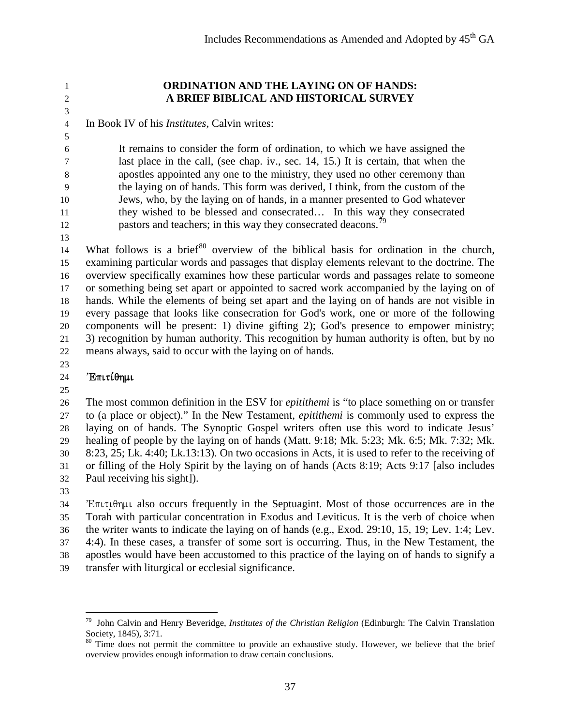# 

#### **ORDINATION AND THE LAYING ON OF HANDS: A BRIEF BIBLICAL AND HISTORICAL SURVEY**

In Book IV of his *Institutes*, Calvin writes:

 It remains to consider the form of ordination, to which we have assigned the last place in the call, (see chap. iv., sec. 14, 15.) It is certain, that when the apostles appointed any one to the ministry, they used no other ceremony than the laying on of hands. This form was derived, I think, from the custom of the Jews, who, by the laying on of hands, in a manner presented to God whatever they wished to be blessed and consecrated… In this way they consecrated pastors and teachers; in this way they consecrated deacons.<sup>7</sup>

14 What follows is a brief<sup>[80](#page-36-1)</sup> overview of the biblical basis for ordination in the church, examining particular words and passages that display elements relevant to the doctrine. The overview specifically examines how these particular words and passages relate to someone or something being set apart or appointed to sacred work accompanied by the laying on of hands. While the elements of being set apart and the laying on of hands are not visible in every passage that looks like consecration for God's work, one or more of the following components will be present: 1) divine gifting 2); God's presence to empower ministry; 3) recognition by human authority. This recognition by human authority is often, but by no means always, said to occur with the laying on of hands.

# 'Eπιτίθημι

 The most common definition in the ESV for *epitithemi* is "to place something on or transfer to (a place or object)." In the New Testament, *epitithemi* is commonly used to express the laying on of hands. The Synoptic Gospel writers often use this word to indicate Jesus' healing of people by the laying on of hands (Matt. 9:18; Mk. 5:23; Mk. 6:5; Mk. 7:32; Mk. 8:23, 25; Lk. 4:40; Lk.13:13). On two occasions in Acts, it is used to refer to the receiving of or filling of the Holy Spirit by the laying on of hands (Acts 8:19; Acts 9:17 [also includes Paul receiving his sight]).

 E $\pi$ utu $\theta$ n $\mu$ u also occurs frequently in the Septuagint. Most of those occurrences are in the Torah with particular concentration in Exodus and Leviticus. It is the verb of choice when the writer wants to indicate the laying on of hands (e.g., Exod. 29:10, 15, 19; Lev. 1:4; Lev. 4:4). In these cases, a transfer of some sort is occurring. Thus, in the New Testament, the apostles would have been accustomed to this practice of the laying on of hands to signify a transfer with liturgical or ecclesial significance.

<span id="page-36-0"></span><sup>79</sup> John Calvin and Henry Beveridge, *[Institutes of the Christian Religion](https://ref.ly/logosres/icrbev;ref=InstitutesOfTheChristianReligion.Institutes_IV,_iii,_16;off=4;ctx=ion,_or_tumult.$0A16._%7EIt_remains_to_consid)* (Edinburgh: The Calvin Translation Society, 1845), 3:71.<br><sup>80</sup> Time does not permit the committee to provide an exhaustive study. However, we believe that the brief

<span id="page-36-1"></span>overview provides enough information to draw certain conclusions.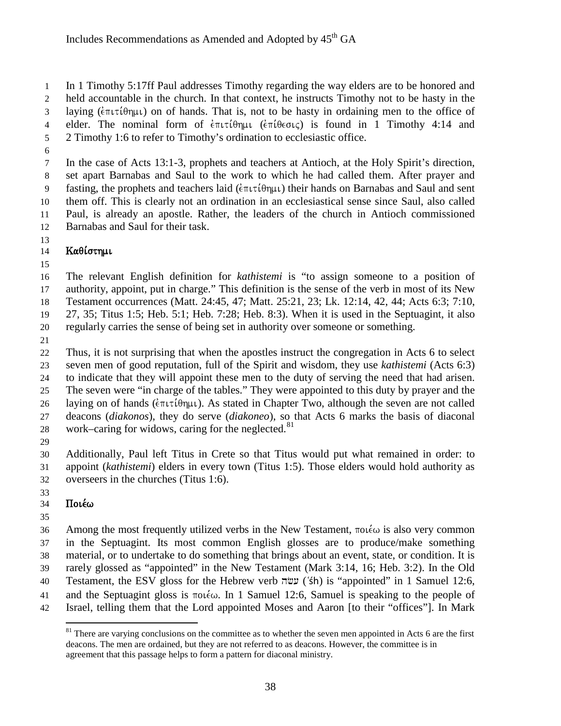In 1 Timothy 5:17ff Paul addresses Timothy regarding the way elders are to be honored and held accountable in the church. In that context, he instructs Timothy not to be hasty in the 3 laying ( $\epsilon$ πιτίθημι) on of hands. That is, not to be hasty in ordaining men to the office of 4 elder. The nominal form of  $\epsilon \pi \iota \tau \iota \theta \eta \mu \iota$  ( $\epsilon \pi \iota \theta \epsilon \sigma \iota \varsigma$ ) is found in 1 Timothy 4:14 and 2 Timothy 1:6 to refer to Timothy's ordination to ecclesiastic office.

 In the case of Acts 13:1-3, prophets and teachers at Antioch, at the Holy Spirit's direction, set apart Barnabas and Saul to the work to which he had called them. After prayer and 9 fasting, the prophets and teachers laid ( $\epsilon \pi \iota \tau(\theta \eta \mu \iota)$ ) their hands on Barnabas and Saul and sent them off. This is clearly not an ordination in an ecclesiastical sense since Saul, also called Paul, is already an apostle. Rather, the leaders of the church in Antioch commissioned Barnabas and Saul for their task.

#### 14 Kaθίστημι

 The relevant English definition for *kathistemi* is "to assign someone to a position of authority, appoint, put in charge." This definition is the sense of the verb in most of its New Testament occurrences (Matt. 24:45, 47; Matt. 25:21, 23; Lk. 12:14, 42, 44; Acts 6:3; 7:10, 27, 35; Titus 1:5; Heb. 5:1; Heb. 7:28; Heb. 8:3). When it is used in the Septuagint, it also regularly carries the sense of being set in authority over someone or something.

 Thus, it is not surprising that when the apostles instruct the congregation in Acts 6 to select seven men of good reputation, full of the Spirit and wisdom, they use *kathistemi* (Acts 6:3) to indicate that they will appoint these men to the duty of serving the need that had arisen. The seven were "in charge of the tables." They were appointed to this duty by prayer and the 26 laying on of hands ( $\epsilon \pi \iota \tau \iota \theta \eta \mu \iota$ ). As stated in Chapter Two, although the seven are not called deacons (*diakonos*), they do serve (*diakoneo*), so that Acts 6 marks the basis of diaconal 28 work–caring for widows, caring for the neglected.

 Additionally, Paul left Titus in Crete so that Titus would put what remained in order: to appoint (*kathistemi*) elders in every town (Titus 1:5). Those elders would hold authority as overseers in the churches (Titus 1:6).

# $34 \quad \text{Ino}$ ιέω

36 Among the most frequently utilized verbs in the New Testament,  $\pi o \iota \epsilon \omega$  is also very common in the Septuagint. Its most common English glosses are to produce/make something material, or to undertake to do something that brings about an event, state, or condition. It is rarely glossed as "appointed" in the New Testament (Mark 3:14, 16; Heb. 3:2). In the Old 40 Testament, the ESV gloss for the Hebrew verb עשׂה ('śh) is "appointed" in 1 Samuel 12:6, 41 and the Septuagint gloss is  $\pi o \in \omega$ . In 1 Samuel 12:6, Samuel is speaking to the people of Israel, telling them that the Lord appointed Moses and Aaron [to their "offices"]. In Mark

<span id="page-37-0"></span> There are varying conclusions on the committee as to whether the seven men appointed in Acts 6 are the first deacons. The men are ordained, but they are not referred to as deacons. However, the committee is in agreement that this passage helps to form a pattern for diaconal ministry.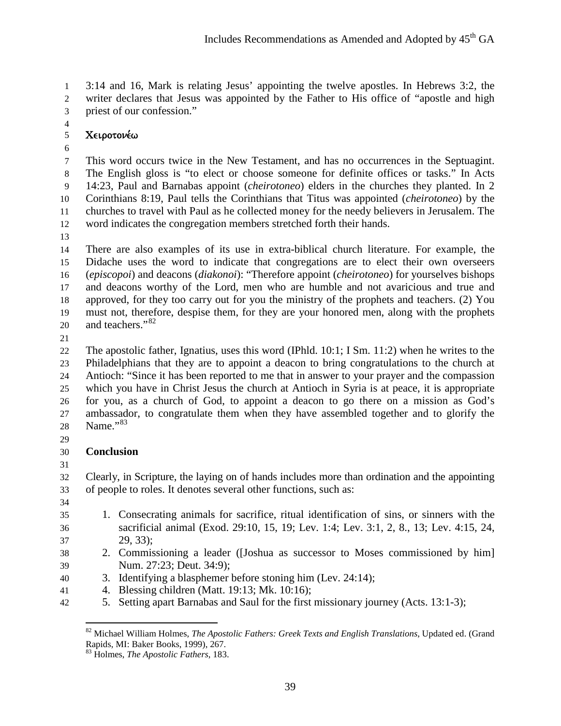3:14 and 16, Mark is relating Jesus' appointing the twelve apostles. In Hebrews 3:2, the writer declares that Jesus was appointed by the Father to His office of "apostle and high priest of our confession."

# 5 Χειροτονέω

 This word occurs twice in the New Testament, and has no occurrences in the Septuagint. The English gloss is "to elect or choose someone for definite offices or tasks." In Acts 14:23, Paul and Barnabas appoint (*cheirotoneo*) elders in the churches they planted. In 2 Corinthians 8:19, Paul tells the Corinthians that Titus was appointed (*cheirotoneo*) by the churches to travel with Paul as he collected money for the needy believers in Jerusalem. The word indicates the congregation members stretched forth their hands.

 There are also examples of its use in extra-biblical church literature. For example, the Didache uses the word to indicate that congregations are to elect their own overseers (*episcopoi*) and deacons (*diakonoi*): "Therefore appoint (*cheirotoneo*) for yourselves bishops and deacons worthy of the Lord, men who are humble and not avaricious and true and approved, for they too carry out for you the ministry of the prophets and teachers. (2) You must not, therefore, despise them, for they are your honored men, along with the prophets 20 and teachers."<sup>[82](#page-38-0)</sup>

 The apostolic father, Ignatius, uses this word (IPhld. 10:1; I Sm. 11:2) when he writes to the Philadelphians that they are to appoint a deacon to bring congratulations to the church at Antioch: "Since it has been reported to me that in answer to your prayer and the compassion which you have in Christ Jesus the church at Antioch in Syria is at peace, it is appropriate for you, as a church of God, to appoint a deacon to go there on a mission as God's ambassador, to congratulate them when they have assembled together and to glorify the 28 Name."<sup>[83](#page-38-1)</sup>

# **Conclusion**

 Clearly, in Scripture, the laying on of hands includes more than ordination and the appointing of people to roles. It denotes several other functions, such as:

- 
- 1. Consecrating animals for sacrifice, ritual identification of sins, or sinners with the sacrificial animal (Exod. 29:10, 15, 19; Lev. 1:4; Lev. 3:1, 2, 8., 13; Lev. 4:15, 24, 29, 33);
- 2. Commissioning a leader ([Joshua as successor to Moses commissioned by him] Num. 27:23; Deut. 34:9);
- 3. Identifying a blasphemer before stoning him (Lev. 24:14);
- 4. Blessing children (Matt. 19:13; Mk. 10:16);
- <span id="page-38-1"></span><span id="page-38-0"></span>5. Setting apart Barnabas and Saul for the first missionary journey (Acts. 13:1-3);

<sup>82</sup> Michael William Holmes, *The Apostolic Fathers: Greek Texts and English Translations*, Updated ed. (Grand Rapids, MI: Baker Books, 1999), 267.

Holmes, *The Apostolic Fathers*, 183.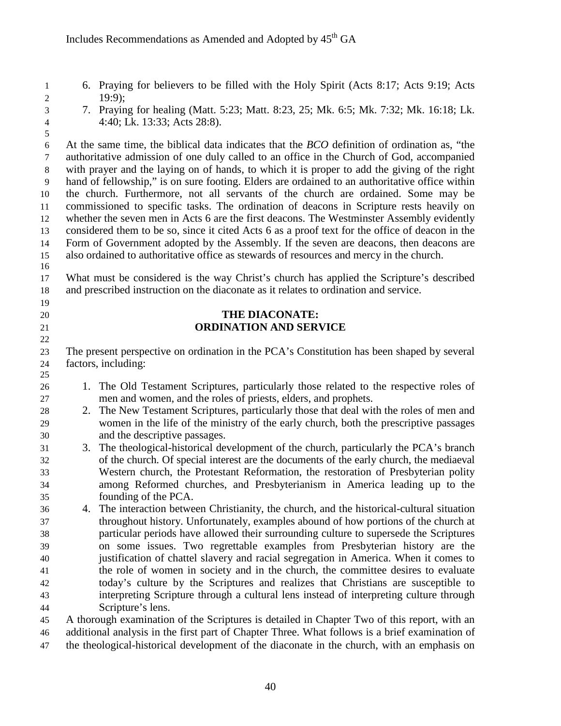- 6. Praying for believers to be filled with the Holy Spirit (Acts 8:17; Acts 9:19; Acts 19:9);
- 

 7. Praying for healing (Matt. 5:23; Matt. 8:23, 25; Mk. 6:5; Mk. 7:32; Mk. 16:18; Lk. 4:40; Lk. 13:33; Acts 28:8).

 At the same time, the biblical data indicates that the *BCO* definition of ordination as, "the authoritative admission of one duly called to an office in the Church of God, accompanied with prayer and the laying on of hands, to which it is proper to add the giving of the right hand of fellowship," is on sure footing. Elders are ordained to an authoritative office within the church. Furthermore, not all servants of the church are ordained. Some may be commissioned to specific tasks. The ordination of deacons in Scripture rests heavily on whether the seven men in Acts 6 are the first deacons. The Westminster Assembly evidently considered them to be so, since it cited Acts 6 as a proof text for the office of deacon in the Form of Government adopted by the Assembly. If the seven are deacons, then deacons are also ordained to authoritative office as stewards of resources and mercy in the church. 

 What must be considered is the way Christ's church has applied the Scripture's described and prescribed instruction on the diaconate as it relates to ordination and service.

#### **THE DIACONATE: ORDINATION AND SERVICE**

 The present perspective on ordination in the PCA's Constitution has been shaped by several factors, including:

- 1. The Old Testament Scriptures, particularly those related to the respective roles of men and women, and the roles of priests, elders, and prophets.
- 2. The New Testament Scriptures, particularly those that deal with the roles of men and women in the life of the ministry of the early church, both the prescriptive passages and the descriptive passages.
- 3. The theological-historical development of the church, particularly the PCA's branch of the church. Of special interest are the documents of the early church, the mediaeval Western church, the Protestant Reformation, the restoration of Presbyterian polity among Reformed churches, and Presbyterianism in America leading up to the founding of the PCA.
- 4. The interaction between Christianity, the church, and the historical-cultural situation throughout history. Unfortunately, examples abound of how portions of the church at particular periods have allowed their surrounding culture to supersede the Scriptures on some issues. Two regrettable examples from Presbyterian history are the justification of chattel slavery and racial segregation in America. When it comes to the role of women in society and in the church, the committee desires to evaluate today's culture by the Scriptures and realizes that Christians are susceptible to interpreting Scripture through a cultural lens instead of interpreting culture through Scripture's lens.

 A thorough examination of the Scriptures is detailed in Chapter Two of this report, with an additional analysis in the first part of Chapter Three. What follows is a brief examination of the theological-historical development of the diaconate in the church, with an emphasis on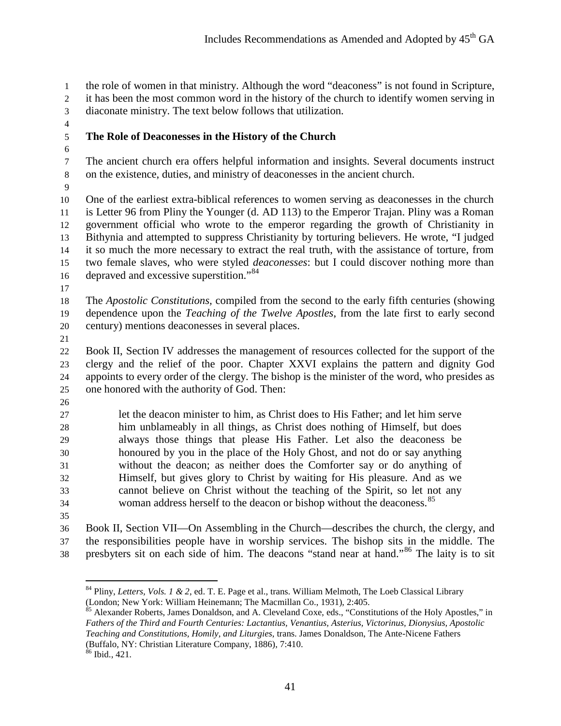the role of women in that ministry. Although the word "deaconess" is not found in Scripture,

it has been the most common word in the history of the church to identify women serving in

- diaconate ministry. The text below follows that utilization.
- 

# **The Role of Deaconesses in the History of the Church**

 The ancient church era offers helpful information and insights. Several documents instruct on the existence, duties, and ministry of deaconesses in the ancient church.

 One of the earliest extra-biblical references to women serving as deaconesses in the church is Letter 96 from Pliny the Younger (d. AD 113) to the Emperor Trajan. Pliny was a Roman government official who wrote to the emperor regarding the growth of Christianity in Bithynia and attempted to suppress Christianity by torturing believers. He wrote, "I judged it so much the more necessary to extract the real truth, with the assistance of torture, from two female slaves, who were styled *deaconesses*: but I could discover nothing more than 16 depraved and excessive superstition."<sup>[84](#page-40-0)</sup>

 The *Apostolic Constitutions,* compiled from the second to the early fifth centuries (showing dependence upon the *Teaching of the Twelve Apostles*, from the late first to early second century) mentions deaconesses in several places.

 Book II, Section IV addresses the management of resources collected for the support of the clergy and the relief of the poor. Chapter XXVI explains the pattern and dignity God appoints to every order of the clergy. The bishop is the minister of the word, who presides as one honored with the authority of God. Then:

 let the deacon minister to him, as Christ does to His Father; and let him serve him unblameably in all things, as Christ does nothing of Himself, but does always those things that please His Father. Let also the deaconess be honoured by you in the place of the Holy Ghost, and not do or say anything without the deacon; as neither does the Comforter say or do anything of Himself, but gives glory to Christ by waiting for His pleasure. And as we cannot believe on Christ without the teaching of the Spirit, so let not any 34 woman address herself to the deacon or bishop without the deaconess.<sup>[85](#page-40-1)</sup>

 Book II, Section VII—On Assembling in the Church—describes the church, the clergy, and the responsibilities people have in worship services. The bishop sits in the middle. The 38 presbyters sit on each side of him. The deacons "stand near at hand."<sup>[86](#page-40-2)</sup> The laity is to sit

<span id="page-40-1"></span> $\frac{85}{100}$  Alexander Roberts, James Donaldson, and A. Cleveland Coxe, eds., "Constitutions of the Holy Apostles," in *Fathers of the Third and Fourth Centuries: Lactantius, Venantius, Asterius, Victorinus, Dionysius, Apostolic Teaching and Constitutions, Homily, and Liturgies*, trans. James Donaldson, The Ante-Nicene Fathers (Buffalo, NY: Christian Literature Company, 1886), 7:410. Ibid., 421.

<span id="page-40-0"></span><sup>&</sup>lt;sup>84</sup> Pliny, *[Letters, Vols. 1 & 2](https://ref.ly/logosres/lttrsplinyyngr;ref=Pliny$5Fthe$5Fyounger.Plin.,_Ep._10.96;off=3039;ctx=ical_associations.b_%7EI_judged_it_so_much_)*, ed. T. E. Page et al., trans. William Melmoth, The Loeb Classical Library (London; New York: William Heinemann; The Macmillan Co., 1931), 2:405.

<span id="page-40-2"></span>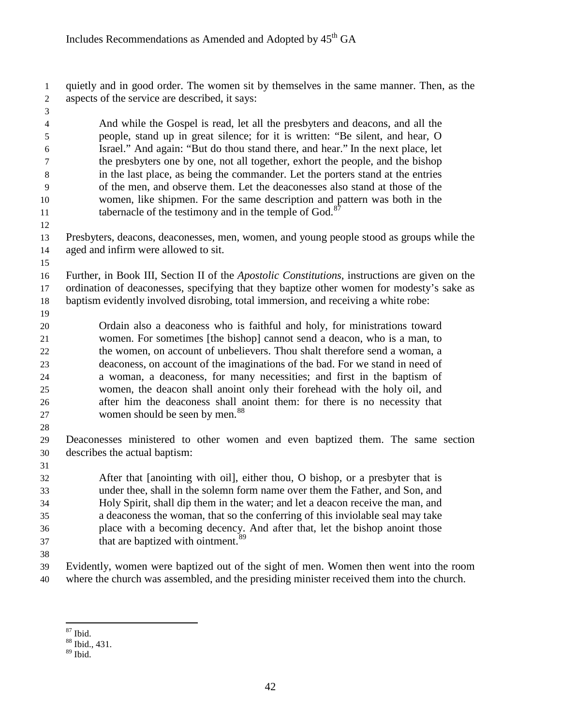quietly and in good order. The women sit by themselves in the same manner. Then, as the aspects of the service are described, it says:

 And while the Gospel is read, let all the presbyters and deacons, and all the people, stand up in great silence; for it is written: "Be silent, and hear, O Israel." And again: "But do thou stand there, and hear." In the next place, let the presbyters one by one, not all together, exhort the people, and the bishop in the last place, as being the commander. Let the porters stand at the entries of the men, and observe them. Let the deaconesses also stand at those of the women, like shipmen. For the same description and pattern was both in the tabernacle of the testimony and in the temple of God. $8<sup>8</sup>$ 

- Presbyters, deacons, deaconesses, men, women, and young people stood as groups while the aged and infirm were allowed to sit.
- 

 Further, in Book III, Section II of the *Apostolic Constitutions,* instructions are given on the ordination of deaconesses, specifying that they baptize other women for modesty's sake as baptism evidently involved disrobing, total immersion, and receiving a white robe:

 Ordain also a deaconess who is faithful and holy, for ministrations toward women. For sometimes [the bishop] cannot send a deacon, who is a man, to the women, on account of unbelievers. Thou shalt therefore send a woman, a deaconess, on account of the imaginations of the bad. For we stand in need of a woman, a deaconess, for many necessities; and first in the baptism of women, the deacon shall anoint only their forehead with the holy oil, and after him the deaconess shall anoint them: for there is no necessity that 27 women should be seen by men.<sup>[88](#page-41-1)</sup>

 Deaconesses ministered to other women and even baptized them. The same section describes the actual baptism:

 After that [anointing with oil], either thou, O bishop, or a presbyter that is under thee, shall in the solemn form name over them the Father, and Son, and Holy Spirit, shall dip them in the water; and let a deacon receive the man, and a deaconess the woman, that so the conferring of this inviolable seal may take place with a becoming decency. And after that, let the bishop anoint those that are baptized with ointment. $89$ 

 Evidently, women were baptized out of the sight of men. Women then went into the room where the church was assembled, and the presiding minister received them into the church.

<span id="page-41-0"></span>

 $\frac{87}{88}$  Ibid., 431.

<span id="page-41-2"></span><span id="page-41-1"></span>Ibid.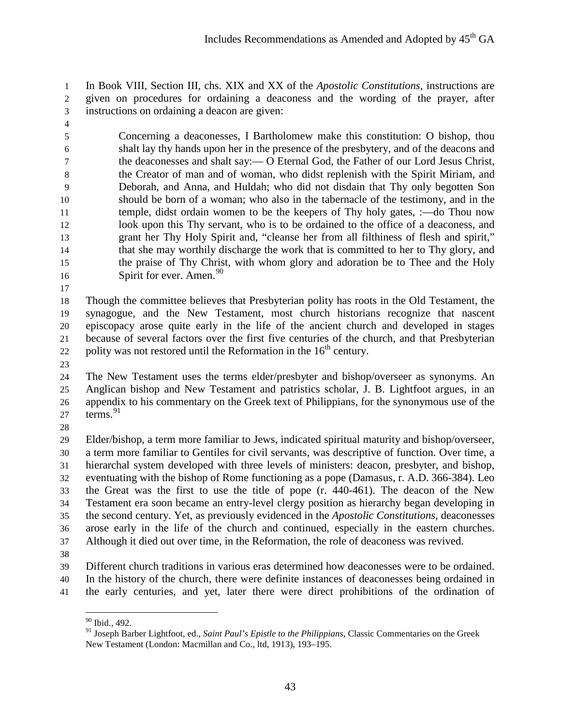In Book VIII, Section III, chs. XIX and XX of the *Apostolic Constitutions,* instructions are given on procedures for ordaining a deaconess and the wording of the prayer, after instructions on ordaining a deacon are given:

 Concerning a deaconesses, I Bartholomew make this constitution: O bishop, thou shalt lay thy hands upon her in the presence of the presbytery, and of the deacons and the deaconesses and shalt say:— O Eternal God, the Father of our Lord Jesus Christ, the Creator of man and of woman, who didst replenish with the Spirit Miriam, and Deborah, and Anna, and Huldah; who did not disdain that Thy only begotten Son should be born of a woman; who also in the tabernacle of the testimony, and in the temple, didst ordain women to be the keepers of Thy holy gates, :—do Thou now look upon this Thy servant, who is to be ordained to the office of a deaconess, and grant her Thy Holy Spirit and, "cleanse her from all filthiness of flesh and spirit," that she may worthily discharge the work that is committed to her to Thy glory, and the praise of Thy Christ, with whom glory and adoration be to Thee and the Holy Spirit for ever. Amen.<sup>[90](#page-42-0)</sup>

 Though the committee believes that Presbyterian polity has roots in the Old Testament, the synagogue, and the New Testament, most church historians recognize that nascent episcopacy arose quite early in the life of the ancient church and developed in stages because of several factors over the first five centuries of the church, and that Presbyterian 22 polity was not restored until the Reformation in the  $16<sup>th</sup>$  century.

 The New Testament uses the terms elder/presbyter and bishop/overseer as synonyms. An Anglican bishop and New Testament and patristics scholar, J. B. Lightfoot argues, in an appendix to his commentary on the Greek text of Philippians, for the synonymous use of the 27  $\text{terms.}^{91}$  $\text{terms.}^{91}$  $\text{terms.}^{91}$ 

 Elder/bishop, a term more familiar to Jews, indicated spiritual maturity and bishop/overseer, a term more familiar to Gentiles for civil servants, was descriptive of function. Over time, a hierarchal system developed with three levels of ministers: deacon, presbyter, and bishop, eventuating with the bishop of Rome functioning as a pope (Damasus, r. A.D. 366-384). Leo the Great was the first to use the title of pope (r. 440-461). The deacon of the New Testament era soon became an entry-level clergy position as hierarchy began developing in the second century. Yet, as previously evidenced in the *Apostolic Constitutions*, deaconesses arose early in the life of the church and continued, especially in the eastern churches. Although it died out over time, in the Reformation, the role of deaconess was revived.

<span id="page-42-0"></span> Different church traditions in various eras determined how deaconesses were to be ordained. In the history of the church, there were definite instances of deaconesses being ordained in the early centuries, and yet, later there were direct prohibitions of the ordination of

<span id="page-42-1"></span><sup>90</sup> Ibid., 492.

 Joseph Barber Lightfoot, ed., *Saint Paul's Epistle to the Philippians*, Classic Commentaries on the Greek New Testament (London: Macmillan and Co., ltd, 1913), 193–195.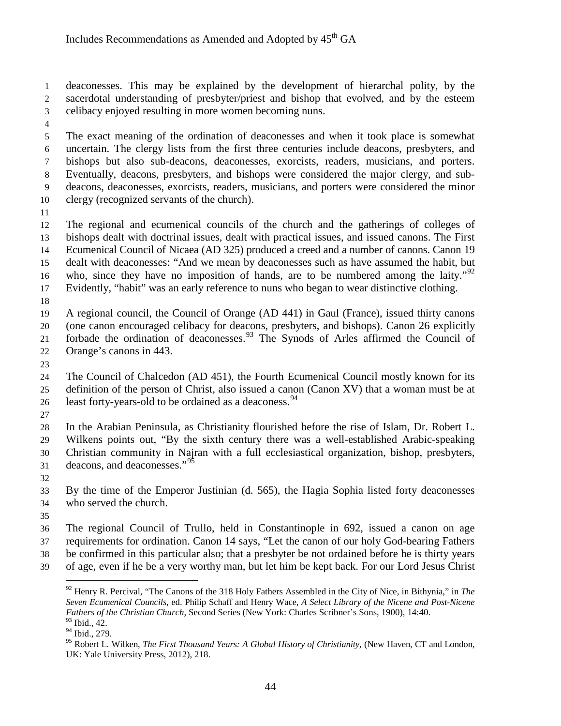deaconesses. This may be explained by the development of hierarchal polity, by the sacerdotal understanding of presbyter/priest and bishop that evolved, and by the esteem celibacy enjoyed resulting in more women becoming nuns.

 The exact meaning of the ordination of deaconesses and when it took place is somewhat uncertain. The clergy lists from the first three centuries include deacons, presbyters, and bishops but also sub-deacons, deaconesses, exorcists, readers, musicians, and porters. Eventually, deacons, presbyters, and bishops were considered the major clergy, and sub- deacons, deaconesses, exorcists, readers, musicians, and porters were considered the minor clergy (recognized servants of the church).

 The regional and ecumenical councils of the church and the gatherings of colleges of bishops dealt with doctrinal issues, dealt with practical issues, and issued canons. The First Ecumenical Council of Nicaea (AD 325) produced a creed and a number of canons. Canon 19 dealt with deaconesses: "And we mean by deaconesses such as have assumed the habit, but 16 who, since they have no imposition of hands, are to be numbered among the laity."<sup>[92](#page-43-0)</sup> Evidently, "habit" was an early reference to nuns who began to wear distinctive clothing.

 A regional council, the Council of Orange (AD 441) in Gaul (France), issued thirty canons (one canon encouraged celibacy for deacons, presbyters, and bishops). Canon 26 explicitly 21 forbade the ordination of deaconesses.<sup>[93](#page-43-1)</sup> The Synods of Arles affirmed the Council of Orange's canons in 443.

 The Council of Chalcedon (AD 451), the Fourth Ecumenical Council mostly known for its definition of the person of Christ, also issued a canon (Canon XV) that a woman must be at 26 least forty-years-old to be ordained as a deaconess.<sup>[94](#page-43-2)</sup>

 In the Arabian Peninsula, as Christianity flourished before the rise of Islam, Dr. Robert L. Wilkens points out, "By the sixth century there was a well-established Arabic-speaking Christian community in Najran with a full ecclesiastical organization, bishop, presbyters, 31 deacons, and deaconesses."<sup>[95](#page-43-3)</sup>

 By the time of the Emperor Justinian (d. 565), the Hagia Sophia listed forty deaconesses who served the church.

 The regional Council of Trullo, held in Constantinople in 692, issued a canon on age requirements for ordination. Canon 14 says, "Let the canon of our [holy](http://www.newadvent.org/cathen/07386a.htm) God-bearing Fathers

be confirmed in this particular also; that a [presbyter](http://www.newadvent.org/cathen/12406a.htm) be not ordained before he is thirty years

<span id="page-43-0"></span>of age, even if he be a very worthy man, but let him be kept back. For [our Lord Jesus Christ](http://www.newadvent.org/cathen/08374c.htm)

<sup>92</sup> Henry R. Percival, ["The Canons of the 318 Holy Fathers Assembled in the City of Nice, in Bithynia,"](https://ref.ly/logosres/npnf28;ref=biblio.at$3DThe$2520Canons$2520of$2520the$2520318$2520Holy$2520Fathers$2520Assembled$2520in$2520the$2520City$2520of$2520Nice,$2520in$2520Bithynia$7Cau$3DPercival,$2520Henry$2520R.;off=126503;ctx=e_form_be_observed._%7EAnd_we_mean_by_deaco) in *The Seven Ecumenical Councils*, ed. Philip Schaff and Henry Wace, *A Select Library of the Nicene and Post-Nicene Fathers of the Christian Church*, Second Series (New York: Charles Scribner's Sons, 1900), 14:40.  $^{93}$  Ibid., 42.

<span id="page-43-1"></span><sup>&</sup>lt;sup>94</sup> Ibid., 279.

<span id="page-43-3"></span><span id="page-43-2"></span><sup>&</sup>lt;sup>95</sup> Robert L. Wilken, *The First Thousand Years: A Global History of Christianity*, (New Haven, CT and London, UK: Yale University Press, 2012), 218.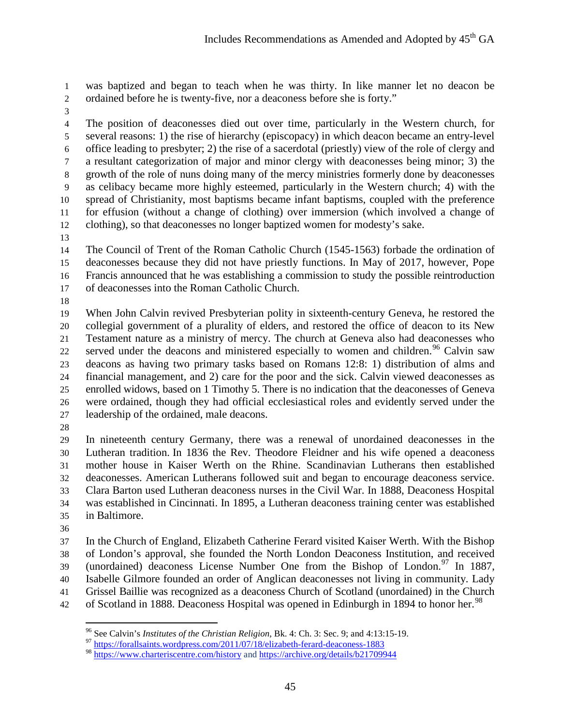was [baptized](http://www.newadvent.org/cathen/02258b.htm) and began to teach when he was thirty. In like manner let no [deacon](http://www.newadvent.org/cathen/04647c.htm) be ordained before he is twenty-five, nor a [deaconess](http://www.newadvent.org/cathen/04651a.htm) before she is forty."

 The position of deaconesses died out over time, particularly in the Western church, for several reasons: 1) the rise of hierarchy (episcopacy) in which deacon became an entry-level office leading to presbyter; 2) the rise of a sacerdotal (priestly) view of the role of clergy and a resultant categorization of major and minor clergy with deaconesses being minor; 3) the growth of the role of nuns doing many of the mercy ministries formerly done by deaconesses as celibacy became more highly esteemed, particularly in the Western church; 4) with the spread of Christianity, most baptisms became infant baptisms, coupled with the preference for effusion (without a change of clothing) over immersion (which involved a change of clothing), so that deaconesses no longer baptized women for modesty's sake.

 The Council of Trent of the Roman Catholic Church (1545-1563) forbade the ordination of deaconesses because they did not have priestly functions. In May of 2017, however, Pope Francis announced that he was establishing a commission to study the possible reintroduction of deaconesses into the Roman Catholic Church.

 When John Calvin revived Presbyterian polity in sixteenth-century Geneva, he restored the collegial government of a plurality of elders, and restored the office of deacon to its New Testament nature as a ministry of mercy. The church at Geneva also had deaconesses who 22 served under the deacons and ministered especially to women and children.<sup>[96](#page-44-0)</sup> Calvin saw deacons as having two primary tasks based on Romans 12:8: 1) distribution of alms and financial management, and 2) care for the poor and the sick. Calvin viewed deaconesses as enrolled widows, based on 1 Timothy 5. There is no indication that the deaconesses of Geneva were ordained, though they had official ecclesiastical roles and evidently served under the leadership of the ordained, male deacons.

 In nineteenth century Germany, there was a renewal of unordained deaconesses in the Lutheran tradition. In 1836 the Rev. Theodore Fleidner and his wife opened a deaconess mother house in Kaiser Werth on the Rhine. Scandinavian Lutherans then established deaconesses. American Lutherans followed suit and began to encourage deaconess service. Clara Barton used Lutheran deaconess nurses in the Civil War. In 1888, Deaconess Hospital was established in Cincinnati. In 1895, a Lutheran deaconess training center was established in Baltimore.

 In the Church of England, Elizabeth Catherine Ferard visited Kaiser Werth. With the Bishop of London's approval, she founded the North London Deaconess Institution, and received (unordained) deaconess License Number One from the Bishop of London.<sup>[97](#page-44-1)</sup> In 1887, Isabelle Gilmore founded an order of Anglican deaconesses not living in community. Lady Grissel Baillie was recognized as a deaconess Church of Scotland (unordained) in the Church 42 of Scotland in 1888. Deaconess Hospital was opened in Edinburgh in 1894 to honor her.<sup>[98](#page-44-2)</sup>

<sup>&</sup>lt;sup>96</sup> See Calvin's *Institutes of the Christian Religion*, Bk. 4: Ch. 3: Sec. 9; and 4:13:15-19.<br><sup>97</sup> <https://forallsaints.wordpress.com/2011/07/18/elizabeth-ferard-deaconess-1883>

<span id="page-44-2"></span><span id="page-44-1"></span><span id="page-44-0"></span>

<https://www.charteriscentre.com/history> and<https://archive.org/details/b21709944>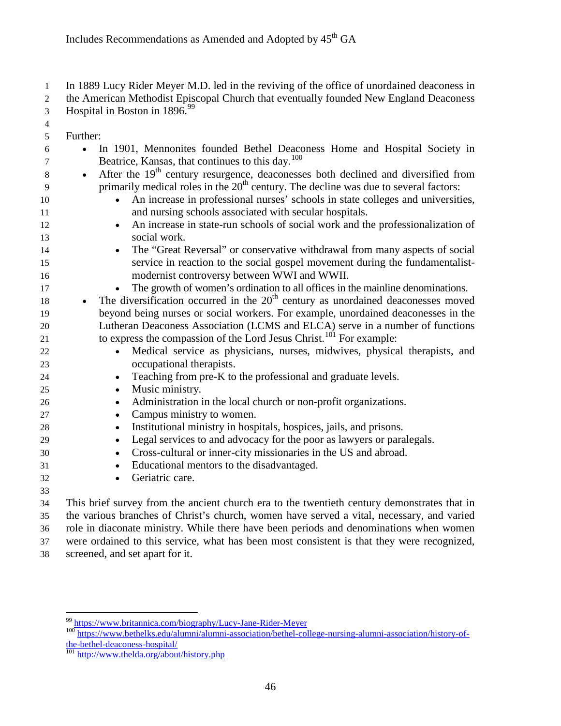In 1889 Lucy Rider Meyer M.D. led in the reviving of the office of unordained deaconess in 2 the American Methodist Episcopal Church that eventually founded New England Deaconess

- 3 Hospital in Boston in  $1896.<sup>99</sup>$  $1896.<sup>99</sup>$  $1896.<sup>99</sup>$
- 
- Further:
- In 1901, Mennonites founded Bethel Deaconess Home and Hospital Society in  $\sigma$  Beatrice, Kansas, that continues to this day.<sup>[100](#page-45-1)</sup>  $\bullet$  After the 19<sup>th</sup> century resurgence, deaconesses both declined and diversified from
- primarily medical roles in the  $20<sup>th</sup>$  century. The decline was due to several factors:
- An increase in professional nurses' schools in state colleges and universities, and nursing schools associated with secular hospitals.
- An increase in state-run schools of social work and the professionalization of social work.
- The "Great Reversal" or conservative withdrawal from many aspects of social service in reaction to the social gospel movement during the fundamentalist-modernist controversy between WWI and WWII.
- The growth of women's ordination to all offices in the mainline denominations.
- $\bullet$  The diversification occurred in the  $20<sup>th</sup>$  century as unordained deaconesses moved beyond being nurses or social workers. For example, unordained deaconesses in the Lutheran Deaconess Association (LCMS and ELCA) serve in a number of functions to express the compassion of the Lord Jesus Christ.<sup>[101](#page-45-2)</sup> For example:
- Medical service as physicians, nurses, midwives, physical therapists, and occupational therapists.

# • Teaching from pre-K to the professional and graduate levels.

- Music ministry.
- Administration in the local church or non-profit organizations.
- Campus ministry to women.
- Institutional ministry in hospitals, hospices, jails, and prisons.
- Legal services to and advocacy for the poor as lawyers or paralegals.
- Cross-cultural or inner-city missionaries in the US and abroad.
- Educational mentors to the disadvantaged.
- Geriatric care.
- 

 This brief survey from the ancient church era to the twentieth century demonstrates that in the various branches of Christ's church, women have served a vital, necessary, and varied role in diaconate ministry. While there have been periods and denominations when women were ordained to this service, what has been most consistent is that they were recognized, screened, and set apart for it.

<span id="page-45-1"></span><span id="page-45-0"></span><sup>&</sup>lt;sup>99</sup> <https://www.britannica.com/biography/Lucy-Jane-Rider-Meyer><br><sup>100</sup> [https://www.bethelks.edu/alumni/alumni-association/bethel-college-nursing-alumni-association/history-of](https://www.bethelks.edu/alumni/alumni-association/bethel-college-nursing-alumni-association/history-of-the-bethel-deaconess-hospital/)[the-bethel-deaconess-hospital/](https://www.bethelks.edu/alumni/alumni-association/bethel-college-nursing-alumni-association/history-of-the-bethel-deaconess-hospital/)<br><sup>101</sup> <http://www.thelda.org/about/history.php>

<span id="page-45-2"></span>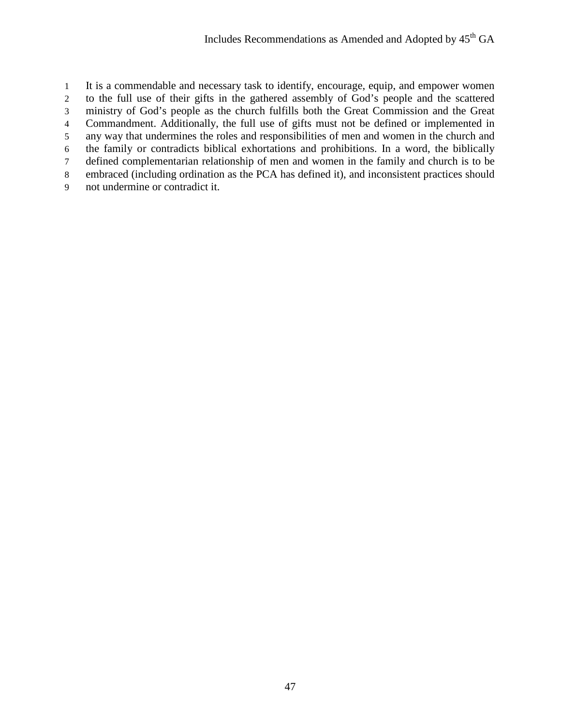It is a commendable and necessary task to identify, encourage, equip, and empower women to the full use of their gifts in the gathered assembly of God's people and the scattered ministry of God's people as the church fulfills both the Great Commission and the Great Commandment. Additionally, the full use of gifts must not be defined or implemented in any way that undermines the roles and responsibilities of men and women in the church and the family or contradicts biblical exhortations and prohibitions. In a word, the biblically defined complementarian relationship of men and women in the family and church is to be embraced (including ordination as the PCA has defined it), and inconsistent practices should not undermine or contradict it.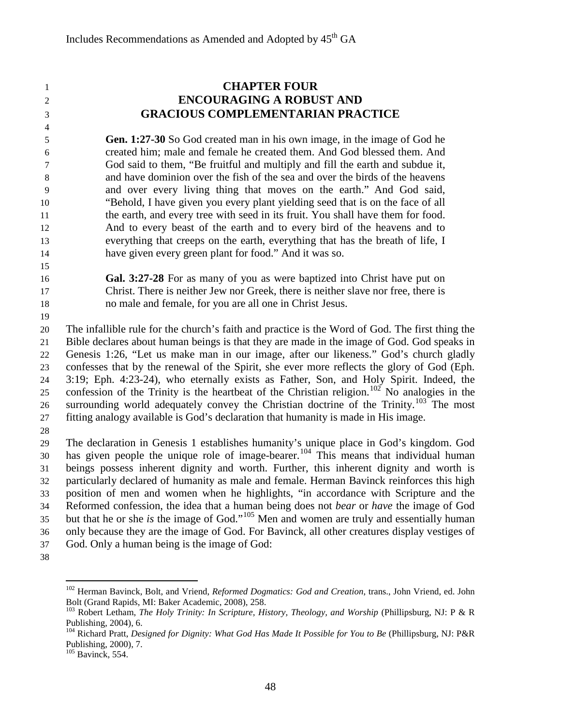# **CHAPTER FOUR ENCOURAGING A ROBUST AND GRACIOUS COMPLEMENTARIAN PRACTICE Gen. 1:27-30** So God created man in his own image, in the image of God he created him; male and female he created them. And God blessed them. And God said to them, "Be fruitful and multiply and fill the earth and subdue it, and have dominion over the fish of the sea and over the birds of the heavens and over every living thing that moves on the earth." And God said, "Behold, I have given you every plant yielding seed that is on the face of all the earth, and every tree with seed in its fruit. You shall have them for food. And to every beast of the earth and to every bird of the heavens and to

everything that creeps on the earth, everything that has the breath of life, I

- have given every green plant for food." And it was so.
- 

 **Gal. 3:27-28** For as many of you as were baptized into Christ have put on Christ. There is neither Jew nor Greek, there is neither slave nor free, there is no male and female, for you are all one in Christ Jesus.

 The infallible rule for the church's faith and practice is the Word of God. The first thing the Bible declares about human beings is that they are made in the image of God. God speaks in Genesis 1:26, "Let us make man in our image, after our likeness." God's church gladly confesses that by the renewal of the Spirit, she ever more reflects the glory of God (Eph. 3:19; Eph. 4:23-24), who eternally exists as Father, Son, and Holy Spirit. Indeed, the confession of the Trinity is the heartbeat of the Christian religion.<sup>[102](#page-47-0)</sup> No analogies in the 26 surrounding world adequately convey the Christian doctrine of the Trinity.<sup>[103](#page-47-1)</sup> The most fitting analogy available is God's declaration that humanity is made in His image.

 The declaration in Genesis 1 establishes humanity's unique place in God's kingdom. God 30 has given people the unique role of image-bearer.<sup>[104](#page-47-2)</sup> This means that individual human beings possess inherent dignity and worth. Further, this inherent dignity and worth is particularly declared of humanity as male and female. Herman Bavinck reinforces this high position of men and women when he highlights, "in accordance with Scripture and the Reformed confession, the idea that a human being does not *bear* or *have* the image of God 35 but that he or she *is* the image of God."<sup>[105](#page-47-3)</sup> Men and women are truly and essentially human only because they are the image of God. For Bavinck, all other creatures display vestiges of God. Only a human being is the image of God:

<span id="page-47-0"></span>

<sup>&</sup>lt;sup>102</sup> Herman Bavinck, Bolt, and Vriend, *Reformed Dogmatics: God and Creation*, trans., John Vriend, ed. John Bolt (Grand Rapids, MI: Baker Academic, 2008), 258.

<span id="page-47-1"></span><sup>&</sup>lt;sup>103</sup> Robert Letham, *The Holy Trinity: In Scripture, History, Theology, and Worship* (Phillipsburg, NJ: P & R Publishing, 2004), 6.

<span id="page-47-2"></span> Richard Pratt, *Designed for Dignity: What God Has Made It Possible for You to Be* (Phillipsburg, NJ: P&R Publishing, 2000), 7. <sup>105</sup> Bavinck, 554.

<span id="page-47-3"></span>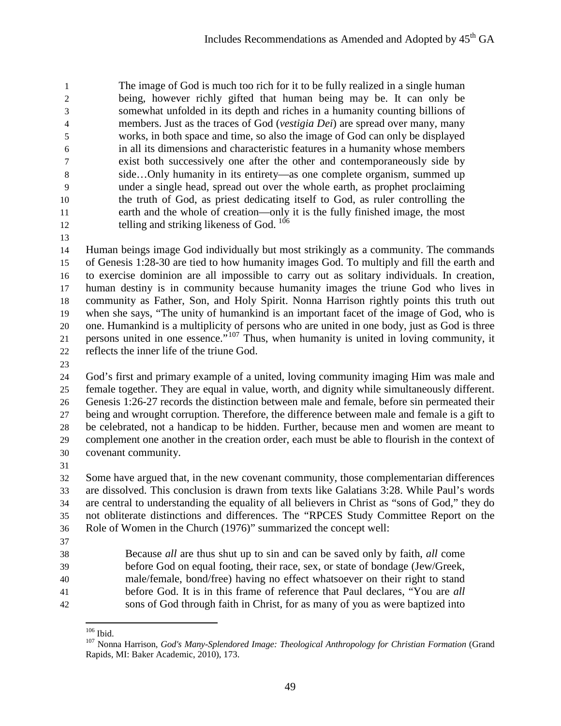The image of God is much too rich for it to be fully realized in a single human being, however richly gifted that human being may be. It can only be somewhat unfolded in its depth and riches in a humanity counting billions of members. Just as the traces of God (*vestigia Dei*) are spread over many, many works, in both space and time, so also the image of God can only be displayed in all its dimensions and characteristic features in a humanity whose members exist both successively one after the other and contemporaneously side by side…Only humanity in its entirety—as one complete organism, summed up under a single head, spread out over the whole earth, as prophet proclaiming the truth of God, as priest dedicating itself to God, as ruler controlling the earth and the whole of creation—only it is the fully finished image, the most 12 telling and striking likeness of God.

 Human beings image God individually but most strikingly as a community. The commands of Genesis 1:28-30 are tied to how humanity images God. To multiply and fill the earth and to exercise dominion are all impossible to carry out as solitary individuals. In creation, human destiny is in community because humanity images the triune God who lives in community as Father, Son, and Holy Spirit. Nonna Harrison rightly points this truth out when she says, "The unity of humankind is an important facet of the image of God, who is one. Humankind is a multiplicity of persons who are united in one body, just as God is three 21 persons united in one essence."<sup>[107](#page-48-1)</sup> Thus, when humanity is united in loving community, it reflects the inner life of the triune God.

 God's first and primary example of a united, loving community imaging Him was male and female together. They are equal in value, worth, and dignity while simultaneously different. Genesis 1:26-27 records the distinction between male and female, before sin permeated their being and wrought corruption. Therefore, the difference between male and female is a gift to be celebrated, not a handicap to be hidden. Further, because men and women are meant to complement one another in the creation order, each must be able to flourish in the context of covenant community.

 Some have argued that, in the new covenant community, those complementarian differences are dissolved. This conclusion is drawn from texts like Galatians 3:28. While Paul's words are central to understanding the equality of all believers in Christ as "sons of God," they do not obliterate distinctions and differences. The "RPCES Study Committee Report on the Role of Women in the Church (1976)" summarized the concept well:

 Because *all* are thus shut up to sin and can be saved only by faith, *all* come before God on equal footing, their race, sex, or state of bondage (Jew/Greek, male/female, bond/free) having no effect whatsoever on their right to stand before God. It is in this frame of reference that Paul declares, "You are *all* sons of God through faith in Christ, for as many of you as were baptized into

<span id="page-48-1"></span><span id="page-48-0"></span>

<sup>&</sup>lt;sup>106</sup> Ibid.<br><sup>107</sup> Nonna Harrison, *God's Many-Splendored Image: Theological Anthropology for Christian Formation* (Grand Rapids, MI: Baker Academic, 2010), 173.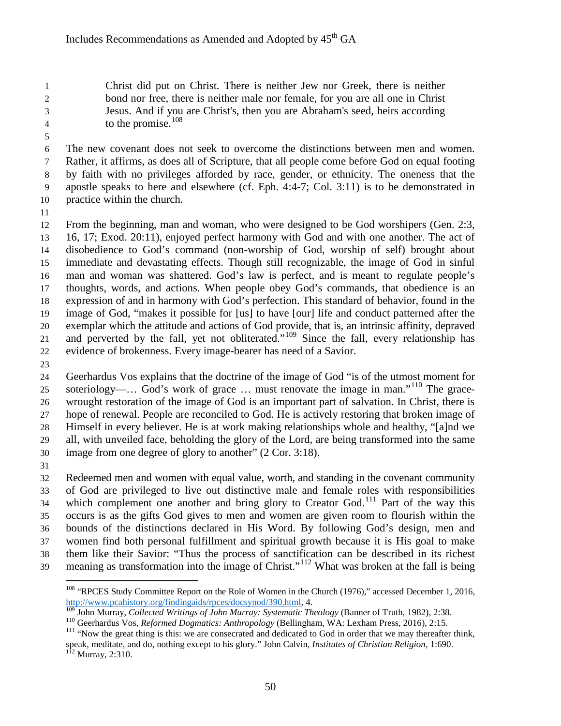Christ did put on Christ. There is neither Jew nor Greek, there is neither bond nor free, there is neither male nor female, for you are all one in Christ Jesus. And if you are Christ's, then you are Abraham's seed, heirs according 4 to the promise.

 The new covenant does not seek to overcome the distinctions between men and women. Rather, it affirms, as does all of Scripture, that all people come before God on equal footing by faith with no privileges afforded by race, gender, or ethnicity. The oneness that the apostle speaks to here and elsewhere (cf. Eph. 4:4-7; Col. 3:11) is to be demonstrated in practice within the church.

 From the beginning, man and woman, who were designed to be God worshipers (Gen. 2:3, 16, 17; Exod. 20:11), enjoyed perfect harmony with God and with one another. The act of disobedience to God's command (non-worship of God, worship of self) brought about immediate and devastating effects. Though still recognizable, the image of God in sinful man and woman was shattered. God's law is perfect, and is meant to regulate people's thoughts, words, and actions. When people obey God's commands, that obedience is an expression of and in harmony with God's perfection. This standard of behavior, found in the image of God, "makes it possible for [us] to have [our] life and conduct patterned after the exemplar which the attitude and actions of God provide, that is, an intrinsic affinity, depraved 21 and perverted by the fall, yet not obliterated."<sup>[109](#page-49-1)</sup> Since the fall, every relationship has evidence of brokenness. Every image-bearer has need of a Savior.

 Geerhardus Vos explains that the doctrine of the image of God "is of the utmost moment for soteriology—… God's work of grace … must renovate the image in man."<sup>[110](#page-49-2)</sup> The grace- wrought restoration of the image of God is an important part of salvation. In Christ, there is hope of renewal. People are reconciled to God. He is actively restoring that broken image of Himself in every believer. He is at work making relationships whole and healthy, "[a]nd we all, with unveiled face, beholding the glory of the Lord, are being transformed into the same image from one degree of glory to another" (2 Cor. 3:18).

 Redeemed men and women with equal value, worth, and standing in the covenant community of God are privileged to live out distinctive male and female roles with responsibilities which complement one another and bring glory to Creator God.<sup>[111](#page-49-3)</sup> Part of the way this occurs is as the gifts God gives to men and women are given room to flourish within the bounds of the distinctions declared in His Word. By following God's design, men and women find both personal fulfillment and spiritual growth because it is His goal to make them like their Savior: "Thus the process of sanctification can be described in its richest 39 meaning as transformation into the image of Christ."<sup>[112](#page-49-4)</sup> What was broken at the fall is being

<span id="page-49-0"></span><sup>&</sup>lt;sup>108</sup> "RPCES Study Committee Report on the Role of Women in the Church (1976)," accessed December 1, 2016, [http://www.pcahistory.org/findingaids/rpces/docsynod/390.html,](http://www.pcahistory.org/findingaids/rpces/docsynod/390.html) 4.<br><sup>109</sup> John Murray, *Collected Writings of John Murray: Systematic Theology* (Banner of Truth, 1982), 2:38.

<span id="page-49-4"></span><span id="page-49-3"></span><span id="page-49-2"></span><span id="page-49-1"></span>

<sup>&</sup>lt;sup>110</sup> Geerhardus Vos, *Reformed Dogmatics: Anthropology* (Bellingham, WA: Lexham Press, 2016), 2:15.<br><sup>111</sup> "Now the great thing is this: we are consecrated and dedicated to God in order that we may thereafter think, speak, meditate, and do, nothing except to his glory." John Calvin, *Institutes of Christian Religion*, 1:690.<br><sup>112</sup> Murray, 2:310.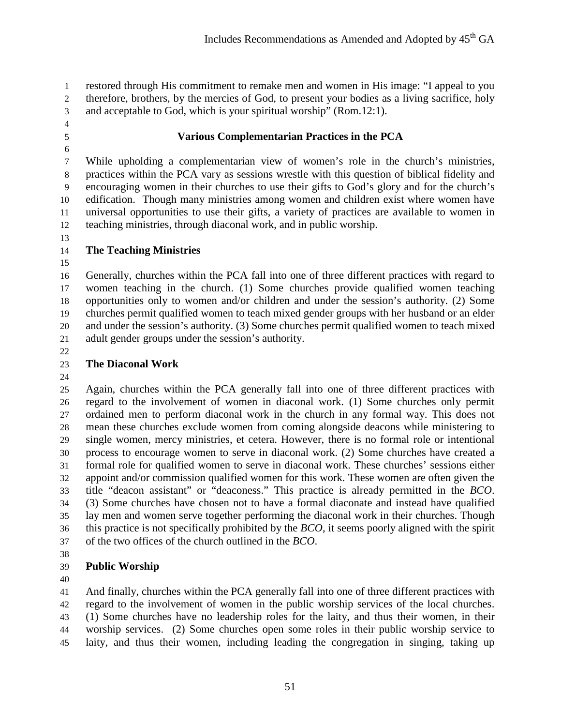restored through His commitment to remake men and women in His image: "I appeal to you therefore, brothers, by the mercies of God, to present your bodies as a living sacrifice, holy and acceptable to God, which is your spiritual worship" (Rom.12:1).

- 
- 
- 

#### **Various Complementarian Practices in the PCA**

 While upholding a complementarian view of women's role in the church's ministries, practices within the PCA vary as sessions wrestle with this question of biblical fidelity and encouraging women in their churches to use their gifts to God's glory and for the church's edification. Though many ministries among women and children exist where women have universal opportunities to use their gifts, a variety of practices are available to women in teaching ministries, through diaconal work, and in public worship.

# **The Teaching Ministries**

- Generally, churches within the PCA fall into one of three different practices with regard to women teaching in the church. (1) Some churches provide qualified women teaching opportunities only to women and/or children and under the session's authority. (2) Some churches permit qualified women to teach mixed gender groups with her husband or an elder and under the session's authority. (3) Some churches permit qualified women to teach mixed adult gender groups under the session's authority.
- 

# **The Diaconal Work**

 Again, churches within the PCA generally fall into one of three different practices with regard to the involvement of women in diaconal work. (1) Some churches only permit ordained men to perform diaconal work in the church in any formal way. This does not mean these churches exclude women from coming alongside deacons while ministering to single women, mercy ministries, et cetera. However, there is no formal role or intentional process to encourage women to serve in diaconal work. (2) Some churches have created a formal role for qualified women to serve in diaconal work. These churches' sessions either appoint and/or commission qualified women for this work. These women are often given the title "deacon assistant" or "deaconess." This practice is already permitted in the *BCO*. (3) Some churches have chosen not to have a formal diaconate and instead have qualified lay men and women serve together performing the diaconal work in their churches. Though this practice is not specifically prohibited by the *BCO*, it seems poorly aligned with the spirit of the two offices of the church outlined in the *BCO*.

# **Public Worship**

 And finally, churches within the PCA generally fall into one of three different practices with regard to the involvement of women in the public worship services of the local churches. (1) Some churches have no leadership roles for the laity, and thus their women, in their worship services. (2) Some churches open some roles in their public worship service to laity, and thus their women, including leading the congregation in singing, taking up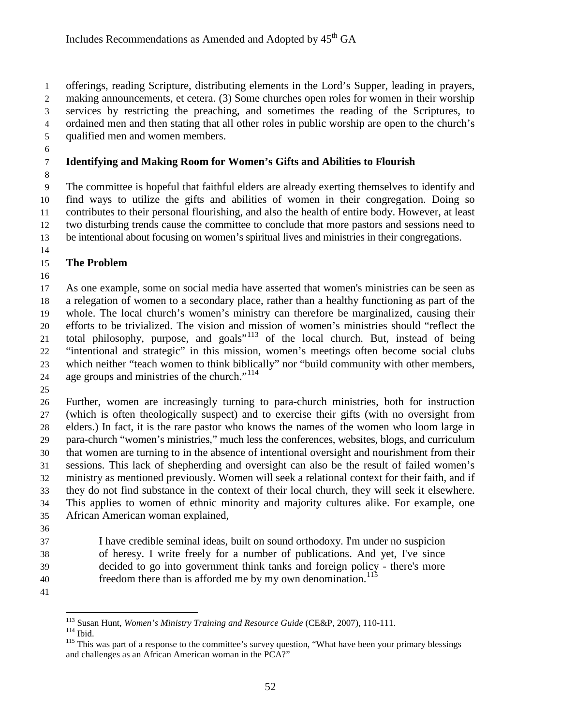offerings, reading Scripture, distributing elements in the Lord's Supper, leading in prayers,

making announcements, et cetera. (3) Some churches open roles for women in their worship

 services by restricting the preaching, and sometimes the reading of the Scriptures, to ordained men and then stating that all other roles in public worship are open to the church's

qualified men and women members.

# **Identifying and Making Room for Women's Gifts and Abilities to Flourish**

 The committee is hopeful that faithful elders are already exerting themselves to identify and find ways to utilize the gifts and abilities of women in their congregation. Doing so contributes to their personal flourishing, and also the health of entire body. However, at least two disturbing trends cause the committee to conclude that more pastors and sessions need to be intentional about focusing on women's spiritual lives and ministries in their congregations.

# **The Problem**

 As one example, some on social media have asserted that women's ministries can be seen as a relegation of women to a secondary place, rather than a healthy functioning as part of the whole. The local church's women's ministry can therefore be marginalized, causing their efforts to be trivialized. The vision and mission of women's ministries should "reflect the 21 total philosophy, purpose, and goals"<sup>[113](#page-51-0)</sup> of the local church. But, instead of being "intentional and strategic" in this mission, women's meetings often become social clubs which neither "teach women to think biblically" nor "build community with other members, 24 age groups and ministries of the church."<sup>[114](#page-51-1)</sup>

 Further, women are increasingly turning to para-church ministries, both for instruction (which is often theologically suspect) and to exercise their gifts (with no oversight from elders.) In fact, it is the rare pastor who knows the names of the women who loom large in para-church "women's ministries," much less the conferences, websites, blogs, and curriculum that women are turning to in the absence of intentional oversight and nourishment from their sessions. This lack of shepherding and oversight can also be the result of failed women's ministry as mentioned previously. Women will seek a relational context for their faith, and if they do not find substance in the context of their local church, they will seek it elsewhere. This applies to women of ethnic minority and majority cultures alike. For example, one African American woman explained,

 I have credible seminal ideas, built on sound orthodoxy. I'm under no suspicion of heresy. I write freely for a number of publications. And yet, I've since decided to go into government think tanks and foreign policy - there's more 40 freedom there than is afforded me by my own denomination.

<span id="page-51-1"></span><span id="page-51-0"></span>

<span id="page-51-2"></span>

<sup>&</sup>lt;sup>113</sup> Susan Hunt, *Women's Ministry Training and Resource Guide* (CE&P, 2007), 110-111.<br><sup>114</sup> Ibid. <sup>115</sup> This was part of a response to the committee's survey question, "What have been your primary blessings and challenges as an African American woman in the PCA?"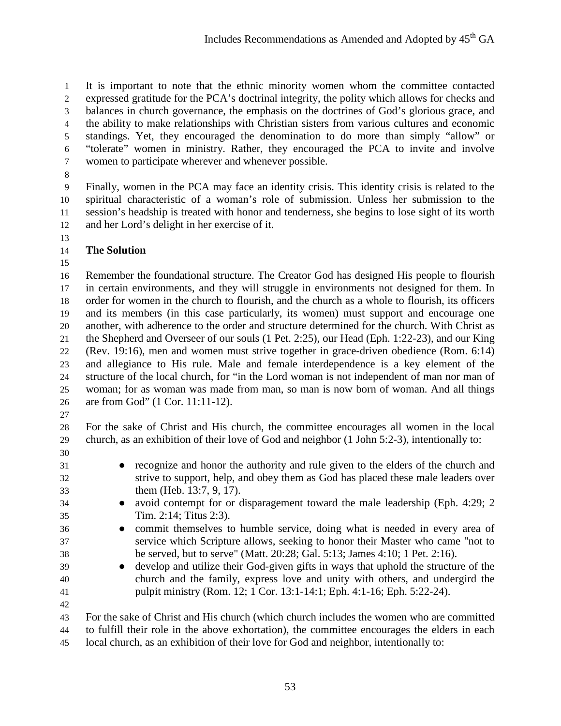It is important to note that the ethnic minority women whom the committee contacted expressed gratitude for the PCA's doctrinal integrity, the polity which allows for checks and balances in church governance, the emphasis on the doctrines of God's glorious grace, and the ability to make relationships with Christian sisters from various cultures and economic standings. Yet, they encouraged the denomination to do more than simply "allow" or "tolerate" women in ministry. Rather, they encouraged the PCA to invite and involve women to participate wherever and whenever possible.

 Finally, women in the PCA may face an identity crisis. This identity crisis is related to the spiritual characteristic of a woman's role of submission. Unless her submission to the session's headship is treated with honor and tenderness, she begins to lose sight of its worth and her Lord's delight in her exercise of it.

- **The Solution**
- 

 Remember the foundational structure. The Creator God has designed His people to flourish in certain environments, and they will struggle in environments not designed for them. In order for women in the church to flourish, and the church as a whole to flourish, its officers and its members (in this case particularly, its women) must support and encourage one another, with adherence to the order and structure determined for the church. With Christ as the Shepherd and Overseer of our souls (1 Pet. 2:25), our Head (Eph. 1:22-23), and our King (Rev. 19:16), men and women must strive together in grace-driven obedience (Rom. 6:14) and allegiance to His rule. Male and female interdependence is a key element of the structure of the local church, for "in the Lord woman is not independent of man nor man of woman; for as woman was made from man, so man is now born of woman. And all things are from God" (1 Cor. 11:11-12).

 For the sake of Christ and His church, the committee encourages all women in the local church, as an exhibition of their love of God and neighbor (1 John 5:2-3), intentionally to:

- 
- 
- recognize and honor the authority and rule given to the elders of the church and strive to support, help, and obey them as God has placed these male leaders over them (Heb. 13:7, 9, 17).
- avoid contempt for or disparagement toward the male leadership (Eph. 4:29; 2 Tim. 2:14; Titus 2:3).
- commit themselves to humble service, doing what is needed in every area of service which Scripture allows, seeking to honor their Master who came "not to be served, but to serve" (Matt. 20:28; Gal. 5:13; James 4:10; 1 Pet. 2:16).
- develop and utilize their God-given gifts in ways that uphold the structure of the church and the family, express love and unity with others, and undergird the pulpit ministry (Rom. 12; 1 Cor. 13:1-14:1; Eph. 4:1-16; Eph. 5:22-24).
- 
- For the sake of Christ and His church (which church includes the women who are committed to fulfill their role in the above exhortation), the committee encourages the elders in each
- local church, as an exhibition of their love for God and neighbor, intentionally to: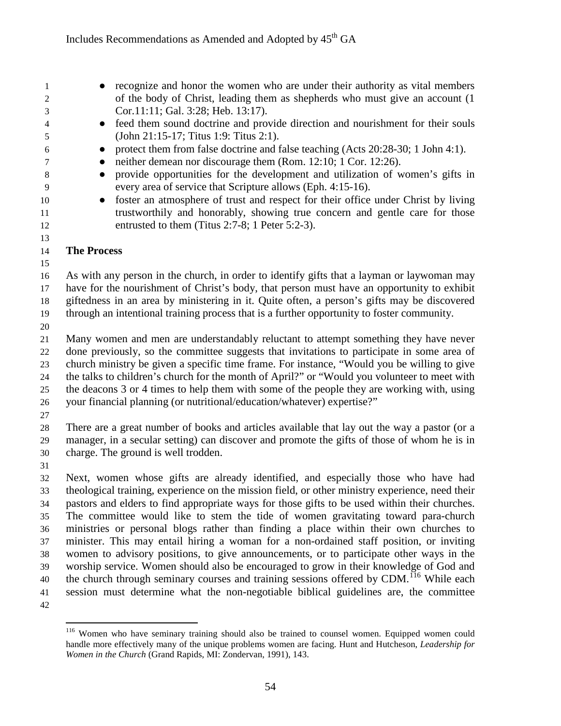● recognize and honor the women who are under their authority as vital members of the body of Christ, leading them as shepherds who must give an account (1 Cor.11:11; Gal. 3:28; Heb. 13:17).

- feed them sound doctrine and provide direction and nourishment for their souls (John 21:15-17; Titus 1:9: Titus 2:1).
- protect them from false doctrine and false teaching (Acts 20:28-30; 1 John 4:1).
- 7 **•** neither demean nor discourage them (Rom. 12:10; 1 Cor. 12:26).
- provide opportunities for the development and utilization of women's gifts in every area of service that Scripture allows (Eph. 4:15-16).
- 10 foster an atmosphere of trust and respect for their office under Christ by living trustworthily and honorably, showing true concern and gentle care for those entrusted to them (Titus 2:7-8; 1 Peter 5:2-3).

#### **The Process**

 As with any person in the church, in order to identify gifts that a layman or laywoman may have for the nourishment of Christ's body, that person must have an opportunity to exhibit giftedness in an area by ministering in it. Quite often, a person's gifts may be discovered

- through an intentional training process that is a further opportunity to foster community.
- 

 Many women and men are understandably reluctant to attempt something they have never done previously, so the committee suggests that invitations to participate in some area of church ministry be given a specific time frame. For instance, "Would you be willing to give the talks to children's church for the month of April?" or "Would you volunteer to meet with the deacons 3 or 4 times to help them with some of the people they are working with, using your financial planning (or nutritional/education/whatever) expertise?"

 There are a great number of books and articles available that lay out the way a pastor (or a manager, in a secular setting) can discover and promote the gifts of those of whom he is in charge. The ground is well trodden.

 Next, women whose gifts are already identified, and especially those who have had theological training, experience on the mission field, or other ministry experience, need their pastors and elders to find appropriate ways for those gifts to be used within their churches. The committee would like to stem the tide of women gravitating toward para-church ministries or personal blogs rather than finding a place within their own churches to minister. This may entail hiring a woman for a non-ordained staff position, or inviting women to advisory positions, to give announcements, or to participate other ways in the worship service. Women should also be encouraged to grow in their knowledge of God and the church through seminary courses and training sessions offered by CDM.<sup> $116$ </sup> While each session must determine what the non-negotiable biblical guidelines are, the committee 

<span id="page-53-0"></span>

<sup>&</sup>lt;sup>116</sup> Women who have seminary training should also be trained to counsel women. Equipped women could handle more effectively many of the unique problems women are facing. Hunt and Hutcheson, *Leadership for Women in the Church* (Grand Rapids, MI: Zondervan, 1991), 143.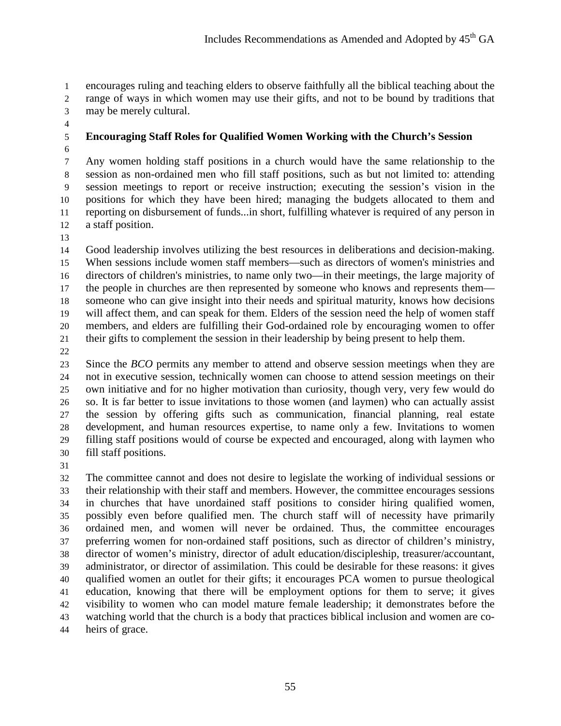encourages ruling and teaching elders to observe faithfully all the biblical teaching about the range of ways in which women may use their gifts, and not to be bound by traditions that may be merely cultural.

# **Encouraging Staff Roles for Qualified Women Working with the Church's Session**

- Any women holding staff positions in a church would have the same relationship to the session as non-ordained men who fill staff positions, such as but not limited to: attending session meetings to report or receive instruction; executing the session's vision in the positions for which they have been hired; managing the budgets allocated to them and reporting on disbursement of funds...in short, fulfilling whatever is required of any person in a staff position.
- 

 Good leadership involves utilizing the best resources in deliberations and decision-making. When sessions include women staff members—such as directors of women's ministries and directors of children's ministries, to name only two—in their meetings, the large majority of the people in churches are then represented by someone who knows and represents them— someone who can give insight into their needs and spiritual maturity, knows how decisions will affect them, and can speak for them. Elders of the session need the help of women staff members, and elders are fulfilling their God-ordained role by encouraging women to offer their gifts to complement the session in their leadership by being present to help them.

 Since the *BCO* permits any member to attend and observe session meetings when they are not in executive session, technically women can choose to attend session meetings on their own initiative and for no higher motivation than curiosity, though very, very few would do so. It is far better to issue invitations to those women (and laymen) who can actually assist the session by offering gifts such as communication, financial planning, real estate development, and human resources expertise, to name only a few. Invitations to women filling staff positions would of course be expected and encouraged, along with laymen who fill staff positions.

 The committee cannot and does not desire to legislate the working of individual sessions or their relationship with their staff and members. However, the committee encourages sessions in churches that have unordained staff positions to consider hiring qualified women, possibly even before qualified men. The church staff will of necessity have primarily ordained men, and women will never be ordained. Thus, the committee encourages preferring women for non-ordained staff positions, such as director of children's ministry, director of women's ministry, director of adult education/discipleship, treasurer/accountant, administrator, or director of assimilation. This could be desirable for these reasons: it gives qualified women an outlet for their gifts; it encourages PCA women to pursue theological education, knowing that there will be employment options for them to serve; it gives visibility to women who can model mature female leadership; it demonstrates before the watching world that the church is a body that practices biblical inclusion and women are co-heirs of grace.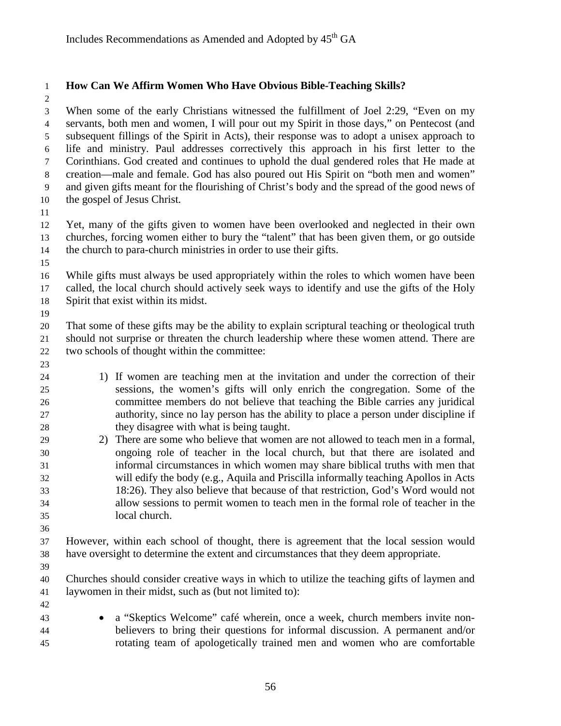# **How Can We Affirm Women Who Have Obvious Bible-Teaching Skills?**

 When some of the early Christians witnessed the fulfillment of Joel 2:29, "Even on my servants, both men and women, I will pour out my Spirit in those days," on Pentecost (and subsequent fillings of the Spirit in Acts), their response was to adopt a unisex approach to life and ministry. Paul addresses correctively this approach in his first letter to the Corinthians. God created and continues to uphold the dual gendered roles that He made at creation—male and female. God has also poured out His Spirit on "both men and women" and given gifts meant for the flourishing of Christ's body and the spread of the good news of the gospel of Jesus Christ.

 Yet, many of the gifts given to women have been overlooked and neglected in their own churches, forcing women either to bury the "talent" that has been given them, or go outside the church to para-church ministries in order to use their gifts.

 While gifts must always be used appropriately within the roles to which women have been called, the local church should actively seek ways to identify and use the gifts of the Holy Spirit that exist within its midst.

 That some of these gifts may be the ability to explain scriptural teaching or theological truth should not surprise or threaten the church leadership where these women attend. There are two schools of thought within the committee:

- 1) If women are teaching men at the invitation and under the correction of their sessions, the women's gifts will only enrich the congregation. Some of the committee members do not believe that teaching the Bible carries any juridical authority, since no lay person has the ability to place a person under discipline if they disagree with what is being taught.
- 2) There are some who believe that women are not allowed to teach men in a formal, ongoing role of teacher in the local church, but that there are isolated and informal circumstances in which women may share biblical truths with men that will edify the body (e.g., Aquila and Priscilla informally teaching Apollos in Acts 18:26). They also believe that because of that restriction, God's Word would not allow sessions to permit women to teach men in the formal role of teacher in the local church.
- 

 However, within each school of thought, there is agreement that the local session would have oversight to determine the extent and circumstances that they deem appropriate.

 Churches should consider creative ways in which to utilize the teaching gifts of laymen and laywomen in their midst, such as (but not limited to):

- 
- 

 • a "Skeptics Welcome" café wherein, once a week, church members invite non- believers to bring their questions for informal discussion. A permanent and/or rotating team of apologetically trained men and women who are comfortable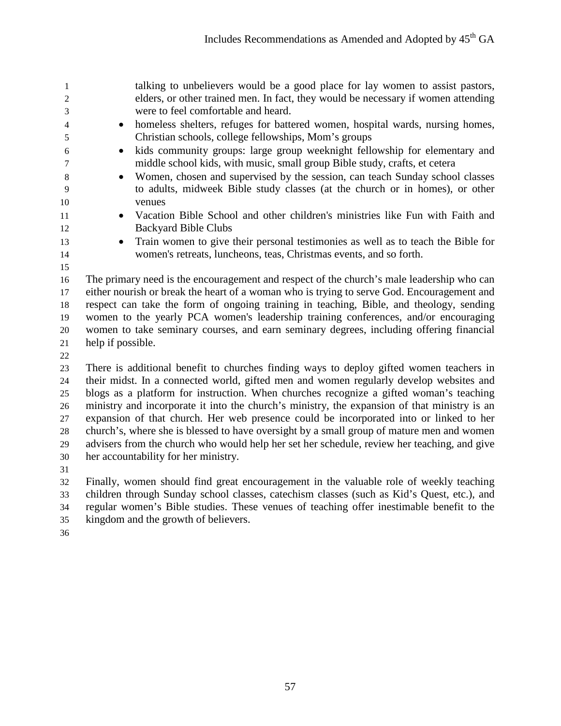| 1              |                                                                                              | talking to unbelievers would be a good place for lay women to assist pastors,                                                                            |  |
|----------------|----------------------------------------------------------------------------------------------|----------------------------------------------------------------------------------------------------------------------------------------------------------|--|
| 2              |                                                                                              | elders, or other trained men. In fact, they would be necessary if women attending<br>were to feel comfortable and heard.                                 |  |
| 3              |                                                                                              |                                                                                                                                                          |  |
| $\overline{4}$ | $\bullet$                                                                                    | homeless shelters, refuges for battered women, hospital wards, nursing homes,                                                                            |  |
| 5              |                                                                                              | Christian schools, college fellowships, Mom's groups                                                                                                     |  |
| 6<br>7         | $\bullet$                                                                                    | kids community groups: large group weeknight fellowship for elementary and<br>middle school kids, with music, small group Bible study, crafts, et cetera |  |
| $8\phantom{1}$ | $\bullet$                                                                                    | Women, chosen and supervised by the session, can teach Sunday school classes                                                                             |  |
| 9              |                                                                                              | to adults, midweek Bible study classes (at the church or in homes), or other                                                                             |  |
| 10             |                                                                                              | venues                                                                                                                                                   |  |
| 11             | $\bullet$                                                                                    | Vacation Bible School and other children's ministries like Fun with Faith and                                                                            |  |
| 12             |                                                                                              | <b>Backyard Bible Clubs</b>                                                                                                                              |  |
| 13             | $\bullet$                                                                                    | Train women to give their personal testimonies as well as to teach the Bible for                                                                         |  |
| 14             |                                                                                              | women's retreats, luncheons, teas, Christmas events, and so forth.                                                                                       |  |
| 15             |                                                                                              |                                                                                                                                                          |  |
| 16             |                                                                                              | The primary need is the encouragement and respect of the church's male leadership who can                                                                |  |
| 17             | either nourish or break the heart of a woman who is trying to serve God. Encouragement and   |                                                                                                                                                          |  |
| 18             |                                                                                              | respect can take the form of ongoing training in teaching, Bible, and theology, sending                                                                  |  |
| 19             | women to the yearly PCA women's leadership training conferences, and/or encouraging          |                                                                                                                                                          |  |
| 20             | women to take seminary courses, and earn seminary degrees, including offering financial      |                                                                                                                                                          |  |
| 21             | help if possible.                                                                            |                                                                                                                                                          |  |
| 22             |                                                                                              |                                                                                                                                                          |  |
| 23             |                                                                                              | There is additional benefit to churches finding ways to deploy gifted women teachers in                                                                  |  |
| 24             | their midst. In a connected world, gifted men and women regularly develop websites and       |                                                                                                                                                          |  |
| 25             | blogs as a platform for instruction. When churches recognize a gifted woman's teaching       |                                                                                                                                                          |  |
| 26             | ministry and incorporate it into the church's ministry, the expansion of that ministry is an |                                                                                                                                                          |  |

 expansion of that church. Her web presence could be incorporated into or linked to her church's, where she is blessed to have oversight by a small group of mature men and women advisers from the church who would help her set her schedule, review her teaching, and give her accountability for her ministry.

 Finally, women should find great encouragement in the valuable role of weekly teaching children through Sunday school classes, catechism classes (such as Kid's Quest, etc.), and regular women's Bible studies. These venues of teaching offer inestimable benefit to the kingdom and the growth of believers.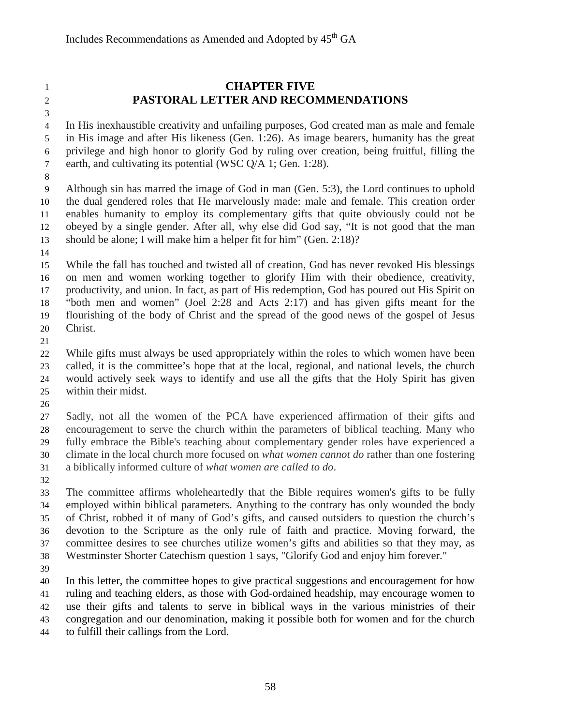# **CHAPTER FIVE PASTORAL LETTER AND RECOMMENDATIONS**

 In His inexhaustible creativity and unfailing purposes, God created man as male and female in His image and after His likeness (Gen. 1:26). As image bearers, humanity has the great privilege and high honor to glorify God by ruling over creation, being fruitful, filling the 7 earth, and cultivating its potential (WSC Q/A 1; Gen. 1:28).

 Although sin has marred the image of God in man (Gen. 5:3), the Lord continues to uphold the dual gendered roles that He marvelously made: male and female. This creation order enables humanity to employ its complementary gifts that quite obviously could not be obeyed by a single gender. After all, why else did God say, "It is not good that the man should be alone; I will make him a helper fit for him" (Gen. 2:18)?

 While the fall has touched and twisted all of creation, God has never revoked His blessings on men and women working together to glorify Him with their obedience, creativity, productivity, and union. In fact, as part of His redemption, God has poured out His Spirit on "both men and women" (Joel 2:28 and Acts 2:17) and has given gifts meant for the flourishing of the body of Christ and the spread of the good news of the gospel of Jesus Christ.

 While gifts must always be used appropriately within the roles to which women have been called, it is the committee's hope that at the local, regional, and national levels, the church would actively seek ways to identify and use all the gifts that the Holy Spirit has given within their midst.

 Sadly, not all the women of the PCA have experienced affirmation of their gifts and encouragement to serve the church within the parameters of biblical teaching. Many who fully embrace the Bible's teaching about complementary gender roles have experienced a climate in the local church more focused on *what women cannot do* rather than one fostering a biblically informed culture of *what women are called to do*.

 The committee affirms wholeheartedly that the Bible requires women's gifts to be fully employed within biblical parameters. Anything to the contrary has only wounded the body of Christ, robbed it of many of God's gifts, and caused outsiders to question the church's devotion to the Scripture as the only rule of faith and practice. Moving forward, the committee desires to see churches utilize women's gifts and abilities so that they may, as Westminster Shorter Catechism question 1 says, "Glorify God and enjoy him forever."

 In this letter, the committee hopes to give practical suggestions and encouragement for how ruling and teaching elders, as those with God-ordained headship, may encourage women to use their gifts and talents to serve in biblical ways in the various ministries of their congregation and our denomination, making it possible both for women and for the church to fulfill their callings from the Lord.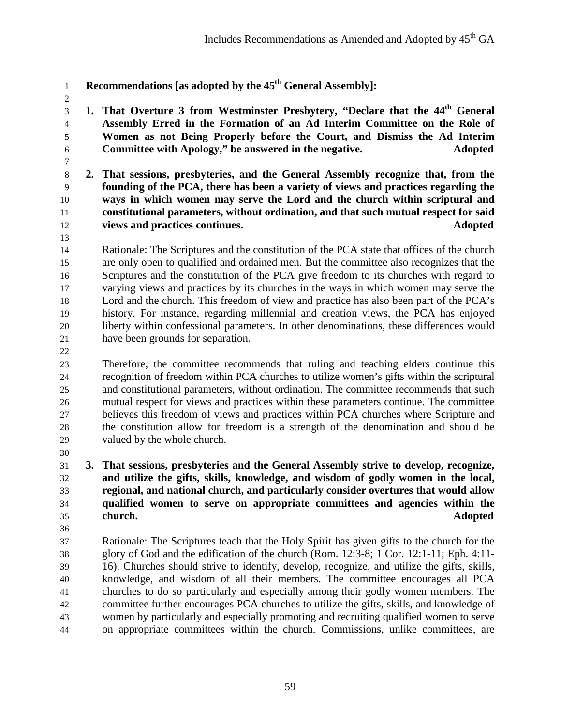- **Recommendations** [as adopted by the 45<sup>th</sup> General Assembly]:
- 

**1. That Overture 3 from Westminster Presbytery, "Declare that the 44<sup>th</sup> General** *S*  **Assembly Erred in the Formation of an Ad Interim Committee on the Role of Women as not Being Properly before the Court, and Dismiss the Ad Interim Committee with Apology," be answered in the negative. Adopted**

 **2. That sessions, presbyteries, and the General Assembly recognize that, from the founding of the PCA, there has been a variety of views and practices regarding the ways in which women may serve the Lord and the church within scriptural and constitutional parameters, without ordination, and that such mutual respect for said views and practices continues. Adopted**

 Rationale: The Scriptures and the constitution of the PCA state that offices of the church are only open to qualified and ordained men. But the committee also recognizes that the Scriptures and the constitution of the PCA give freedom to its churches with regard to varying views and practices by its churches in the ways in which women may serve the Lord and the church. This freedom of view and practice has also been part of the PCA's history. For instance, regarding millennial and creation views, the PCA has enjoyed liberty within confessional parameters. In other denominations, these differences would have been grounds for separation.

 Therefore, the committee recommends that ruling and teaching elders continue this recognition of freedom within PCA churches to utilize women's gifts within the scriptural and constitutional parameters, without ordination. The committee recommends that such mutual respect for views and practices within these parameters continue. The committee believes this freedom of views and practices within PCA churches where Scripture and the constitution allow for freedom is a strength of the denomination and should be valued by the whole church.

 **3. That sessions, presbyteries and the General Assembly strive to develop, recognize, and utilize the gifts, skills, knowledge, and wisdom of godly women in the local, regional, and national church, and particularly consider overtures that would allow qualified women to serve on appropriate committees and agencies within the church. Adopted**

 Rationale: The Scriptures teach that the Holy Spirit has given gifts to the church for the glory of God and the edification of the church (Rom. 12:3-8; 1 Cor. 12:1-11; Eph. 4:11- 16). Churches should strive to identify, develop, recognize, and utilize the gifts, skills, knowledge, and wisdom of all their members. The committee encourages all PCA churches to do so particularly and especially among their godly women members. The committee further encourages PCA churches to utilize the gifts, skills, and knowledge of women by particularly and especially promoting and recruiting qualified women to serve on appropriate committees within the church. Commissions, unlike committees, are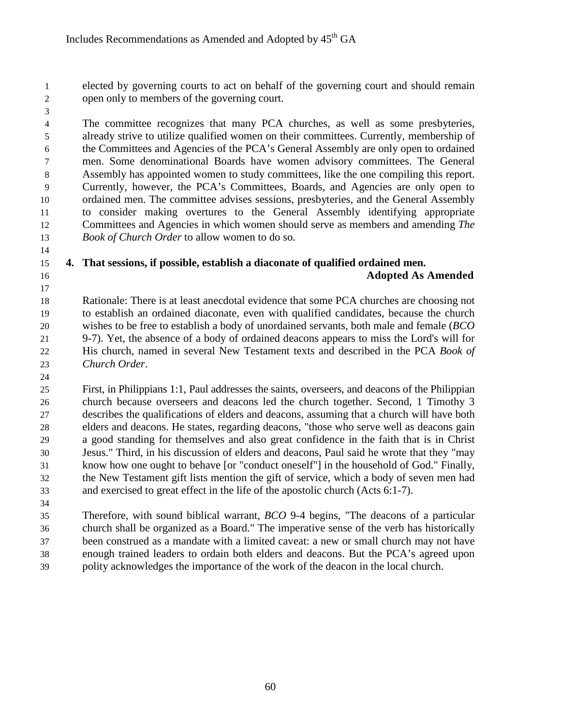elected by governing courts to act on behalf of the governing court and should remain open only to members of the governing court.

 The committee recognizes that many PCA churches, as well as some presbyteries, already strive to utilize qualified women on their committees. Currently, membership of the Committees and Agencies of the PCA's General Assembly are only open to ordained men. Some denominational Boards have women advisory committees. The General Assembly has appointed women to study committees, like the one compiling this report. Currently, however, the PCA's Committees, Boards, and Agencies are only open to ordained men. The committee advises sessions, presbyteries, and the General Assembly to consider making overtures to the General Assembly identifying appropriate Committees and Agencies in which women should serve as members and amending *The Book of Church Order* to allow women to do so.

#### **4. That sessions, if possible, establish a diaconate of qualified ordained men. Adopted As Amended**

 Rationale: There is at least anecdotal evidence that some PCA churches are choosing not to establish an ordained diaconate, even with qualified candidates, because the church wishes to be free to establish a body of unordained servants, both male and female (*BCO* 9-7). Yet, the absence of a body of ordained deacons appears to miss the Lord's will for His church, named in several New Testament texts and described in the PCA *Book of Church Order*.

 First, in Philippians 1:1, Paul addresses the saints, overseers, and deacons of the Philippian church because overseers and deacons led the church together. Second, 1 Timothy 3 describes the qualifications of elders and deacons, assuming that a church will have both elders and deacons. He states, regarding deacons, "those who serve well as deacons gain a good standing for themselves and also great confidence in the faith that is in Christ Jesus." Third, in his discussion of elders and deacons, Paul said he wrote that they "may know how one ought to behave [or "conduct oneself"] in the household of God." Finally, the New Testament gift lists mention the gift of service, which a body of seven men had and exercised to great effect in the life of the apostolic church (Acts 6:1-7).

 Therefore, with sound biblical warrant, *BCO* 9-4 begins, "The deacons of a particular church shall be organized as a Board." The imperative sense of the verb has historically been construed as a mandate with a limited caveat: a new or small church may not have enough trained leaders to ordain both elders and deacons. But the PCA's agreed upon polity acknowledges the importance of the work of the deacon in the local church.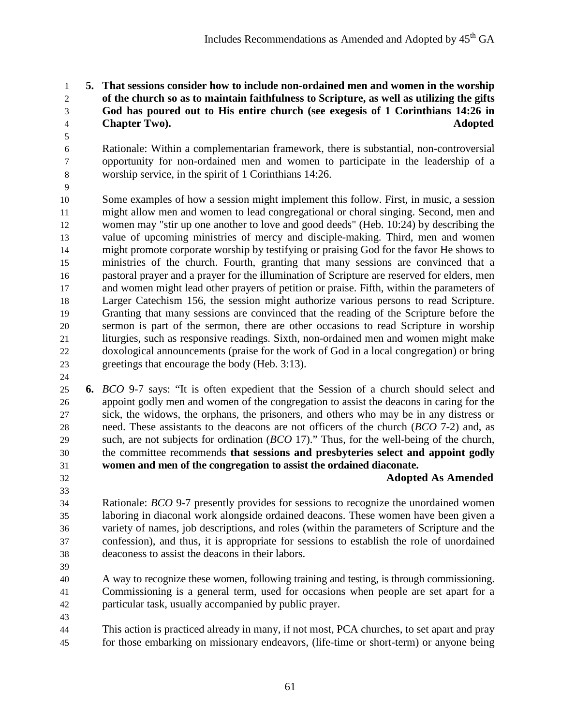#### **5. That sessions consider how to include non-ordained men and women in the worship of the church so as to maintain faithfulness to Scripture, as well as utilizing the gifts God has poured out to His entire church (see exegesis of 1 Corinthians 14:26 in Chapter Two). Adopted**

 Rationale: Within a complementarian framework, there is substantial, non-controversial opportunity for non-ordained men and women to participate in the leadership of a worship service, in the spirit of 1 Corinthians 14:26.

 Some examples of how a session might implement this follow. First, in music, a session might allow men and women to lead congregational or choral singing. Second, men and women may "stir up one another to love and good deeds" (Heb. 10:24) by describing the value of upcoming ministries of mercy and disciple-making. Third, men and women might promote corporate worship by testifying or praising God for the favor He shows to ministries of the church. Fourth, granting that many sessions are convinced that a pastoral prayer and a prayer for the illumination of Scripture are reserved for elders, men and women might lead other prayers of petition or praise. Fifth, within the parameters of Larger Catechism 156, the session might authorize various persons to read Scripture. Granting that many sessions are convinced that the reading of the Scripture before the sermon is part of the sermon, there are other occasions to read Scripture in worship liturgies, such as responsive readings. Sixth, non-ordained men and women might make doxological announcements (praise for the work of God in a local congregation) or bring greetings that encourage the body (Heb. 3:13). 

- **6.** *BCO* 9-7 says: "It is often expedient that the Session of a church should select and appoint godly men and women of the congregation to assist the deacons in caring for the sick, the widows, the orphans, the prisoners, and others who may be in any distress or need. These assistants to the deacons are not officers of the church (*BCO* 7-2) and, as such, are not subjects for ordination (*BCO* 17)." Thus, for the well-being of the church, the committee recommends **that sessions and presbyteries select and appoint godly women and men of the congregation to assist the ordained diaconate.**
- 

**Adopted As Amended**

 Rationale: *BCO* 9-7 presently provides for sessions to recognize the unordained women laboring in diaconal work alongside ordained deacons. These women have been given a variety of names, job descriptions, and roles (within the parameters of Scripture and the confession), and thus, it is appropriate for sessions to establish the role of unordained deaconess to assist the deacons in their labors.

 A way to recognize these women, following training and testing, is through commissioning. Commissioning is a general term, used for occasions when people are set apart for a particular task, usually accompanied by public prayer.

 This action is practiced already in many, if not most, PCA churches, to set apart and pray for those embarking on missionary endeavors, (life-time or short-term) or anyone being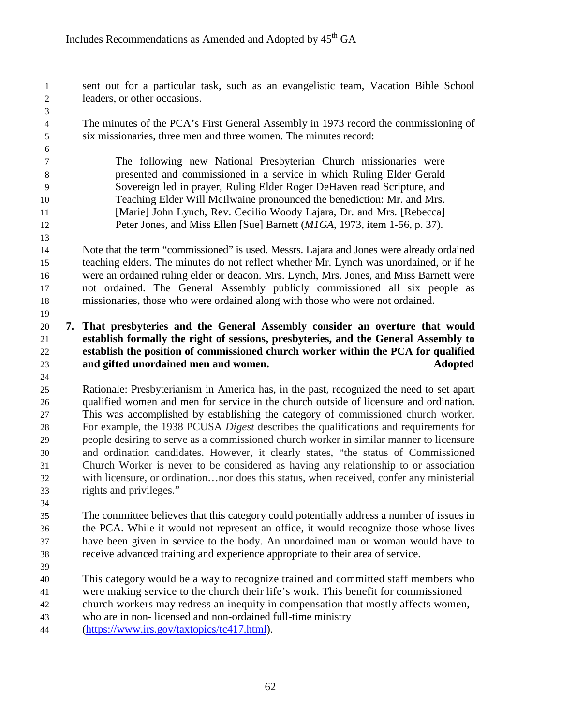- sent out for a particular task, such as an evangelistic team, Vacation Bible School leaders, or other occasions.
- The minutes of the PCA's First General Assembly in 1973 record the commissioning of six missionaries, three men and three women. The minutes record:
- The following new National Presbyterian Church missionaries were presented and commissioned in a service in which Ruling Elder Gerald Sovereign led in prayer, Ruling Elder Roger DeHaven read Scripture, and Teaching Elder Will McIlwaine pronounced the benediction: Mr. and Mrs. 11 [Marie] John Lynch, Rev. Cecilio Woody Lajara, Dr. and Mrs. [Rebecca] Peter Jones, and Miss Ellen [Sue] Barnett (*M1GA*, 1973, item 1-56, p. 37).
- Note that the term "commissioned" is used. Messrs. Lajara and Jones were already ordained teaching elders. The minutes do not reflect whether Mr. Lynch was unordained, or if he were an ordained ruling elder or deacon. Mrs. Lynch, Mrs. Jones, and Miss Barnett were not ordained. The General Assembly publicly commissioned all six people as missionaries, those who were ordained along with those who were not ordained.

#### **7. That presbyteries and the General Assembly consider an overture that would establish formally the right of sessions, presbyteries, and the General Assembly to establish the position of commissioned church worker within the PCA for qualified and gifted unordained men and women. Adopted**

 Rationale: Presbyterianism in America has, in the past, recognized the need to set apart qualified women and men for service in the church outside of licensure and ordination. This was accomplished by establishing the category of commissioned church worker. For example, the 1938 PCUSA *Digest* describes the qualifications and requirements for people desiring to serve as a commissioned church worker in similar manner to licensure and ordination candidates. However, it clearly states, "the status of Commissioned Church Worker is never to be considered as having any relationship to or association with licensure, or ordination…nor does this status, when received, confer any ministerial rights and privileges."

 The committee believes that this category could potentially address a number of issues in the PCA. While it would not represent an office, it would recognize those whose lives have been given in service to the body. An unordained man or woman would have to receive advanced training and experience appropriate to their area of service.

This category would be a way to recognize trained and committed staff members who

were making service to the church their life's work. This benefit for commissioned

 church workers may redress an inequity in compensation that mostly affects women, who are in non- licensed and non-ordained full-time ministry

[\(https://www.irs.gov/taxtopics/tc417.html\)](https://www.irs.gov/taxtopics/tc417.html).